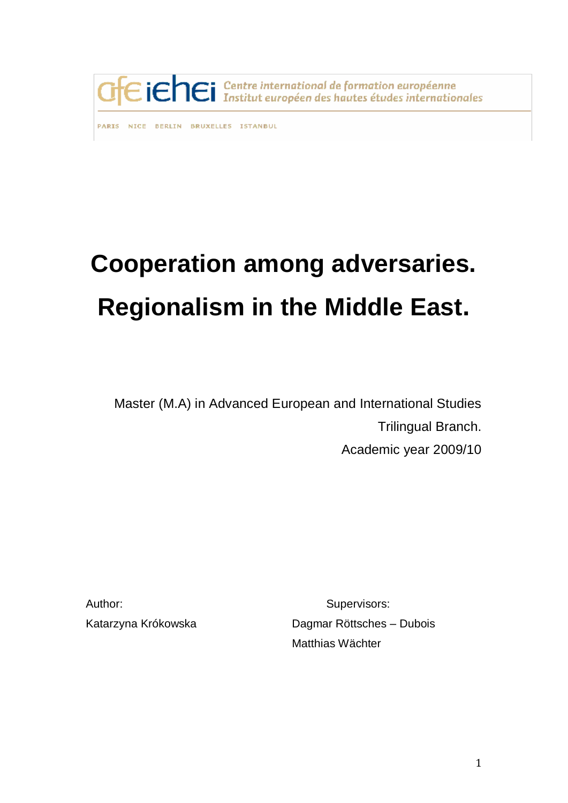

PARIS NICE BERLIN BRUXELLES ISTANBUL

# **Cooperation among adversaries. Regionalism in the Middle East.**

Master (M.A) in Advanced European and International Studies Trilingual Branch. Academic year 2009/10

Author: Supervisors:

Katarzyna Krókowska Dagmar Röttsches – Dubois Matthias Wächter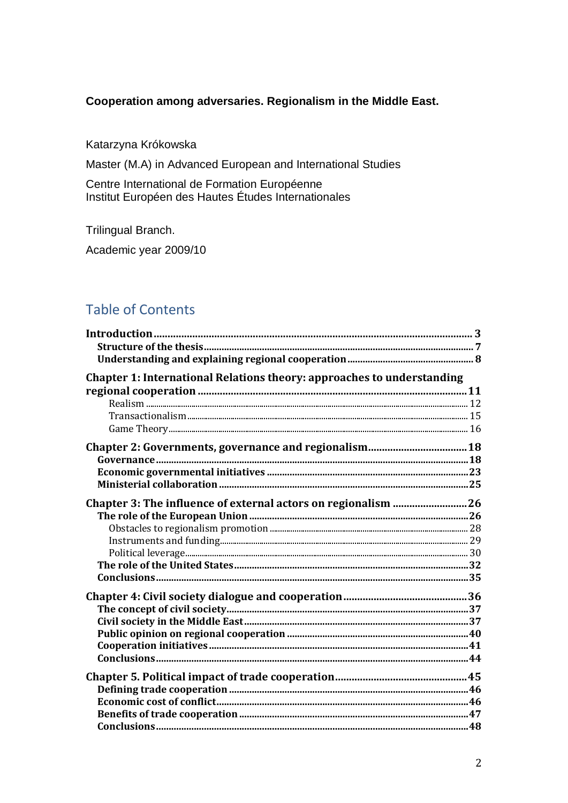## Cooperation among adversaries. Regionalism in the Middle East.

Katarzyna Krókowska

Master (M.A) in Advanced European and International Studies

Centre International de Formation Européenne Institut Européen des Hautes Études Internationales

Trilingual Branch.

Academic year 2009/10

# **Table of Contents**

| Chapter 1: International Relations theory: approaches to understanding |  |
|------------------------------------------------------------------------|--|
|                                                                        |  |
|                                                                        |  |
|                                                                        |  |
|                                                                        |  |
|                                                                        |  |
|                                                                        |  |
|                                                                        |  |
|                                                                        |  |
| Chapter 3: The influence of external actors on regionalism 26          |  |
|                                                                        |  |
|                                                                        |  |
|                                                                        |  |
|                                                                        |  |
|                                                                        |  |
|                                                                        |  |
|                                                                        |  |
|                                                                        |  |
|                                                                        |  |
|                                                                        |  |
|                                                                        |  |
|                                                                        |  |
|                                                                        |  |
|                                                                        |  |
|                                                                        |  |
|                                                                        |  |
|                                                                        |  |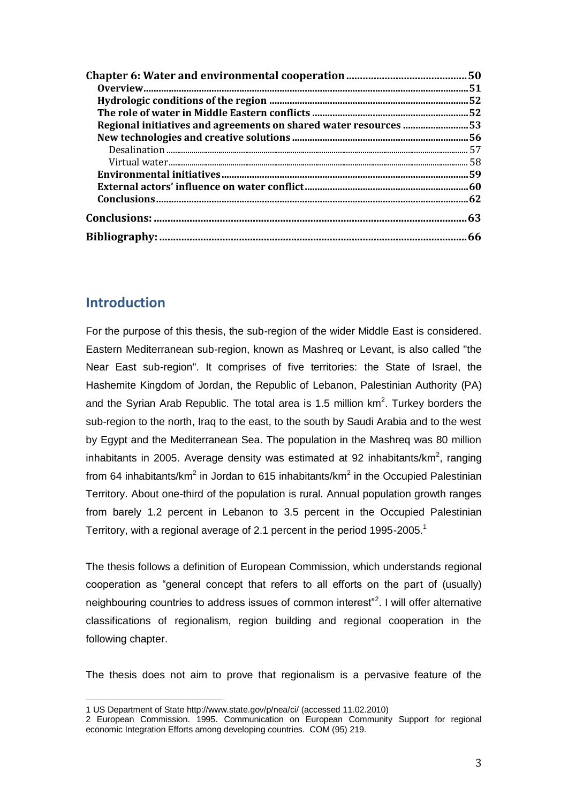| Regional initiatives and agreements on shared water resources 53 |     |
|------------------------------------------------------------------|-----|
|                                                                  |     |
|                                                                  |     |
|                                                                  | 58  |
|                                                                  | .59 |
|                                                                  |     |
|                                                                  |     |
|                                                                  | 63  |
|                                                                  | 66  |

## **Introduction**

 $\overline{a}$ 

For the purpose of this thesis, the sub-region of the wider Middle East is considered. Eastern Mediterranean sub-region, known as Mashreq or Levant, is also called "the Near East sub-region". It comprises of five territories: the State of Israel, the Hashemite Kingdom of Jordan, the Republic of Lebanon, Palestinian Authority (PA) and the Syrian Arab Republic. The total area is 1.5 million  $km^2$ . Turkey borders the sub-region to the north, Iraq to the east, to the south by Saudi Arabia and to the west by Egypt and the Mediterranean Sea. The population in the Mashreq was 80 million inhabitants in 2005. Average density was estimated at 92 inhabitants/km<sup>2</sup>, ranging from 64 inhabitants/km<sup>2</sup> in Jordan to 615 inhabitants/km<sup>2</sup> in the Occupied Palestinian Territory. About one-third of the population is rural. Annual population growth ranges from barely 1.2 percent in Lebanon to 3.5 percent in the Occupied Palestinian Territory, with a regional average of 2.1 percent in the period 1995-2005.<sup>1</sup>

The thesis follows a definition of European Commission, which understands regional cooperation as "general concept that refers to all efforts on the part of (usually) neighbouring countries to address issues of common interest"<sup>2</sup>. I will offer alternative classifications of regionalism, region building and regional cooperation in the following chapter.

The thesis does not aim to prove that regionalism is a pervasive feature of the

<sup>1</sup> US Department of Stat[e http://www.state.gov/p/nea/ci/](http://www.state.gov/p/nea/ci/) (accessed 11.02.2010)

<sup>2</sup> European Commission. 1995. Communication on European Community Support for regional economic Integration Efforts among developing countries. COM (95) 219.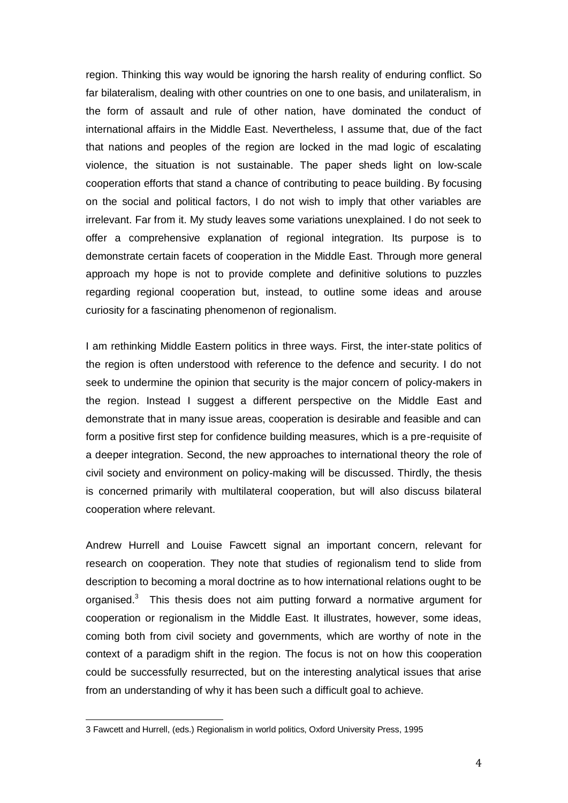region. Thinking this way would be ignoring the harsh reality of enduring conflict. So far bilateralism, dealing with other countries on one to one basis, and unilateralism, in the form of assault and rule of other nation, have dominated the conduct of international affairs in the Middle East. Nevertheless, I assume that, due of the fact that nations and peoples of the region are locked in the mad logic of escalating violence, the situation is not sustainable. The paper sheds light on low-scale cooperation efforts that stand a chance of contributing to peace building. By focusing on the social and political factors, I do not wish to imply that other variables are irrelevant. Far from it. My study leaves some variations unexplained. I do not seek to offer a comprehensive explanation of regional integration. Its purpose is to demonstrate certain facets of cooperation in the Middle East. Through more general approach my hope is not to provide complete and definitive solutions to puzzles regarding regional cooperation but, instead, to outline some ideas and arouse curiosity for a fascinating phenomenon of regionalism.

I am rethinking Middle Eastern politics in three ways. First, the inter-state politics of the region is often understood with reference to the defence and security. I do not seek to undermine the opinion that security is the major concern of policy-makers in the region. Instead I suggest a different perspective on the Middle East and demonstrate that in many issue areas, cooperation is desirable and feasible and can form a positive first step for confidence building measures, which is a pre-requisite of a deeper integration. Second, the new approaches to international theory the role of civil society and environment on policy-making will be discussed. Thirdly, the thesis is concerned primarily with multilateral cooperation, but will also discuss bilateral cooperation where relevant.

Andrew Hurrell and Louise Fawcett signal an important concern, relevant for research on cooperation. They note that studies of regionalism tend to slide from description to becoming a moral doctrine as to how international relations ought to be organised.<sup>3</sup> This thesis does not aim putting forward a normative argument for cooperation or regionalism in the Middle East. It illustrates, however, some ideas, coming both from civil society and governments, which are worthy of note in the context of a paradigm shift in the region. The focus is not on how this cooperation could be successfully resurrected, but on the interesting analytical issues that arise from an understanding of why it has been such a difficult goal to achieve.

<sup>3</sup> Fawcett and Hurrell, (eds.) Regionalism in world politics, Oxford University Press, 1995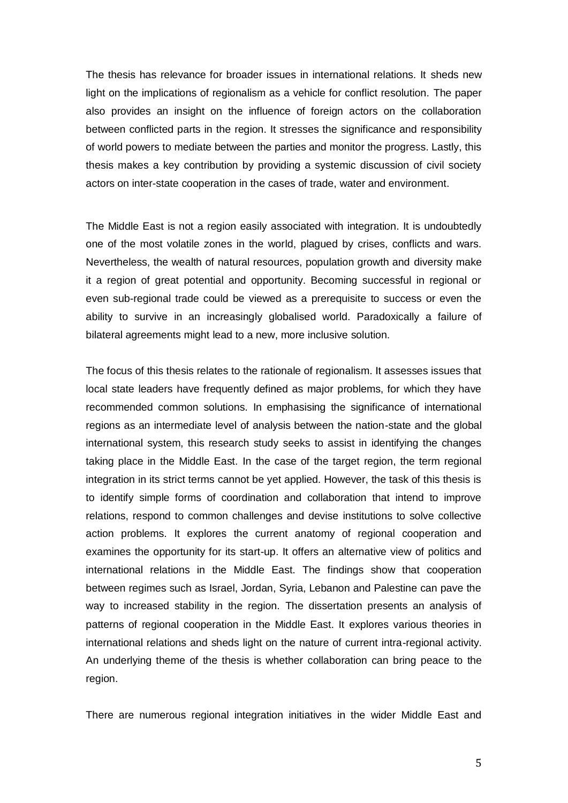The thesis has relevance for broader issues in international relations. It sheds new light on the implications of regionalism as a vehicle for conflict resolution. The paper also provides an insight on the influence of foreign actors on the collaboration between conflicted parts in the region. It stresses the significance and responsibility of world powers to mediate between the parties and monitor the progress. Lastly, this thesis makes a key contribution by providing a systemic discussion of civil society actors on inter-state cooperation in the cases of trade, water and environment.

The Middle East is not a region easily associated with integration. It is undoubtedly one of the most volatile zones in the world, plagued by crises, conflicts and wars. Nevertheless, the wealth of natural resources, population growth and diversity make it a region of great potential and opportunity. Becoming successful in regional or even sub-regional trade could be viewed as a prerequisite to success or even the ability to survive in an increasingly globalised world. Paradoxically a failure of bilateral agreements might lead to a new, more inclusive solution.

The focus of this thesis relates to the rationale of regionalism. It assesses issues that local state leaders have frequently defined as major problems, for which they have recommended common solutions. In emphasising the significance of international regions as an intermediate level of analysis between the nation-state and the global international system, this research study seeks to assist in identifying the changes taking place in the Middle East. In the case of the target region, the term regional integration in its strict terms cannot be yet applied. However, the task of this thesis is to identify simple forms of coordination and collaboration that intend to improve relations, respond to common challenges and devise institutions to solve collective action problems. It explores the current anatomy of regional cooperation and examines the opportunity for its start-up. It offers an alternative view of politics and international relations in the Middle East. The findings show that cooperation between regimes such as Israel, Jordan, Syria, Lebanon and Palestine can pave the way to increased stability in the region. The dissertation presents an analysis of patterns of regional cooperation in the Middle East. It explores various theories in international relations and sheds light on the nature of current intra-regional activity. An underlying theme of the thesis is whether collaboration can bring peace to the region.

There are numerous regional integration initiatives in the wider Middle East and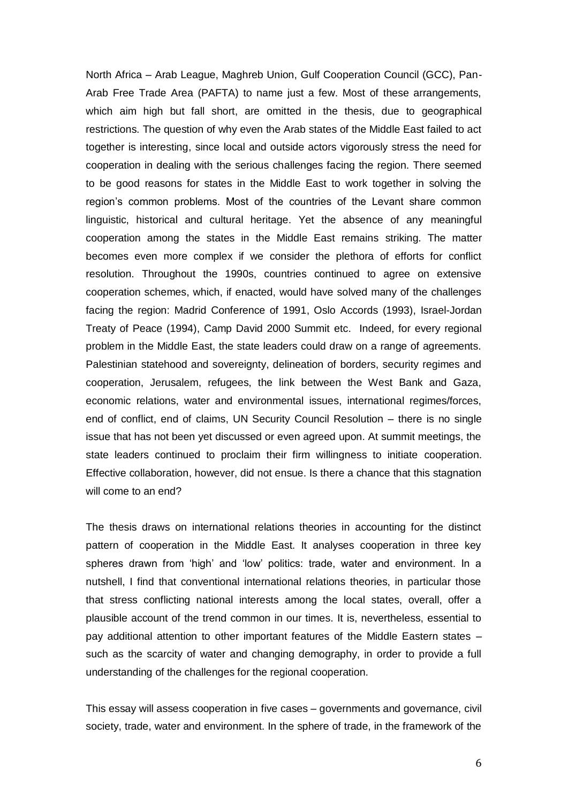North Africa – Arab League, Maghreb Union, Gulf Cooperation Council (GCC), Pan-Arab Free Trade Area (PAFTA) to name just a few. Most of these arrangements, which aim high but fall short, are omitted in the thesis, due to geographical restrictions. The question of why even the Arab states of the Middle East failed to act together is interesting, since local and outside actors vigorously stress the need for cooperation in dealing with the serious challenges facing the region. There seemed to be good reasons for states in the Middle East to work together in solving the region's common problems. Most of the countries of the Levant share common linguistic, historical and cultural heritage. Yet the absence of any meaningful cooperation among the states in the Middle East remains striking. The matter becomes even more complex if we consider the plethora of efforts for conflict resolution. Throughout the 1990s, countries continued to agree on extensive cooperation schemes, which, if enacted, would have solved many of the challenges facing the region: [Madrid Conference of 1991,](http://en.wikipedia.org/wiki/Madrid_Conference_of_1991) [Oslo Accords \(1993\),](http://en.wikipedia.org/wiki/Oslo_Accords) [Israel-Jordan](http://en.wikipedia.org/wiki/Israel-Jordan_Treaty_of_Peace)  [Treaty of Peace \(1994\),](http://en.wikipedia.org/wiki/Israel-Jordan_Treaty_of_Peace) [Camp David 2000 Summit](http://en.wikipedia.org/wiki/Camp_David_2000_Summit) etc. Indeed, for every regional problem in the Middle East, the state leaders could draw on a range of agreements. Palestinian statehood and sovereignty, delineation of borders, security regimes and cooperation, Jerusalem, refugees, the link between the West Bank and Gaza, economic relations, water and environmental issues, international regimes/forces, end of conflict, end of claims, UN Security Council Resolution – there is no single issue that has not been yet discussed or even agreed upon. At summit meetings, the state leaders continued to proclaim their firm willingness to initiate cooperation. Effective collaboration, however, did not ensue. Is there a chance that this stagnation will come to an end?

The thesis draws on international relations theories in accounting for the distinct pattern of cooperation in the Middle East. It analyses cooperation in three key spheres drawn from 'high' and 'low' politics: trade, water and environment. In a nutshell, I find that conventional international relations theories, in particular those that stress conflicting national interests among the local states, overall, offer a plausible account of the trend common in our times. It is, nevertheless, essential to pay additional attention to other important features of the Middle Eastern states – such as the scarcity of water and changing demography, in order to provide a full understanding of the challenges for the regional cooperation.

This essay will assess cooperation in five cases – governments and governance, civil society, trade, water and environment. In the sphere of trade, in the framework of the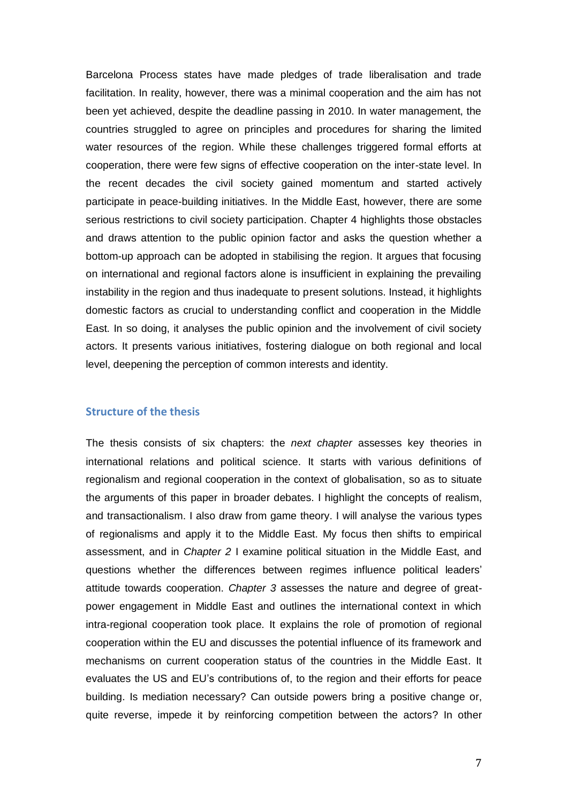Barcelona Process states have made pledges of trade liberalisation and trade facilitation. In reality, however, there was a minimal cooperation and the aim has not been yet achieved, despite the deadline passing in 2010. In water management, the countries struggled to agree on principles and procedures for sharing the limited water resources of the region. While these challenges triggered formal efforts at cooperation, there were few signs of effective cooperation on the inter-state level. In the recent decades the civil society gained momentum and started actively participate in peace-building initiatives. In the Middle East, however, there are some serious restrictions to civil society participation. Chapter 4 highlights those obstacles and draws attention to the public opinion factor and asks the question whether a bottom-up approach can be adopted in stabilising the region. It argues that focusing on international and regional factors alone is insufficient in explaining the prevailing instability in the region and thus inadequate to present solutions. Instead, it highlights domestic factors as crucial to understanding conflict and cooperation in the Middle East. In so doing, it analyses the public opinion and the involvement of civil society actors. It presents various initiatives, fostering dialogue on both regional and local level, deepening the perception of common interests and identity.

#### **Structure of the thesis**

The thesis consists of six chapters: the *next chapter* assesses key theories in international relations and political science. It starts with various definitions of regionalism and regional cooperation in the context of globalisation, so as to situate the arguments of this paper in broader debates. I highlight the concepts of realism, and transactionalism. I also draw from game theory. I will analyse the various types of regionalisms and apply it to the Middle East. My focus then shifts to empirical assessment, and in *Chapter 2* I examine political situation in the Middle East, and questions whether the differences between regimes influence political leaders' attitude towards cooperation. *Chapter 3* assesses the nature and degree of greatpower engagement in Middle East and outlines the international context in which intra-regional cooperation took place. It explains the role of promotion of regional cooperation within the EU and discusses the potential influence of its framework and mechanisms on current cooperation status of the countries in the Middle East. It evaluates the US and EU's contributions of, to the region and their efforts for peace building. Is mediation necessary? Can outside powers bring a positive change or, quite reverse, impede it by reinforcing competition between the actors? In other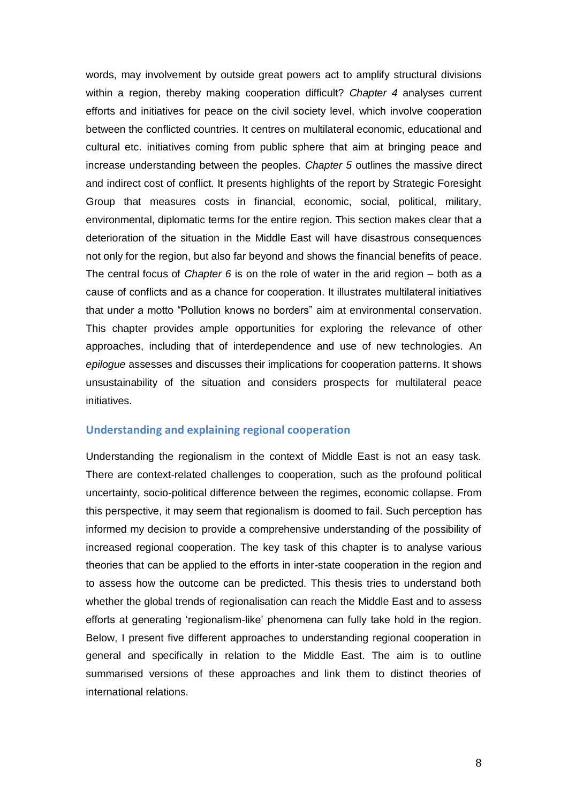words, may involvement by outside great powers act to amplify structural divisions within a region, thereby making cooperation difficult? *Chapter 4* analyses current efforts and initiatives for peace on the civil society level, which involve cooperation between the conflicted countries. It centres on multilateral economic, educational and cultural etc. initiatives coming from public sphere that aim at bringing peace and increase understanding between the peoples. *Chapter 5* outlines the massive direct and indirect cost of conflict. It presents highlights of the report by Strategic Foresight Group that measures costs in financial, economic, social, political, military, environmental, diplomatic terms for the entire region. This section makes clear that a deterioration of the situation in the Middle East will have disastrous consequences not only for the region, but also far beyond and shows the financial benefits of peace. The central focus of *Chapter 6* is on the role of water in the arid region – both as a cause of conflicts and as a chance for cooperation. It illustrates multilateral initiatives that under a motto "Pollution knows no borders" aim at environmental conservation. This chapter provides ample opportunities for exploring the relevance of other approaches, including that of interdependence and use of new technologies. An *epilogue* assesses and discusses their implications for cooperation patterns. It shows unsustainability of the situation and considers prospects for multilateral peace initiatives.

#### **Understanding and explaining regional cooperation**

Understanding the regionalism in the context of Middle East is not an easy task. There are context-related challenges to cooperation, such as the profound political uncertainty, socio-political difference between the regimes, economic collapse. From this perspective, it may seem that regionalism is doomed to fail. Such perception has informed my decision to provide a comprehensive understanding of the possibility of increased regional cooperation. The key task of this chapter is to analyse various theories that can be applied to the efforts in inter-state cooperation in the region and to assess how the outcome can be predicted. This thesis tries to understand both whether the global trends of regionalisation can reach the Middle East and to assess efforts at generating 'regionalism-like' phenomena can fully take hold in the region. Below, I present five different approaches to understanding regional cooperation in general and specifically in relation to the Middle East. The aim is to outline summarised versions of these approaches and link them to distinct theories of international relations.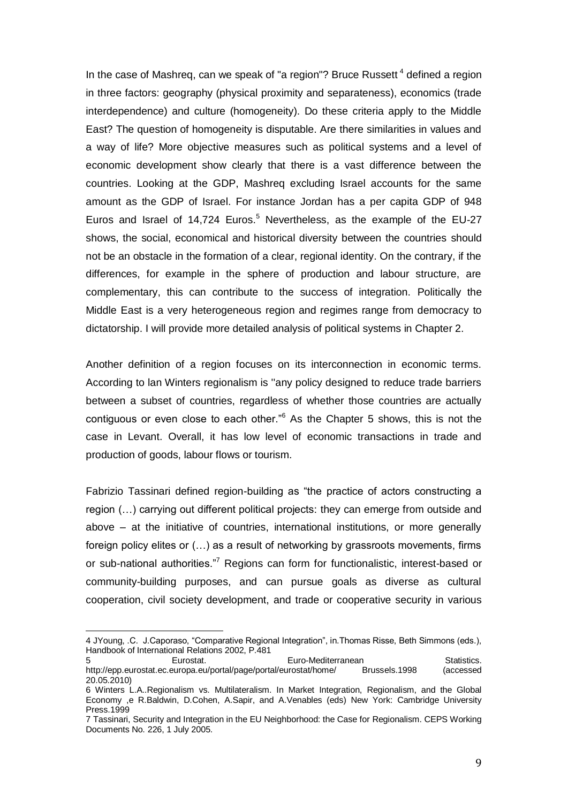In the case of Mashreq, can we speak of "a region"? Bruce Russett  $4$  defined a region in three factors: geography (physical proximity and separateness), economics (trade interdependence) and culture (homogeneity). Do these criteria apply to the Middle East? The question of homogeneity is disputable. Are there similarities in values and a way of life? More objective measures such as political systems and a level of economic development show clearly that there is a vast difference between the countries. Looking at the GDP, Mashreq excluding Israel accounts for the same amount as the GDP of Israel. For instance Jordan has a per capita GDP of 948 Euros and Israel of  $14,724$  Euros.<sup>5</sup> Nevertheless, as the example of the EU-27 shows, the social, economical and historical diversity between the countries should not be an obstacle in the formation of a clear, regional identity. On the contrary, if the differences, for example in the sphere of production and labour structure, are complementary, this can contribute to the success of integration. Politically the Middle East is a very heterogeneous region and regimes range from democracy to dictatorship. I will provide more detailed analysis of political systems in Chapter 2.

Another definition of a region focuses on its interconnection in economic terms. According to lan Winters regionalism is ''any policy designed to reduce trade barriers between a subset of countries, regardless of whether those countries are actually contiguous or even close to each other.<sup> $n^6$ </sup> As the Chapter 5 shows, this is not the case in Levant. Overall, it has low level of economic transactions in trade and production of goods, labour flows or tourism.

Fabrizio Tassinari defined region-building as "the practice of actors constructing a region (…) carrying out different political projects: they can emerge from outside and above – at the initiative of countries, international institutions, or more generally foreign policy elites or (…) as a result of networking by grassroots movements, firms or sub-national authorities."<sup>7</sup> Regions can form for functionalistic, interest-based or community-building purposes, and can pursue goals as diverse as cultural cooperation, civil society development, and trade or cooperative security in various

 $\overline{a}$ 

<sup>4</sup> JYoung, .C. J.Caporaso, "Comparative Regional Integration", in.Thomas Risse, Beth Simmons (eds.), Handbook of International Relations 2002, P.481

<sup>5</sup> Eurostat. Euro-Mediterranean Statistics. http://epp.eurostat.ec.europa.eu/portal/page/portal/eurostat/home/ Brussels.1998 (accessed 20.05.2010)

<sup>6</sup> Winters L.A..Regionalism vs. Multilateralism. In Market Integration, Regionalism, and the Global Economy ,e R.Baldwin, D.Cohen, A.Sapir, and A.Venables (eds) New York: Cambridge University Press.1999

<sup>7</sup> Tassinari, Security and Integration in the EU Neighborhood: the Case for Regionalism. CEPS Working Documents No. 226, 1 July 2005.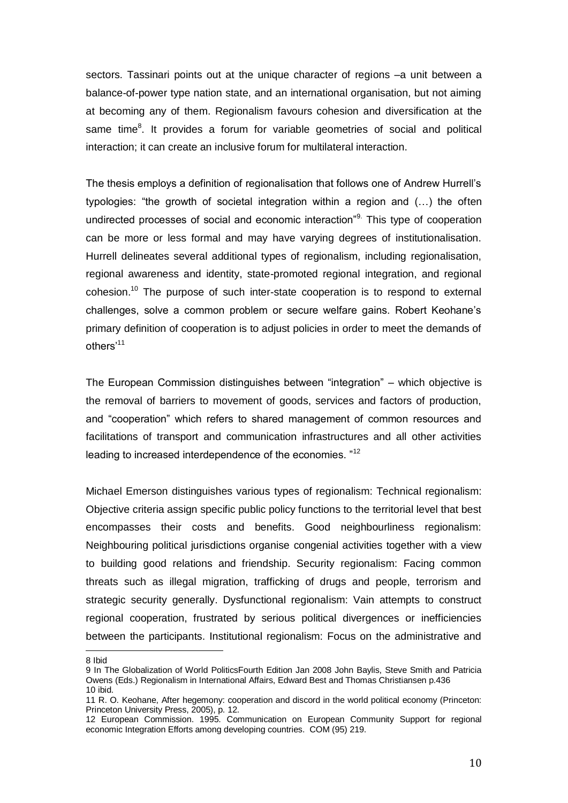sectors. Tassinari points out at the unique character of regions –a unit between a balance-of-power type nation state, and an international organisation, but not aiming at becoming any of them. Regionalism favours cohesion and diversification at the same time<sup>8</sup>. It provides a forum for variable geometries of social and political interaction; it can create an inclusive forum for multilateral interaction.

The thesis employs a definition of regionalisation that follows one of Andrew Hurrell's typologies: "the growth of societal integration within a region and (...) the often undirected processes of social and economic interaction<sup>"9.</sup> This type of cooperation can be more or less formal and may have varying degrees of institutionalisation. Hurrell delineates several additional types of regionalism, including regionalisation, regional awareness and identity, state-promoted regional integration, and regional cohesion.<sup>10</sup> The purpose of such inter-state cooperation is to respond to external challenges, solve a common problem or secure welfare gains. Robert Keohane's primary definition of cooperation is to adjust policies in order to meet the demands of others'<sup>11</sup>

The European Commission distinguishes between "integration" – which objective is the removal of barriers to movement of goods, services and factors of production, and "cooperation" which refers to shared management of common resources and facilitations of transport and communication infrastructures and all other activities leading to increased interdependence of the economies. "<sup>12</sup>

Michael Emerson distinguishes various types of regionalism: Technical regionalism: Objective criteria assign specific public policy functions to the territorial level that best encompasses their costs and benefits. Good neighbourliness regionalism: Neighbouring political jurisdictions organise congenial activities together with a view to building good relations and friendship. Security regionalism: Facing common threats such as illegal migration, trafficking of drugs and people, terrorism and strategic security generally. Dysfunctional regionalism: Vain attempts to construct regional cooperation, frustrated by serious political divergences or inefficiencies between the participants. Institutional regionalism: Focus on the administrative and

 $\overline{a}$ 8 Ibid

<sup>9</sup> In The Globalization of World PoliticsFourth Edition Jan 2008 John Baylis, Steve Smith and Patricia Owens (Eds.) Regionalism in International Affairs, Edward Best and Thomas Christiansen p.436 10 ibid.

<sup>11</sup> R. O. Keohane, After hegemony: cooperation and discord in the world political economy (Princeton: Princeton University Press, 2005), p. 12.

<sup>12</sup> European Commission. 1995. Communication on European Community Support for regional economic Integration Efforts among developing countries. COM (95) 219.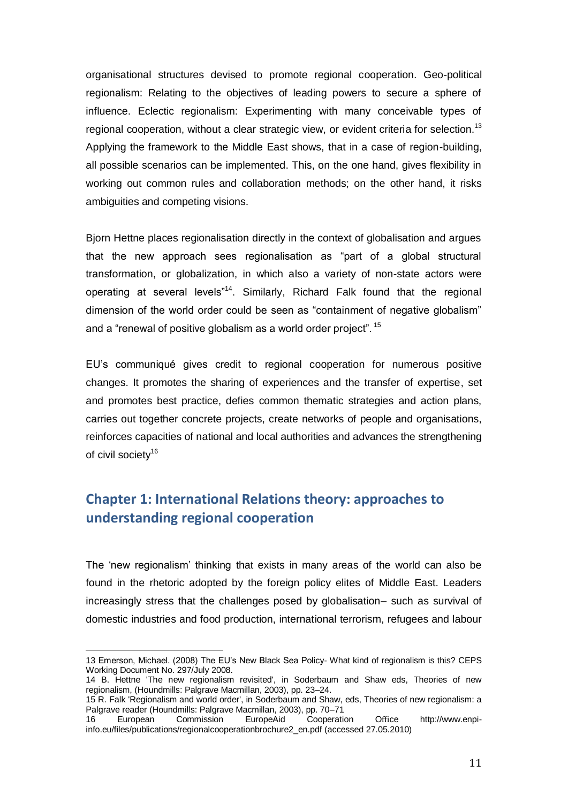organisational structures devised to promote regional cooperation. Geo-political regionalism: Relating to the objectives of leading powers to secure a sphere of influence. Eclectic regionalism: Experimenting with many conceivable types of regional cooperation, without a clear strategic view, or evident criteria for selection.<sup>13</sup> Applying the framework to the Middle East shows, that in a case of region-building, all possible scenarios can be implemented. This, on the one hand, gives flexibility in working out common rules and collaboration methods; on the other hand, it risks ambiguities and competing visions.

Bjorn Hettne places regionalisation directly in the context of globalisation and argues that the new approach sees regionalisation as "part of a global structural transformation, or globalization, in which also a variety of non-state actors were operating at several levels<sup>"14</sup>. Similarly, Richard Falk found that the regional dimension of the world order could be seen as "containment of negative globalism" and a "renewal of positive globalism as a world order project".  $^{15}$ 

EU's communiqué gives credit to regional cooperation for numerous positive changes. It promotes the sharing of experiences and the transfer of expertise, set and promotes best practice, defies common thematic strategies and action plans, carries out together concrete projects, create networks of people and organisations, reinforces capacities of national and local authorities and advances the strengthening of civil society<sup>16</sup>

## **Chapter 1: International Relations theory: approaches to understanding regional cooperation**

The 'new regionalism' thinking that exists in many areas of the world can also be found in the rhetoric adopted by the foreign policy elites of Middle East. Leaders increasingly stress that the challenges posed by globalisation– such as survival of domestic industries and food production, international terrorism, refugees and labour

<sup>13</sup> Emerson, Michael. (2008) The EU's New Black Sea Policy- What kind of regionalism is this? CEPS Working Document No. 297/July 2008.

<sup>14</sup> B. Hettne 'The new regionalism revisited', in Soderbaum and Shaw eds, Theories of new regionalism, (Houndmills: Palgrave Macmillan, 2003), pp. 23–24.

<sup>15</sup> R. Falk 'Regionalism and world order', in Soderbaum and Shaw, eds, Theories of new regionalism: a Palgrave reader (Houndmills: Palgrave Macmillan, 2003), pp. 70–71

<sup>16</sup> European Commission EuropeAid Cooperation Office [http://www.enpi](http://www.enpi-info.eu/files/publications/regionalcooperationbrochure2_en.pdf)[info.eu/files/publications/regionalcooperationbrochure2\\_en.pdf](http://www.enpi-info.eu/files/publications/regionalcooperationbrochure2_en.pdf) (accessed 27.05.2010)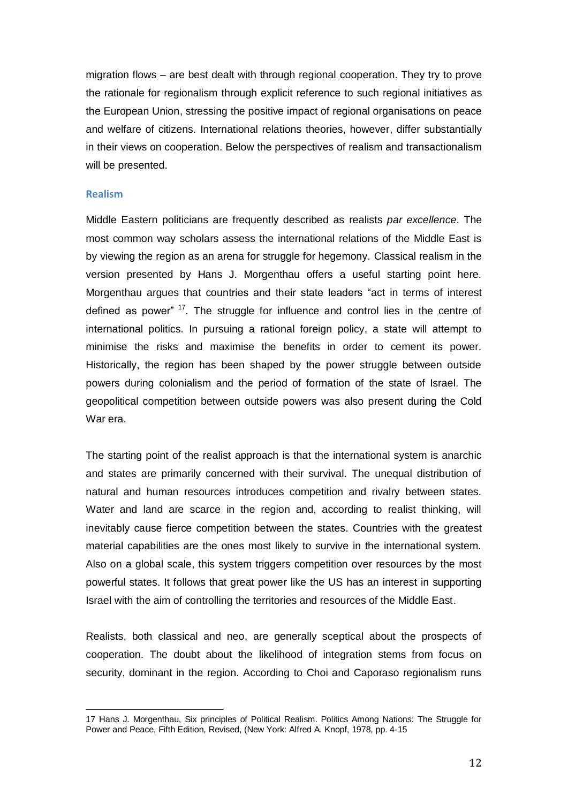migration flows – are best dealt with through regional cooperation. They try to prove the rationale for regionalism through explicit reference to such regional initiatives as the European Union, stressing the positive impact of regional organisations on peace and welfare of citizens. International relations theories, however, differ substantially in their views on cooperation. Below the perspectives of realism and transactionalism will be presented.

#### **Realism**

l

Middle Eastern politicians are frequently described as realists *par excellence*. The most common way scholars assess the international relations of the Middle East is by viewing the region as an arena for struggle for hegemony. Classical realism in the version presented by Hans J. Morgenthau offers a useful starting point here. Morgenthau argues that countries and their state leaders "act in terms of interest defined as power"  $17$ . The struggle for influence and control lies in the centre of international politics. In pursuing a rational foreign policy, a state will attempt to minimise the risks and maximise the benefits in order to cement its power. Historically, the region has been shaped by the power struggle between outside powers during colonialism and the period of formation of the state of Israel. The geopolitical competition between outside powers was also present during the Cold War era.

The starting point of the realist approach is that the international system is anarchic and states are primarily concerned with their survival. The unequal distribution of natural and human resources introduces competition and rivalry between states. Water and land are scarce in the region and, according to realist thinking, will inevitably cause fierce competition between the states. Countries with the greatest material capabilities are the ones most likely to survive in the international system. Also on a global scale, this system triggers competition over resources by the most powerful states. It follows that great power like the US has an interest in supporting Israel with the aim of controlling the territories and resources of the Middle East.

Realists, both classical and neo, are generally sceptical about the prospects of cooperation. The doubt about the likelihood of integration stems from focus on security, dominant in the region. According to Choi and Caporaso regionalism runs

<sup>17</sup> Hans J. Morgenthau, Six principles of Political Realism. Politics Among Nations: The Struggle for Power and Peace, Fifth Edition, Revised, (New York: Alfred A. Knopf, 1978, pp. 4-15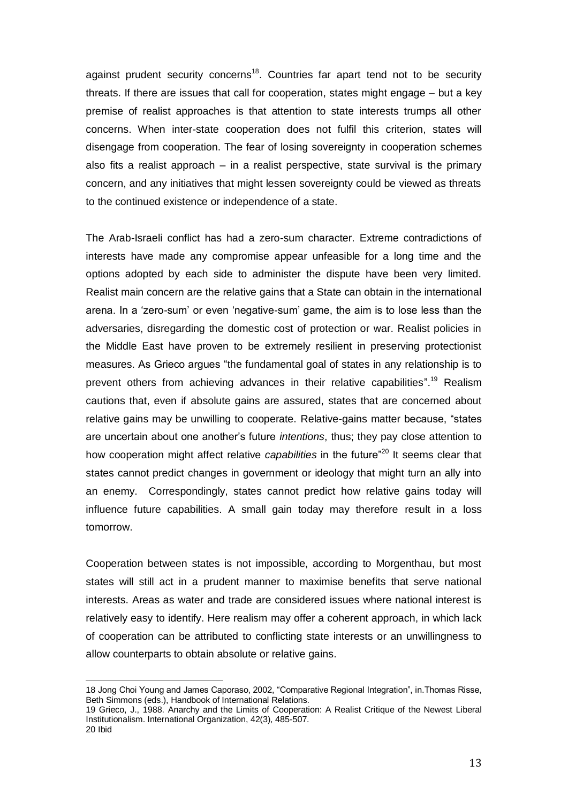against prudent security concerns<sup>18</sup>. Countries far apart tend not to be security threats. If there are issues that call for cooperation, states might engage – but a key premise of realist approaches is that attention to state interests trumps all other concerns. When inter-state cooperation does not fulfil this criterion, states will disengage from cooperation. The fear of losing sovereignty in cooperation schemes also fits a realist approach  $-$  in a realist perspective, state survival is the primary concern, and any initiatives that might lessen sovereignty could be viewed as threats to the continued existence or independence of a state.

The Arab-Israeli conflict has had a zero-sum character. Extreme contradictions of interests have made any compromise appear unfeasible for a long time and the options adopted by each side to administer the dispute have been very limited. Realist main concern are the relative gains that a State can obtain in the international arena. In a 'zero-sum' or even 'negative-sum' game, the aim is to lose less than the adversaries, disregarding the domestic cost of protection or war. Realist policies in the Middle East have proven to be extremely resilient in preserving protectionist measures. As Grieco argues "the fundamental goal of states in any relationship is to prevent others from achieving advances in their relative capabilities".<sup>19</sup> Realism cautions that, even if absolute gains are assured, states that are concerned about relative gains may be unwilling to cooperate. Relative-gains matter because, "states are uncertain about one another's future *intentions*, thus; they pay close attention to how cooperation might affect relative *capabilities* in the future<sup>"20</sup> It seems clear that states cannot predict changes in government or ideology that might turn an ally into an enemy. Correspondingly, states cannot predict how relative gains today will influence future capabilities. A small gain today may therefore result in a loss tomorrow.

Cooperation between states is not impossible, according to Morgenthau, but most states will still act in a prudent manner to maximise benefits that serve national interests. Areas as water and trade are considered issues where national interest is relatively easy to identify. Here realism may offer a coherent approach, in which lack of cooperation can be attributed to conflicting state interests or an unwillingness to allow counterparts to obtain absolute or relative gains.

 $\overline{a}$ 

<sup>18</sup> Jong Choi Young and James Caporaso, 2002, "Comparative Regional Integration", in. Thomas Risse, Beth Simmons (eds.), Handbook of International Relations.

<sup>19</sup> Grieco, J., 1988. Anarchy and the Limits of Cooperation: A Realist Critique of the Newest Liberal Institutionalism. International Organization, 42(3), 485-507. 20 Ibid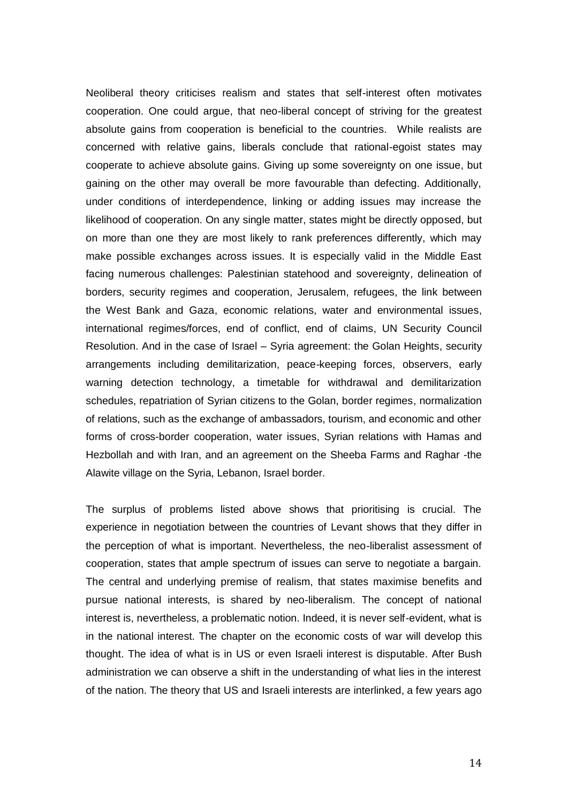Neoliberal theory criticises realism and states that self-interest often motivates cooperation. One could argue, that neo-liberal concept of striving for the greatest absolute gains from cooperation is beneficial to the countries. While realists are concerned with relative gains, liberals conclude that rational-egoist states may cooperate to achieve absolute gains. Giving up some sovereignty on one issue, but gaining on the other may overall be more favourable than defecting. Additionally, under conditions of interdependence, linking or adding issues may increase the likelihood of cooperation. On any single matter, states might be directly opposed, but on more than one they are most likely to rank preferences differently, which may make possible exchanges across issues. It is especially valid in the Middle East facing numerous challenges: Palestinian statehood and sovereignty, delineation of borders, security regimes and cooperation, Jerusalem, refugees, the link between the West Bank and Gaza, economic relations, water and environmental issues, international regimes/forces, end of conflict, end of claims, UN Security Council Resolution. And in the case of Israel – Syria agreement: the Golan Heights, security arrangements including demilitarization, peace-keeping forces, observers, early warning detection technology, a timetable for withdrawal and demilitarization schedules, repatriation of Syrian citizens to the Golan, border regimes, normalization of relations, such as the exchange of ambassadors, tourism, and economic and other forms of cross-border cooperation, water issues, Syrian relations with Hamas and Hezbollah and with Iran, and an agreement on the Sheeba Farms and Raghar -the Alawite village on the Syria, Lebanon, Israel border.

The surplus of problems listed above shows that prioritising is crucial. The experience in negotiation between the countries of Levant shows that they differ in the perception of what is important. Nevertheless, the neo-liberalist assessment of cooperation, states that ample spectrum of issues can serve to negotiate a bargain. The central and underlying premise of realism, that states maximise benefits and pursue national interests, is shared by neo-liberalism. The concept of national interest is, nevertheless, a problematic notion. Indeed, it is never self-evident, what is in the national interest. The chapter on the economic costs of war will develop this thought. The idea of what is in US or even Israeli interest is disputable. After Bush administration we can observe a shift in the understanding of what lies in the interest of the nation. The theory that US and Israeli interests are interlinked, a few years ago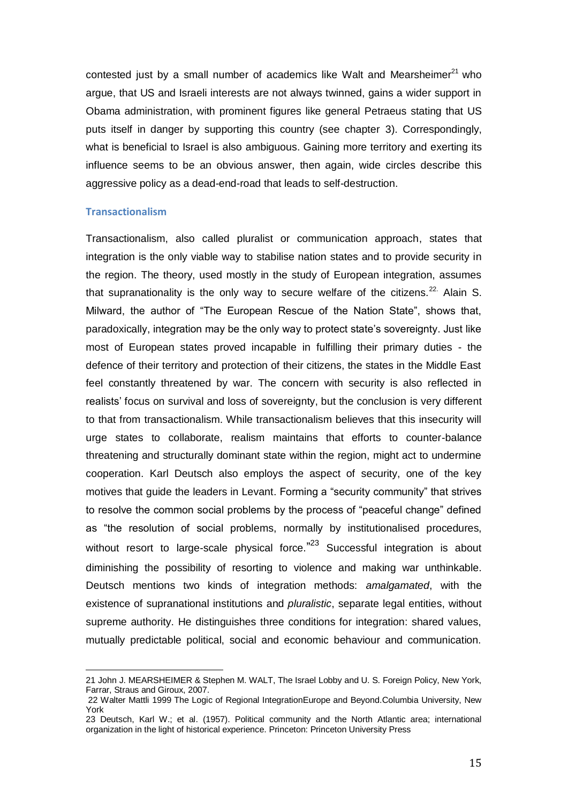contested just by a small number of academics like Walt and Mearsheimer $^{21}$  who argue, that US and Israeli interests are not always twinned, gains a wider support in Obama administration, with prominent figures like general Petraeus stating that US puts itself in danger by supporting this country (see chapter 3). Correspondingly, what is beneficial to Israel is also ambiguous. Gaining more territory and exerting its influence seems to be an obvious answer, then again, wide circles describe this aggressive policy as a dead-end-road that leads to self-destruction.

#### **Transactionalism**

l

Transactionalism, also called pluralist or communication approach, states that integration is the only viable way to stabilise nation states and to provide security in the region. The theory, used mostly in the study of European integration, assumes that supranationality is the only way to secure welfare of the citizens.<sup>22.</sup> Alain S. Milward, the author of "The European Rescue of the Nation State", shows that, paradoxically, integration may be the only way to protect state's sovereignty. Just like most of European states proved incapable in fulfilling their primary duties - the defence of their territory and protection of their citizens, the states in the Middle East feel constantly threatened by war. The concern with security is also reflected in realists' focus on survival and loss of sovereignty, but the conclusion is very different to that from transactionalism. While transactionalism believes that this insecurity will urge states to collaborate, realism maintains that efforts to counter-balance threatening and structurally dominant state within the region, might act to undermine cooperation. Karl Deutsch also employs the aspect of security, one of the key motives that quide the leaders in Levant. Forming a "security community" that strives to resolve the common social problems by the process of "peaceful change" defined as "the resolution of social problems, normally by institutionalised procedures, without resort to large-scale physical force."<sup>23</sup> Successful integration is about diminishing the possibility of resorting to violence and making war unthinkable. Deutsch mentions two kinds of integration methods: *amalgamated*, with the existence of supranational institutions and *pluralistic*, separate legal entities, without supreme authority. He distinguishes three conditions for integration: shared values, mutually predictable political, social and economic behaviour and communication.

<sup>21</sup> John J. MEARSHEIMER & Stephen M. WALT, The Israel Lobby and U. S. Foreign Policy, New York, Farrar, Straus and Giroux, 2007.

<sup>22</sup> Walter Mattli 1999 The Logic of Regional IntegrationEurope and Beyond.Columbia University, New York

<sup>23</sup> Deutsch, Karl W.; et al. (1957). Political community and the North Atlantic area; international organization in the light of historical experience. Princeton: Princeton University Press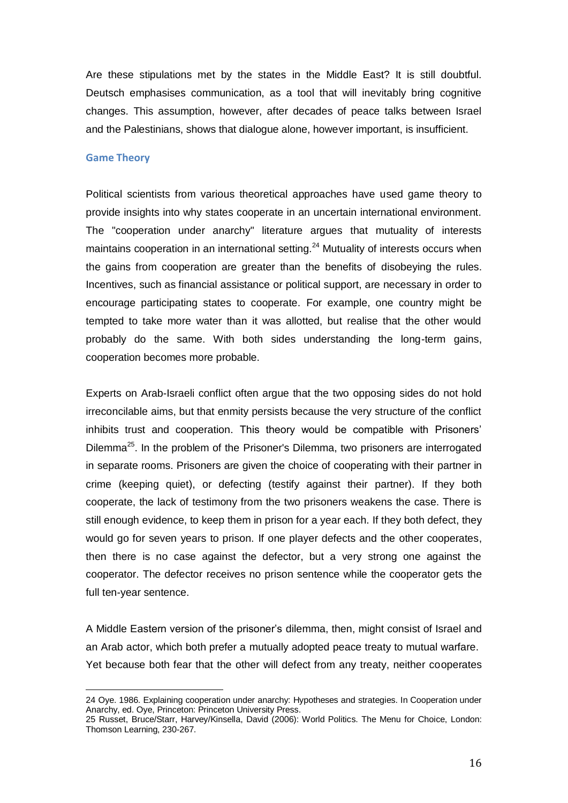Are these stipulations met by the states in the Middle East? It is still doubtful. Deutsch emphasises communication, as a tool that will inevitably bring cognitive changes. This assumption, however, after decades of peace talks between Israel and the Palestinians, shows that dialogue alone, however important, is insufficient.

#### **Game Theory**

l

Political scientists from various theoretical approaches have used game theory to provide insights into why states cooperate in an uncertain international environment. The "cooperation under anarchy" literature argues that mutuality of interests maintains cooperation in an international setting.<sup>24</sup> Mutuality of interests occurs when the gains from cooperation are greater than the benefits of disobeying the rules. Incentives, such as financial assistance or political support, are necessary in order to encourage participating states to cooperate. For example, one country might be tempted to take more water than it was allotted, but realise that the other would probably do the same. With both sides understanding the long-term gains, cooperation becomes more probable.

Experts on Arab-Israeli conflict often argue that the two opposing sides do not hold irreconcilable aims, but that enmity persists because the very structure of the conflict inhibits trust and cooperation. This theory would be compatible with Prisoners' Dilemma<sup>25</sup>. In the problem of the Prisoner's Dilemma, two prisoners are interrogated in separate rooms. Prisoners are given the choice of cooperating with their partner in crime (keeping quiet), or defecting (testify against their partner). If they both cooperate, the lack of testimony from the two prisoners weakens the case. There is still enough evidence, to keep them in prison for a year each. If they both defect, they would go for seven years to prison. If one player defects and the other cooperates, then there is no case against the defector, but a very strong one against the cooperator. The defector receives no prison sentence while the cooperator gets the full ten-year sentence.

A Middle Eastern version of the prisoner's dilemma, then, might consist of Israel and an Arab actor, which both prefer a mutually adopted peace treaty to mutual warfare. Yet because both fear that the other will defect from any treaty, neither cooperates

<sup>24</sup> Oye. 1986. Explaining cooperation under anarchy: Hypotheses and strategies. In Cooperation under Anarchy, ed. Oye, Princeton: Princeton University Press.

<sup>25</sup> Russet, Bruce/Starr, Harvey/Kinsella, David (2006): World Politics. The Menu for Choice, London: Thomson Learning, 230-267.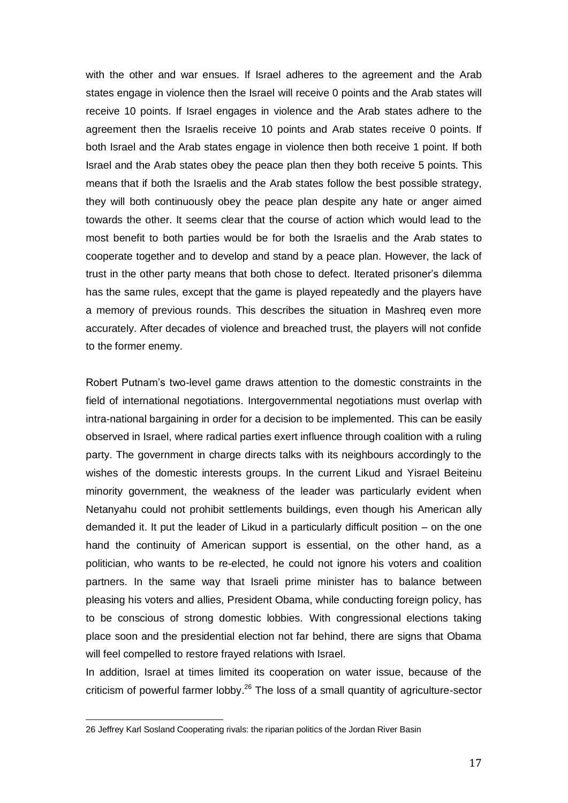with the other and war ensues. If Israel adheres to the agreement and the Arab states engage in violence then the Israel will receive 0 points and the Arab states will receive 10 points. If Israel engages in violence and the Arab states adhere to the agreement then the Israelis receive 10 points and Arab states receive 0 points. If both Israel and the Arab states engage in violence then both receive 1 point. If both Israel and the Arab states obey the peace plan then they both receive 5 points. This means that if both the Israelis and the Arab states follow the best possible strategy, they will both continuously obey the peace plan despite any hate or anger aimed towards the other. It seems clear that the course of action which would lead to the most benefit to both parties would be for both the Israelis and the Arab states to cooperate together and to develop and stand by a peace plan. However, the lack of trust in the other party means that both chose to defect. Iterated prisoner's dilemma has the same rules, except that the game is played repeatedly and the players have a memory of previous rounds. This describes the situation in Mashreq even more accurately. After decades of violence and breached trust, the players will not confide to the former enemy.

Robert Putnam's two-level game draws attention to the domestic constraints in the field of international negotiations. Intergovernmental negotiations must overlap with intra-national bargaining in order for a decision to be implemented. This can be easily observed in Israel, where radical parties exert influence through coalition with a ruling party. The government in charge directs talks with its neighbours accordingly to the wishes of the domestic interests groups. In the current Likud and Yisrael Beiteinu minority government, the weakness of the leader was particularly evident when Netanyahu could not prohibit settlements buildings, even though his American ally demanded it. It put the leader of Likud in a particularly difficult position – on the one hand the continuity of American support is essential, on the other hand, as a politician, who wants to be re-elected, he could not ignore his voters and coalition partners. In the same way that Israeli prime minister has to balance between pleasing his voters and allies, President Obama, while conducting foreign policy, has to be conscious of strong domestic lobbies. With congressional elections taking place soon and the presidential election not far behind, there are signs that Obama will feel compelled to restore frayed relations with Israel.

In addition, Israel at times limited its cooperation on water issue, because of the criticism of powerful farmer lobby.<sup>26</sup> The loss of a small quantity of agriculture-sector

<sup>26</sup> Jeffrey Karl Sosland Cooperating rivals: the riparian politics of the Jordan River Basin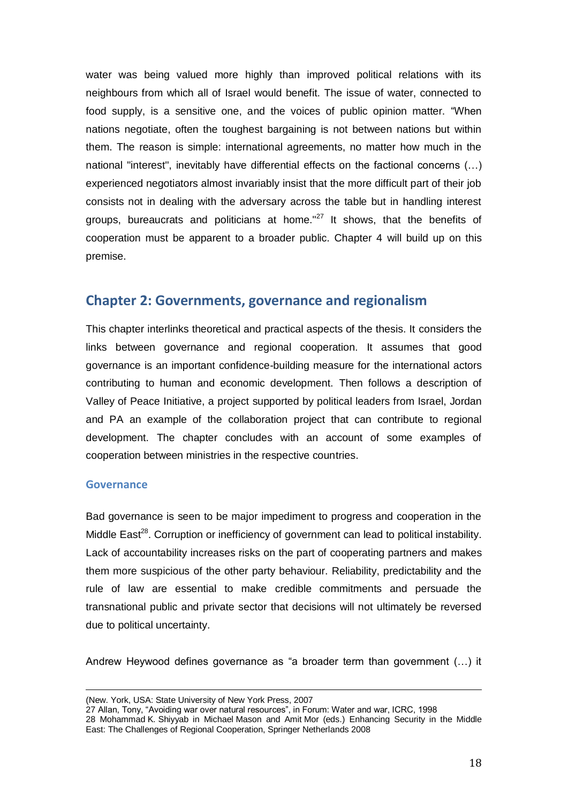water was being valued more highly than improved political relations with its neighbours from which all of Israel would benefit. The issue of water, connected to food supply, is a sensitive one, and the voices of public opinion matter. "When nations negotiate, often the toughest bargaining is not between nations but within them. The reason is simple: international agreements, no matter how much in the national "interest", inevitably have differential effects on the factional concerns (…) experienced negotiators almost invariably insist that the more difficult part of their job consists not in dealing with the adversary across the table but in handling interest groups, bureaucrats and politicians at home." $27$  It shows, that the benefits of cooperation must be apparent to a broader public. Chapter 4 will build up on this premise.

## **Chapter 2: Governments, governance and regionalism**

This chapter interlinks theoretical and practical aspects of the thesis. It considers the links between governance and regional cooperation. It assumes that good governance is an important confidence-building measure for the international actors contributing to human and economic development. Then follows a description of Valley of Peace Initiative, a project supported by political leaders from Israel, Jordan and PA an example of the collaboration project that can contribute to regional development. The chapter concludes with an account of some examples of cooperation between ministries in the respective countries.

#### **Governance**

Bad governance is seen to be major impediment to progress and cooperation in the Middle East<sup>28</sup>. Corruption or inefficiency of government can lead to political instability. Lack of accountability increases risks on the part of cooperating partners and makes them more suspicious of the other party behaviour. Reliability, predictability and the rule of law are essential to make credible commitments and persuade the transnational public and private sector that decisions will not ultimately be reversed due to political uncertainty.

Andrew Heywood defines governance as "a broader term than government (...) it

l (New. York, USA: State University of New York Press, 2007

<sup>27</sup> Allan, Tony, "Avoiding war over natural resources", in Forum: Water and war, ICRC, 1998

<sup>28</sup> Mohammad K. Shiyyab in Michael Mason and Amit Mor (eds.) Enhancing Security in the Middle East: The Challenges of Regional Cooperation, Springer Netherlands 2008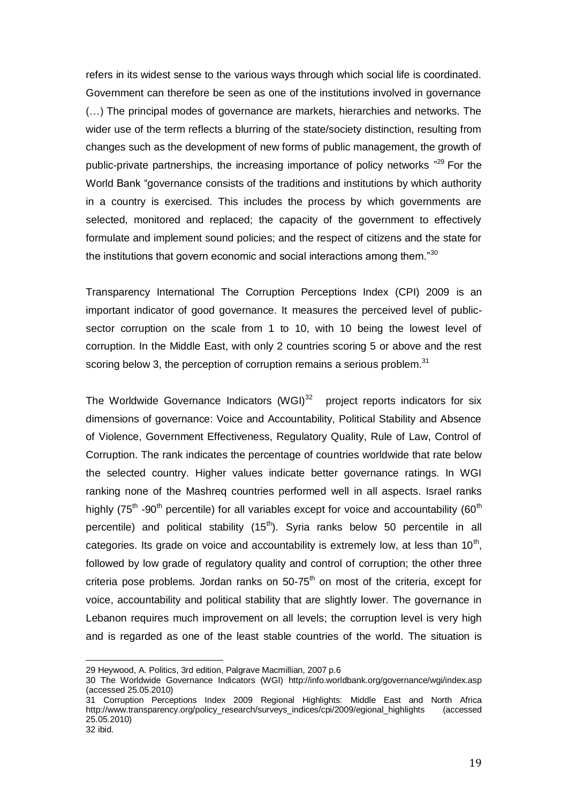refers in its widest sense to the various ways through which social life is coordinated. Government can therefore be seen as one of the institutions involved in governance (…) The principal modes of governance are markets, hierarchies and networks. The wider use of the term reflects a blurring of the state/society distinction, resulting from changes such as the development of new forms of public management, the growth of public-private partnerships, the increasing importance of policy networks "<sup>29</sup> For the World Bank "governance consists of the traditions and institutions by which authority in a country is exercised. This includes the process by which governments are selected, monitored and replaced; the capacity of the government to effectively formulate and implement sound policies; and the respect of citizens and the state for the institutions that govern economic and social interactions among them." $30$ 

Transparency International The Corruption Perceptions Index (CPI) 2009 is an important indicator of good governance. It measures the perceived level of publicsector corruption on the scale from 1 to 10, with 10 being the lowest level of corruption. In the Middle East, with only 2 countries scoring 5 or above and the rest scoring below 3, the perception of corruption remains a serious problem. $31$ 

The Worldwide Governance Indicators  $(WGI)^{32}$  project reports indicators for six dimensions of governance: Voice and Accountability, Political Stability and Absence of Violence, Government Effectiveness, Regulatory Quality, Rule of Law, Control of Corruption. The rank indicates the percentage of countries worldwide that rate below the selected country. Higher values indicate better governance ratings. In WGI ranking none of the Mashreq countries performed well in all aspects. Israel ranks highly (75<sup>th</sup> -90<sup>th</sup> percentile) for all variables except for voice and accountability (60<sup>th</sup> percentile) and political stability  $(15<sup>th</sup>)$ . Syria ranks below 50 percentile in all categories. Its grade on voice and accountability is extremely low, at less than 10<sup>th</sup>, followed by low grade of regulatory quality and control of corruption; the other three criteria pose problems. Jordan ranks on  $50-75<sup>th</sup>$  on most of the criteria, except for voice, accountability and political stability that are slightly lower. The governance in Lebanon requires much improvement on all levels; the corruption level is very high and is regarded as one of the least stable countries of the world. The situation is

 $\overline{a}$ 

<sup>29</sup> Heywood, A. Politics, 3rd edition, Palgrave Macmillian, 2007 p.6

<sup>30</sup> The Worldwide Governance Indicators (WGI) <http://info.worldbank.org/governance/wgi/index.asp> (accessed 25.05.2010)

<sup>31</sup> Corruption Perceptions Index 2009 Regional Highlights: Middle East and North Africa [http://www.transparency.org/policy\\_research/surveys\\_indices/cpi/2009/egional\\_highlights](http://www.transparency.org/policy_research/surveys_indices/cpi/2009/egional_highlights) (accessed 25.05.2010) 32 ibid.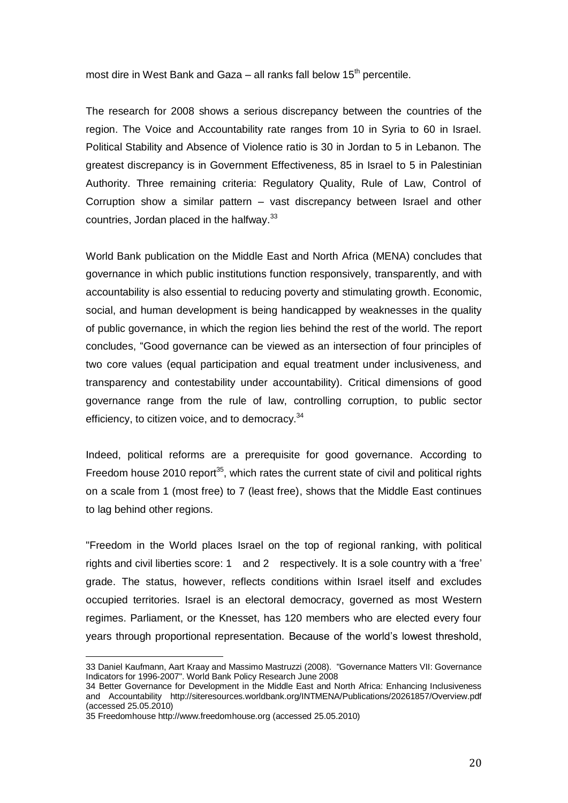most dire in West Bank and Gaza – all ranks fall below  $15<sup>th</sup>$  percentile.

The research for 2008 shows a serious discrepancy between the countries of the region. The Voice and Accountability rate ranges from 10 in Syria to 60 in Israel. Political Stability and Absence of Violence ratio is 30 in Jordan to 5 in Lebanon. The greatest discrepancy is in Government Effectiveness, 85 in Israel to 5 in Palestinian Authority. Three remaining criteria: Regulatory Quality, Rule of Law, Control of Corruption show a similar pattern – vast discrepancy between Israel and other countries, Jordan placed in the halfway.<sup>33</sup>

World Bank publication on the Middle East and North Africa (MENA) concludes that governance in which public institutions function responsively, transparently, and with accountability is also essential to reducing poverty and stimulating growth. Economic, social, and human development is being handicapped by weaknesses in the quality of public governance, in which the region lies behind the rest of the world. The report concludes, "Good governance can be viewed as an intersection of four principles of two core values (equal participation and equal treatment under inclusiveness, and transparency and contestability under accountability). Critical dimensions of good governance range from the rule of law, controlling corruption, to public sector efficiency, to citizen voice, and to democracy.<sup>34</sup>

Indeed, political reforms are a prerequisite for good governance. According to Freedom house 2010 report<sup>35</sup>, which rates the current state of [civil](http://en.wikipedia.org/wiki/Civil_rights) and [political rights](http://en.wikipedia.org/wiki/Freedom_(political)) on a scale from 1 (most free) to 7 (least free), shows that the Middle East continues to lag behind other regions.

"Freedom in the World places Israel on the top of regional ranking, with political rights and civil liberties score: 1 and 2 respectively. It is a sole country with a 'free' grade. The status, however, reflects conditions within Israel itself and excludes occupied territories. Israel is an electoral democracy, governed as most Western regimes. Parliament, or the Knesset, has 120 members who are elected every four years through proportional representation. Because of the world's lowest threshold,

<sup>33</sup> Daniel Kaufmann, Aart Kraay and Massimo Mastruzzi (2008). "Governance Matters VII: Governance Indicators for 1996-2007". World Bank Policy Research June 2008

<sup>34</sup> Better Governance for Development in the Middle East and North Africa: Enhancing Inclusiveness and Accountability <http://siteresources.worldbank.org/INTMENA/Publications/20261857/Overview.pdf> (accessed 25.05.2010)

<sup>35</sup> Freedomhous[e http://www.freedomhouse.org](http://www.freedomhouse.org/) (accessed 25.05.2010)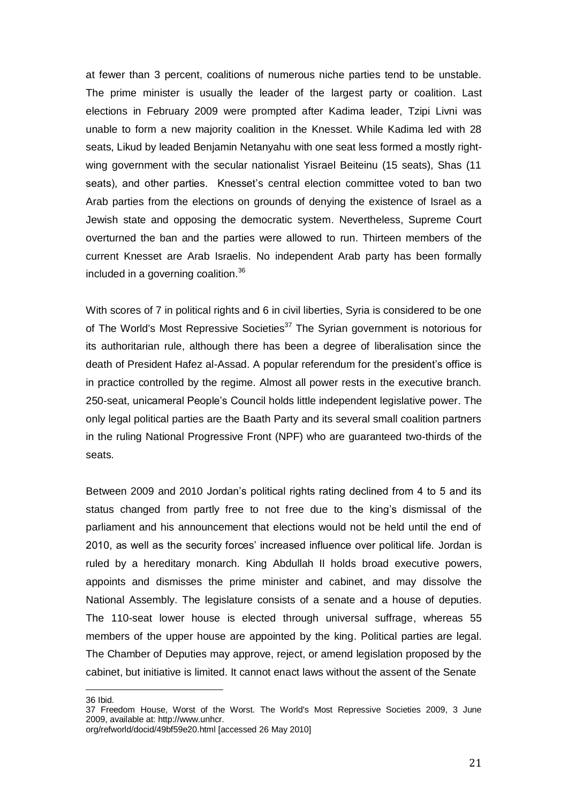at fewer than 3 percent, coalitions of numerous niche parties tend to be unstable. The prime minister is usually the leader of the largest party or coalition. Last elections in February 2009 were prompted after Kadima leader, Tzipi Livni was unable to form a new majority coalition in the Knesset. While Kadima led with 28 seats, Likud by leaded Benjamin Netanyahu with one seat less formed a mostly rightwing government with the secular nationalist Yisrael Beiteinu (15 seats), Shas (11 seats), and other parties. Knesset's central election committee voted to ban two Arab parties from the elections on grounds of denying the existence of Israel as a Jewish state and opposing the democratic system. Nevertheless, Supreme Court overturned the ban and the parties were allowed to run. Thirteen members of the current Knesset are Arab Israelis. No independent Arab party has been formally included in a governing coalition.<sup>36</sup>

With scores of 7 in political rights and 6 in civil liberties, Syria is considered to be one of The World's Most Repressive Societies<sup>37</sup> The Syrian government is notorious for its authoritarian rule, although there has been a degree of liberalisation since the death of President Hafez al-Assad. A popular referendum for the president's office is in practice controlled by the regime. Almost all power rests in the executive branch. 250-seat, unicameral People's Council holds little independent legislative power. The only legal political parties are the Baath Party and its several small coalition partners in the ruling National Progressive Front (NPF) who are guaranteed two-thirds of the seats.

Between 2009 and 2010 Jordan's political rights rating declined from 4 to 5 and its status changed from partly free to not free due to the king's dismissal of the parliament and his announcement that elections would not be held until the end of 2010, as well as the security forces' increased influence over political life. Jordan is ruled by a hereditary monarch. King Abdullah II holds broad executive powers, appoints and dismisses the prime minister and cabinet, and may dissolve the National Assembly. The legislature consists of a senate and a house of deputies. The 110-seat lower house is elected through universal suffrage, whereas 55 members of the upper house are appointed by the king. Political parties are legal. The Chamber of Deputies may approve, reject, or amend legislation proposed by the cabinet, but initiative is limited. It cannot enact laws without the assent of the Senate

36 Ibid.

<sup>37</sup> Freedom House, Worst of the Worst. The World's Most Repressive Societies 2009, 3 June 2009, available at: http://www.unhcr. org/refworld/docid/49bf59e20.html [accessed 26 May 2010]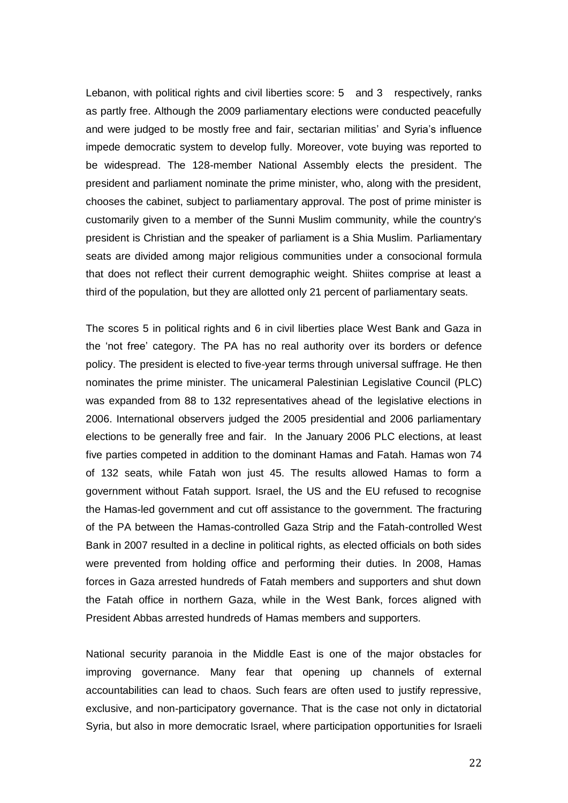Lebanon, with political rights and civil liberties score: 5 and 3 respectively, ranks as partly free. Although the 2009 parliamentary elections were conducted peacefully and were judged to be mostly free and fair, sectarian militias' and Syria's influence impede democratic system to develop fully. Moreover, vote buying was reported to be widespread. The 128-member National Assembly elects the president. The president and parliament nominate the prime minister, who, along with the president, chooses the cabinet, subject to parliamentary approval. The post of prime minister is customarily given to a member of the Sunni Muslim community, while the country's president is Christian and the speaker of parliament is a Shia Muslim. Parliamentary seats are divided among major religious communities under a consocional formula that does not reflect their current demographic weight. Shiites comprise at least a third of the population, but they are allotted only 21 percent of parliamentary seats.

The scores 5 in political rights and 6 in civil liberties place West Bank and Gaza in the 'not free' category. The PA has no real authority over its borders or defence policy. The president is elected to five-year terms through universal suffrage. He then nominates the prime minister. The unicameral Palestinian Legislative Council (PLC) was expanded from 88 to 132 representatives ahead of the legislative elections in 2006. International observers judged the 2005 presidential and 2006 parliamentary elections to be generally free and fair. In the January 2006 PLC elections, at least five parties competed in addition to the dominant Hamas and Fatah. Hamas won 74 of 132 seats, while Fatah won just 45. The results allowed Hamas to form a government without Fatah support. Israel, the US and the EU refused to recognise the Hamas-led government and cut off assistance to the government. The fracturing of the PA between the Hamas-controlled Gaza Strip and the Fatah-controlled West Bank in 2007 resulted in a decline in political rights, as elected officials on both sides were prevented from holding office and performing their duties. In 2008, Hamas forces in Gaza arrested hundreds of Fatah members and supporters and shut down the Fatah office in northern Gaza, while in the West Bank, forces aligned with President Abbas arrested hundreds of Hamas members and supporters.

National security paranoia in the Middle East is one of the major obstacles for improving governance. Many fear that opening up channels of external accountabilities can lead to chaos. Such fears are often used to justify repressive, exclusive, and non-participatory governance. That is the case not only in dictatorial Syria, but also in more democratic Israel, where participation opportunities for Israeli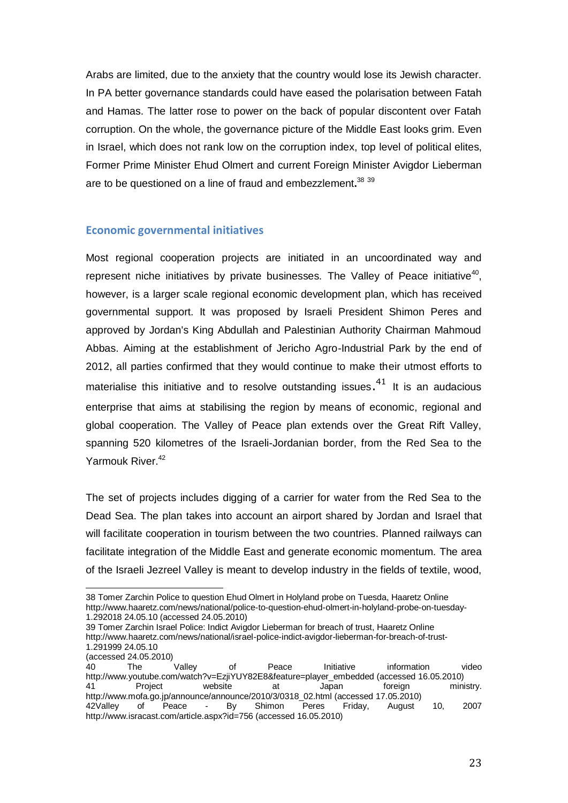Arabs are limited, due to the anxiety that the country would lose its Jewish character. In PA better governance standards could have eased the polarisation between Fatah and Hamas. The latter rose to power on the back of popular discontent over Fatah corruption. On the whole, the governance picture of the Middle East looks grim. Even in Israel, which does not rank low on the corruption index, top level of political elites, Former Prime Minister Ehud Olmert and current Foreign Minister Avigdor Lieberman are to be questioned on a line of fraud and embezzlement**.** 38 39

#### **Economic governmental initiatives**

Most regional cooperation projects are initiated in an uncoordinated way and represent niche initiatives by private businesses. The Valley of Peace initiative $40$ , however, is a larger scale regional economic development plan, which has received governmental support. It was proposed by Israeli President Shimon Peres and approved by Jordan's King Abdullah and Palestinian Authority Chairman Mahmoud Abbas. Aiming at the establishment of Jericho Agro-Industrial Park by the end of 2012, all parties confirmed that they would continue to make their utmost efforts to materialise this initiative and to resolve outstanding issues.<sup>41</sup> It is an audacious enterprise that aims at stabilising the region by means of economic, regional and global cooperation. The Valley of Peace plan extends over the Great Rift Valley, spanning 520 kilometres of the Israeli-Jordanian border, from the Red Sea to the Yarmouk River.<sup>42</sup>

The set of projects includes digging of a carrier for water from the Red Sea to the Dead Sea. The plan takes into account an airport shared by Jordan and Israel that will facilitate cooperation in tourism between the two countries. Planned railways can facilitate integration of the Middle East and generate economic momentum. The area of the Israeli Jezreel Valley is meant to develop industry in the fields of textile, wood,

 $\overline{a}$ 38 [Tomer Zarchin](http://www.haaretz.com/misc/writers/tomer-zarchin-1.599) Police to question Ehud Olmert in Holyland probe on Tuesda, Haaretz Online [http://www.haaretz.com/news/national/police-to-question-ehud-olmert-in-holyland-probe-on-tuesday-](http://www.haaretz.com/news/national/police-to-question-ehud-olmert-in-holyland-probe-on-tuesday-1.292018)[1.292018](http://www.haaretz.com/news/national/police-to-question-ehud-olmert-in-holyland-probe-on-tuesday-1.292018) 24.05.10 (accessed 24.05.2010)

<sup>39</sup> [Tomer Zarchin](http://www.haaretz.com/misc/writers/tomer-zarchin-1.599) Israel Police: Indict Avigdor Lieberman for breach of trust, Haaretz Online [http://www.haaretz.com/news/national/israel-police-indict-avigdor-lieberman-for-breach-of-trust-](http://www.haaretz.com/news/national/israel-police-indict-avigdor-lieberman-for-breach-of-trust-1.291999)[1.291999](http://www.haaretz.com/news/national/israel-police-indict-avigdor-lieberman-for-breach-of-trust-1.291999) 24.05.10

<sup>(</sup>accessed 24.05.2010)<br>40 The Valley 40 The Valley of Peace Initiative information video [http://www.youtube.com/watch?v=EzjiYUY82E8&feature=player\\_embedded](http://www.youtube.com/watch?v=EzjiYUY82E8&feature=player_embedded) (accessed 16.05.2010) 41 [Project website](http://www.mofa.go.jp/region/middle_e/peaceprocess/corridor/index.html) at Japan foreign ministry. [http://www.mofa.go.jp/announce/announce/2010/3/0318\\_02.html](http://www.mofa.go.jp/announce/announce/2010/3/0318_02.html) (accessed 17.05.2010) 42Valley of Peace - By Shimon Peres Friday, August 10, 2007 <http://www.isracast.com/article.aspx?id=756> (accessed 16.05.2010)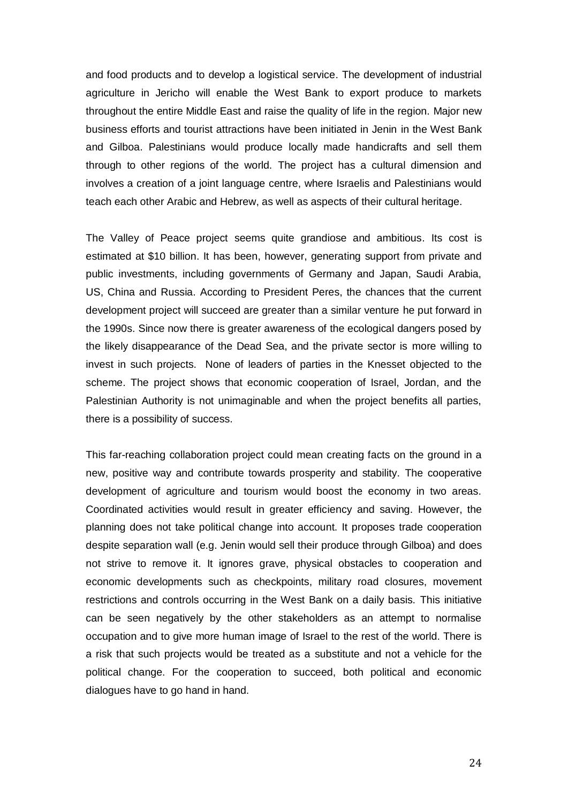and food products and to develop a logistical service. The development of industrial agriculture in Jericho will enable the West Bank to export produce to markets throughout the entire Middle East and raise the quality of life in the region. Major new business efforts and tourist attractions have been initiated in Jenin in the West Bank and Gilboa. Palestinians would produce locally made handicrafts and sell them through to other regions of the world. The project has a cultural dimension and involves a creation of a joint language centre, where Israelis and Palestinians would teach each other Arabic and Hebrew, as well as aspects of their cultural heritage.

The Valley of Peace project seems quite grandiose and ambitious. Its cost is estimated at \$10 billion. It has been, however, generating support from private and public investments, including governments of Germany and Japan, Saudi Arabia, US, China and Russia. According to President Peres, the chances that the current development project will succeed are greater than a similar venture he put forward in the 1990s. Since now there is greater awareness of the ecological dangers posed by the likely disappearance of the Dead Sea, and the private sector is more willing to invest in such projects. None of leaders of parties in the Knesset objected to the scheme. The project shows that economic cooperation of Israel, Jordan, and the Palestinian Authority is not unimaginable and when the project benefits all parties, there is a possibility of success.

This far-reaching collaboration project could mean creating facts on the ground in a new, positive way and contribute towards prosperity and stability. The cooperative development of agriculture and tourism would boost the economy in two areas. Coordinated activities would result in greater efficiency and saving. However, the planning does not take political change into account. It proposes trade cooperation despite separation wall (e.g. Jenin would sell their produce through Gilboa) and does not strive to remove it. It ignores grave, physical obstacles to cooperation and economic developments such as checkpoints, military road closures, movement restrictions and controls occurring in the West Bank on a daily basis. This initiative can be seen negatively by the other stakeholders as an attempt to normalise occupation and to give more human image of Israel to the rest of the world. There is a risk that such projects would be treated as a substitute and not a vehicle for the political change. For the cooperation to succeed, both political and economic dialogues have to go hand in hand.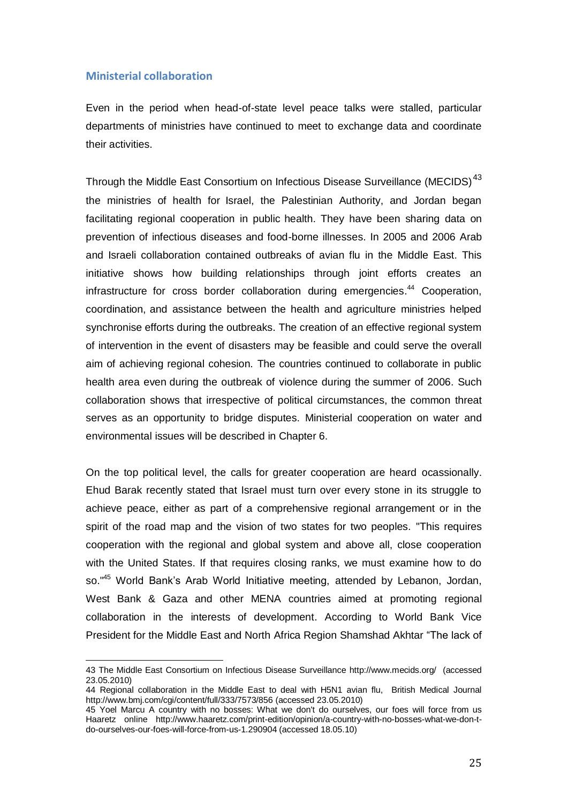#### **Ministerial collaboration**

 $\overline{a}$ 

Even in the period when head-of-state level peace talks were stalled, particular departments of ministries have continued to meet to exchange data and coordinate their activities.

Through the Middle East Consortium on Infectious Disease Surveillance (MECIDS)<sup>43</sup> the ministries of health for Israel, the Palestinian Authority, and Jordan began facilitating regional cooperation in public health. They have been sharing data on prevention of infectious diseases and food-borne illnesses. In 2005 and 2006 Arab and Israeli collaboration contained outbreaks of avian flu in the Middle East. This initiative shows how building relationships through joint efforts creates an infrastructure for cross border collaboration during emergencies.<sup>44</sup> Cooperation, coordination, and assistance between the health and agriculture ministries helped synchronise efforts during the outbreaks. The creation of an effective regional system of intervention in the event of disasters may be feasible and could serve the overall aim of achieving regional cohesion. The countries continued to collaborate in public health area even during the outbreak of violence during the summer of 2006. Such collaboration shows that irrespective of political circumstances, the common threat serves as an opportunity to bridge disputes. Ministerial cooperation on water and environmental issues will be described in Chapter 6.

On the top political level, the calls for greater cooperation are heard ocassionally. Ehud Barak recently stated that Israel must turn over every stone in its struggle to achieve peace, either as part of a comprehensive regional arrangement or in the spirit of the road map and the vision of two states for two peoples. "This requires cooperation with the regional and global system and above all, close cooperation with the United States. If that requires closing ranks, we must examine how to do so."<sup>45</sup> World Bank's Arab World Initiative meeting, attended by Lebanon, Jordan, West Bank & Gaza and other MENA countries aimed at promoting regional collaboration in the interests of development. According to World Bank Vice President for the Middle East and North Africa Region Shamshad Akhtar "The lack of

<sup>43</sup> The Middle East Consortium on Infectious Disease Surveillance<http://www.mecids.org/>(accessed 23.05.2010)

<sup>44</sup> Regional collaboration in the Middle East to deal with H5N1 avian flu, British Medical Journal <http://www.bmj.com/cgi/content/full/333/7573/856> (accessed 23.05.2010)

<sup>45</sup> [Yoel Marcu](http://www.haaretz.com/misc/writers/yoel-marcus-1.655) A country with no bosses: What we don't do ourselves, our foes will force from us Haaretz online http://www.haaretz.com/print-edition/opinion/a-country-with-no-bosses-what-we-don-tdo-ourselves-our-foes-will-force-from-us-1.290904 (accessed 18.05.10)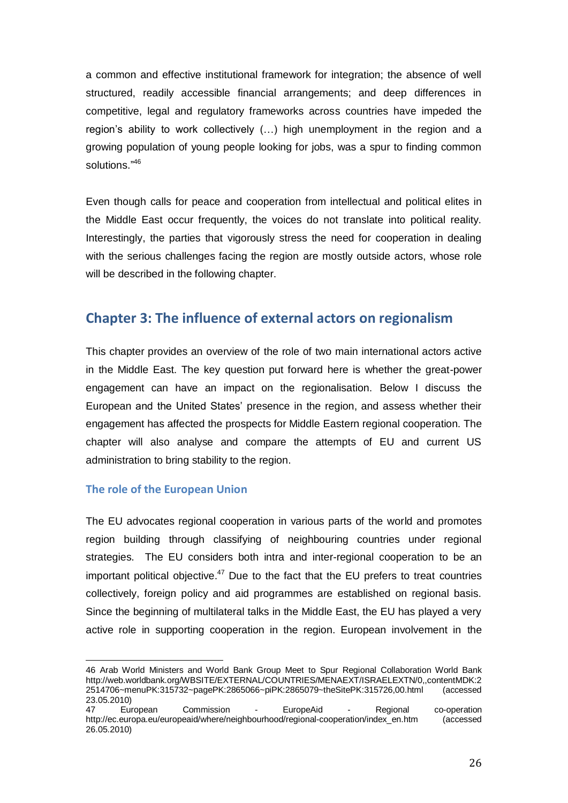a common and effective institutional framework for integration; the absence of well structured, readily accessible financial arrangements; and deep differences in competitive, legal and regulatory frameworks across countries have impeded the region's ability to work collectively (…) high unemployment in the region and a growing population of young people looking for jobs, was a spur to finding common solutions."<sup>46</sup>

Even though calls for peace and cooperation from intellectual and political elites in the Middle East occur frequently, the voices do not translate into political reality. Interestingly, the parties that vigorously stress the need for cooperation in dealing with the serious challenges facing the region are mostly outside actors, whose role will be described in the following chapter.

## **Chapter 3: The influence of external actors on regionalism**

This chapter provides an overview of the role of two main international actors active in the Middle East. The key question put forward here is whether the great-power engagement can have an impact on the regionalisation. Below I discuss the European and the United States' presence in the region, and assess whether their engagement has affected the prospects for Middle Eastern regional cooperation. The chapter will also analyse and compare the attempts of EU and current US administration to bring stability to the region.

#### **The role of the European Union**

The EU advocates regional cooperation in various parts of the world and promotes region building through classifying of neighbouring countries under regional strategies. The EU considers both intra and inter-regional cooperation to be an important political objective.<sup>47</sup> Due to the fact that the EU prefers to treat countries collectively, foreign policy and aid programmes are established on regional basis. Since the beginning of multilateral talks in the Middle East, the EU has played a very active role in supporting cooperation in the region. European involvement in the

 $\overline{a}$ 46 Arab World Ministers and World Bank Group Meet to Spur Regional Collaboration World Bank [http://web.worldbank.org/WBSITE/EXTERNAL/COUNTRIES/MENAEXT/ISRAELEXTN/0,,contentMDK:2](http://web.worldbank.org/WBSITE/EXTERNAL/COUNTRIES/MENAEXT/ISRAELEXTN/0,,contentMDK:22514706~menuPK:315732~pagePK:2865066~piPK:2865079~theSitePK:315726,00.html) [2514706~menuPK:315732~pagePK:2865066~piPK:2865079~theSitePK:315726,00.html](http://web.worldbank.org/WBSITE/EXTERNAL/COUNTRIES/MENAEXT/ISRAELEXTN/0,,contentMDK:22514706~menuPK:315732~pagePK:2865066~piPK:2865079~theSitePK:315726,00.html) (accessed 23.05.2010)

<sup>47</sup> European Commission - EuropeAid - Regional co-operation [http://ec.europa.eu/europeaid/where/neighbourhood/regional-cooperation/index\\_en.htm](http://ec.europa.eu/europeaid/where/neighbourhood/regional-cooperation/index_en.htm) (accessed 26.05.2010)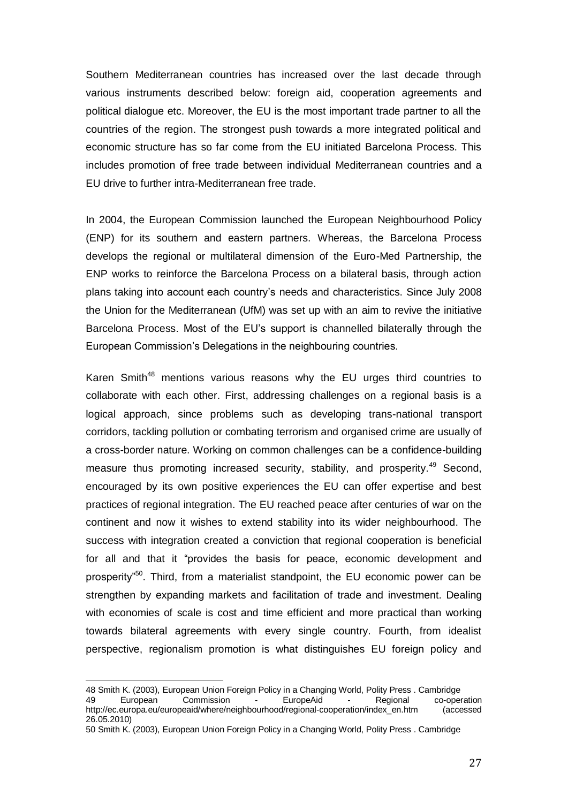Southern Mediterranean countries has increased over the last decade through various instruments described below: foreign aid, cooperation agreements and political dialogue etc. Moreover, the EU is the most important trade partner to all the countries of the region. The strongest push towards a more integrated political and economic structure has so far come from the EU initiated Barcelona Process. This includes promotion of free trade between individual Mediterranean countries and a EU drive to further intra-Mediterranean free trade.

In 2004, the European Commission launched the European Neighbourhood Policy (ENP) for its southern and eastern partners. Whereas, the Barcelona Process develops the regional or multilateral dimension of the Euro-Med Partnership, the ENP works to reinforce the Barcelona Process on a bilateral basis, through action plans taking into account each country's needs and characteristics. Since July 2008 the Union for the Mediterranean (UfM) was set up with an aim to revive the initiative Barcelona Process. Most of the EU's support is channelled bilaterally through the European Commission's Delegations in the neighbouring countries.

Karen Smith<sup>48</sup> mentions various reasons why the EU urges third countries to collaborate with each other. First, addressing challenges on a regional basis is a logical approach, since problems such as developing trans-national transport corridors, tackling pollution or combating terrorism and organised crime are usually of a cross-border nature. Working on common challenges can be a confidence-building measure thus promoting increased security, stability, and prosperity.<sup>49</sup> Second, encouraged by its own positive experiences the EU can offer expertise and best practices of regional integration. The EU reached peace after centuries of war on the continent and now it wishes to extend stability into its wider neighbourhood. The success with integration created a conviction that regional cooperation is beneficial for all and that it "provides the basis for peace, economic development and prosperity<sup>"50</sup>. Third, from a materialist standpoint, the EU economic power can be strengthen by expanding markets and facilitation of trade and investment. Dealing with economies of scale is cost and time efficient and more practical than working towards bilateral agreements with every single country. Fourth, from idealist perspective, regionalism promotion is what distinguishes EU foreign policy and

 $\overline{a}$ 48 Smith K. (2003), European Union Foreign Policy in a Changing World, Polity Press . Cambridge<br>49 **European** Commission - EuropeAid - Regional co-oper 49 European Commission - EuropeAid - Regional co-operation [http://ec.europa.eu/europeaid/where/neighbourhood/regional-cooperation/index\\_en.htm](http://ec.europa.eu/europeaid/where/neighbourhood/regional-cooperation/index_en.htm) (accessed 26.05.2010)

<sup>50</sup> Smith K. (2003), European Union Foreign Policy in a Changing World, Polity Press . Cambridge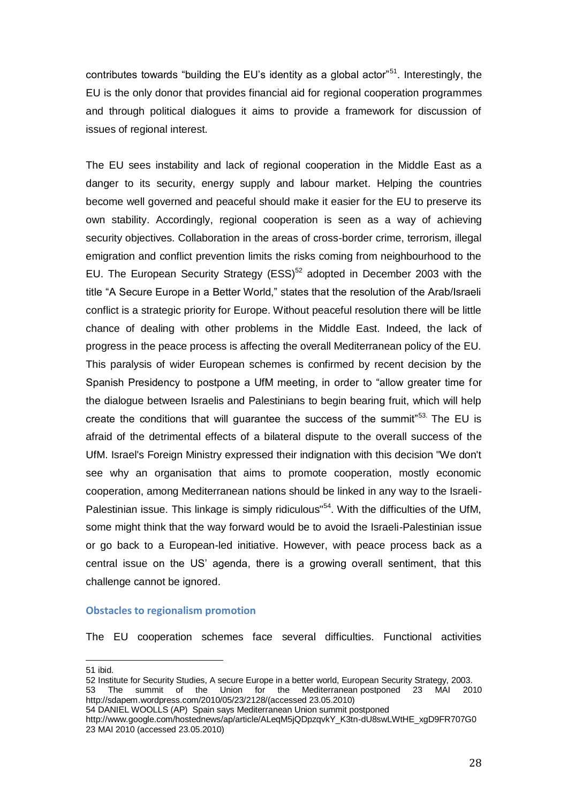contributes towards "building the EU's identity as a global actor"<sup>51</sup>. Interestingly, the EU is the only donor that provides financial aid for regional cooperation programmes and through political dialogues it aims to provide a framework for discussion of issues of regional interest.

The EU sees instability and lack of regional cooperation in the Middle East as a danger to its security, energy supply and labour market. Helping the countries become well governed and peaceful should make it easier for the EU to preserve its own stability. Accordingly, regional cooperation is seen as a way of achieving security objectives. Collaboration in the areas of cross-border crime, terrorism, illegal emigration and conflict prevention limits the risks coming from neighbourhood to the EU. The European Security Strategy (ESS) $52$  adopted in December 2003 with the title "A Secure Europe in a Better World," states that the resolution of the Arab/Israeli conflict is a strategic priority for Europe. Without peaceful resolution there will be little chance of dealing with other problems in the Middle East. Indeed, the lack of progress in the peace process is affecting the overall Mediterranean policy of the EU. This paralysis of wider European schemes is confirmed by recent decision by the Spanish Presidency to postpone a UfM meeting, in order to "allow greater time for the dialogue between Israelis and Palestinians to begin bearing fruit, which will help create the conditions that will quarantee the success of the summit $^{53}$ . The EU is afraid of the detrimental effects of a bilateral dispute to the overall success of the UfM. Israel's Foreign Ministry expressed their indignation with this decision "We don't see why an organisation that aims to promote cooperation, mostly economic cooperation, among Mediterranean nations should be linked in any way to the Israeli-Palestinian issue. This linkage is simply ridiculous"<sup>54</sup>. With the difficulties of the UfM, some might think that the way forward would be to avoid the Israeli-Palestinian issue or go back to a European-led initiative. However, with peace process back as a central issue on the US' agenda, there is a growing overall sentiment, that this challenge cannot be ignored.

#### **Obstacles to regionalism promotion**

The EU cooperation schemes face several difficulties. Functional activities

 $\overline{a}$ 

<sup>51</sup> ibid.

<sup>52</sup> Institute for Security Studies, A secure Europe in a better world, European Security Strategy, 2003. 53 The summit of the Union for the Mediterranean postponed 23 MAI 2010 http://sdapem.wordpress.com/2010/05/23/2128/(accessed 23.05.2010)

<sup>54</sup> DANIEL WOOLLS (AP) Spain says Mediterranean Union summit postponed

[http://www.google.com/hostednews/ap/article/ALeqM5jQDpzqvkY\\_K3tn-dU8swLWtHE\\_xgD9FR707G0](http://www.google.com/hostednews/ap/article/ALeqM5jQDpzqvkY_K3tn-dU8swLWtHE_xgD9FR707G0) 23 MAI 2010 (accessed 23.05.2010)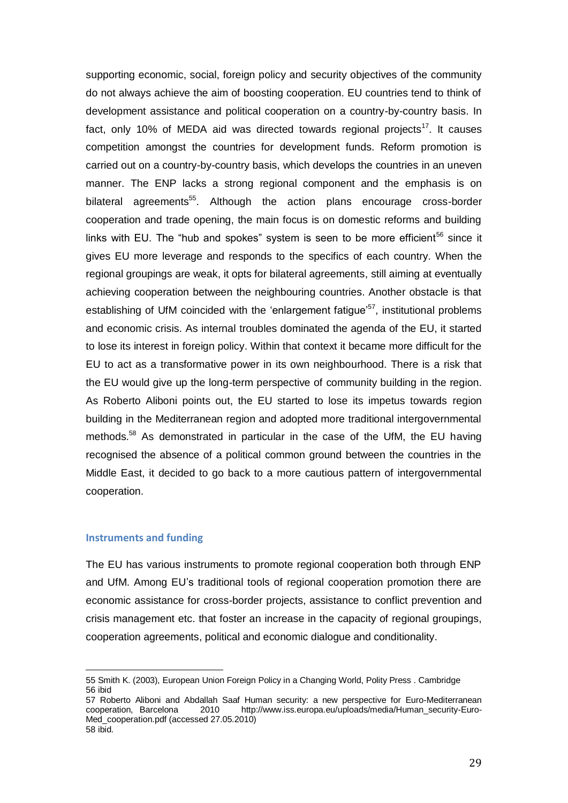supporting economic, social, foreign policy and security objectives of the community do not always achieve the aim of boosting cooperation. EU countries tend to think of development assistance and political cooperation on a country-by-country basis. In fact, only 10% of MEDA aid was directed towards regional projects<sup>17</sup>. It causes competition amongst the countries for development funds. Reform promotion is carried out on a country-by-country basis, which develops the countries in an uneven manner. The ENP lacks a strong regional component and the emphasis is on bilateral agreements<sup>55</sup>. Although the action plans encourage cross-border cooperation and trade opening, the main focus is on domestic reforms and building links with EU. The "hub and spokes" system is seen to be more efficient<sup>56</sup> since it gives EU more leverage and responds to the specifics of each country. When the regional groupings are weak, it opts for bilateral agreements, still aiming at eventually achieving cooperation between the neighbouring countries. Another obstacle is that establishing of UfM coincided with the 'enlargement fatigue'<sup>57</sup>, institutional problems and economic crisis. As internal troubles dominated the agenda of the EU, it started to lose its interest in foreign policy. Within that context it became more difficult for the EU to act as a transformative power in its own neighbourhood. There is a risk that the EU would give up the long-term perspective of community building in the region. As Roberto Aliboni points out, the EU started to lose its impetus towards region building in the Mediterranean region and adopted more traditional intergovernmental methods.<sup>58</sup> As demonstrated in particular in the case of the UfM, the EU having recognised the absence of a political common ground between the countries in the Middle East, it decided to go back to a more cautious pattern of intergovernmental cooperation.

#### **Instruments and funding**

l

The EU has various instruments to promote regional cooperation both through ENP and UfM. Among EU's traditional tools of regional cooperation promotion there are economic assistance for cross-border projects, assistance to conflict prevention and crisis management etc. that foster an increase in the capacity of regional groupings, cooperation agreements, political and economic dialogue and conditionality.

<sup>55</sup> Smith K. (2003), European Union Foreign Policy in a Changing World, Polity Press . Cambridge 56 ibid

<sup>57</sup> Roberto Aliboni and Abdallah Saaf Human security: a new perspective for Euro-Mediterranean cooperation, Barcelona 2010 [http://www.iss.europa.eu/uploads/media/Human\\_security-Euro-](http://www.iss.europa.eu/uploads/media/Human_security-Euro-Med_cooperation.pdf)[Med\\_cooperation.pdf](http://www.iss.europa.eu/uploads/media/Human_security-Euro-Med_cooperation.pdf) (accessed 27.05.2010) 58 ibid.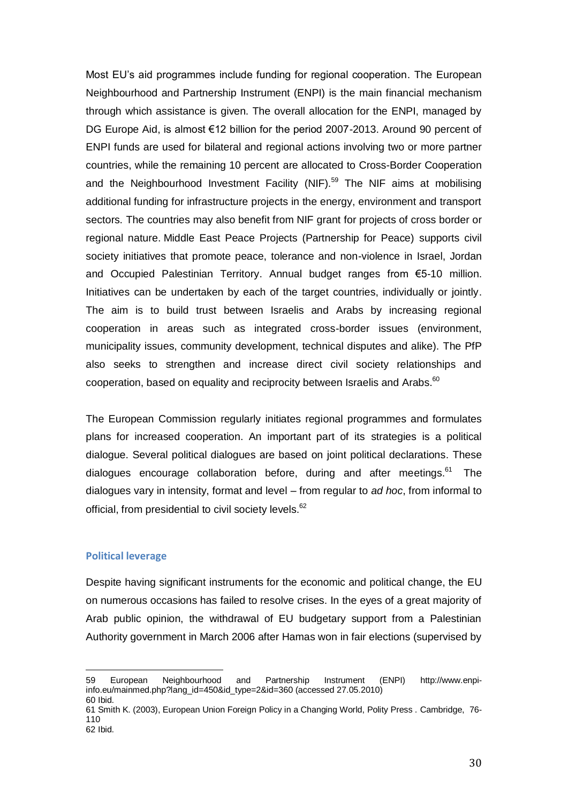Most EU's aid programmes include funding for regional cooperation. The [European](http://www.enpi-info.eu/%22/%22http:/ec.europa.eu/world/enp/pdf/oj_l310_en.pdf/%22/%22)  [Neighbourhood and Partnership Instrument \(ENPI\)](http://www.enpi-info.eu/%22/%22http:/ec.europa.eu/world/enp/pdf/oj_l310_en.pdf/%22/%22) is the main financial mechanism through which assistance is given. The overall allocation for the ENPI, managed by DG [Europe Aid,](http://www.enpi-info.eu/%22/%22http:/ec.europa.eu/europeaid/where/neighbourhood/index_en.htm/%22/%22) is almost €12 billion for the period 2007-2013. Around 90 percent of ENPI funds are used for bilateral and regional actions involving two or more partner countries, while the remaining 10 percent are allocated to [Cross-Border Cooperation](http://ec.europa.eu/europeaid/where/neighbourhood/regional-cooperation/enpi-cross-border/index_en.htm) and the [Neighbourhood Investment Facility](http://ec.europa.eu/europeaid/where/neighbourhood/regional-cooperation/irc/investment_en.htm) (NIF).<sup>59</sup> The NIF aims at mobilising additional funding for infrastructure projects in the energy, environment and transport sectors. The countries may also benefit from NIF grant for projects of cross border or regional nature. Middle East Peace Projects (Partnership for Peace) supports civil society initiatives that promote peace, tolerance and non-violence in Israel, Jordan and Occupied Palestinian Territory. Annual budget ranges from €5-10 million. Initiatives can be undertaken by each of the target countries, individually or jointly. The aim is to build trust between Israelis and Arabs by increasing regional cooperation in areas such as integrated cross-border issues (environment, municipality issues, community development, technical disputes and alike). The PfP also seeks to strengthen and increase direct civil society relationships and cooperation, based on equality and reciprocity between Israelis and Arabs. $60$ 

The European Commission regularly initiates regional programmes and formulates plans for increased cooperation. An important part of its strategies is a political dialogue. Several political dialogues are based on joint political declarations. These dialogues encourage collaboration before, during and after meetings. $61$  The dialogues vary in intensity, format and level – from regular to *ad hoc*, from informal to official, from presidential to civil society levels.<sup>62</sup>

#### **Political leverage**

l

Despite having significant instruments for the economic and political change, the EU on numerous occasions has failed to resolve crises. In the eyes of a great majority of Arab public opinion, the withdrawal of EU budgetary support from a Palestinian Authority government in March 2006 after Hamas won in fair elections (supervised by

<sup>59</sup> [European Neighbourhood and Partnership Instrument \(ENPI\)](http://www.enpi-info.eu/%22/%22http:/ec.europa.eu/world/enp/pdf/oj_l310_en.pdf/%22/%22) [http://www.enpi](http://www.enpi-info.eu/mainmed.php?lang_id=450&id_type=2&id=360)[info.eu/mainmed.php?lang\\_id=450&id\\_type=2&id=360](http://www.enpi-info.eu/mainmed.php?lang_id=450&id_type=2&id=360) (accessed 27.05.2010) 60 Ibid.

<sup>61</sup> Smith K. (2003), European Union Foreign Policy in a Changing World, Polity Press . Cambridge, 76- 110 62 Ibid.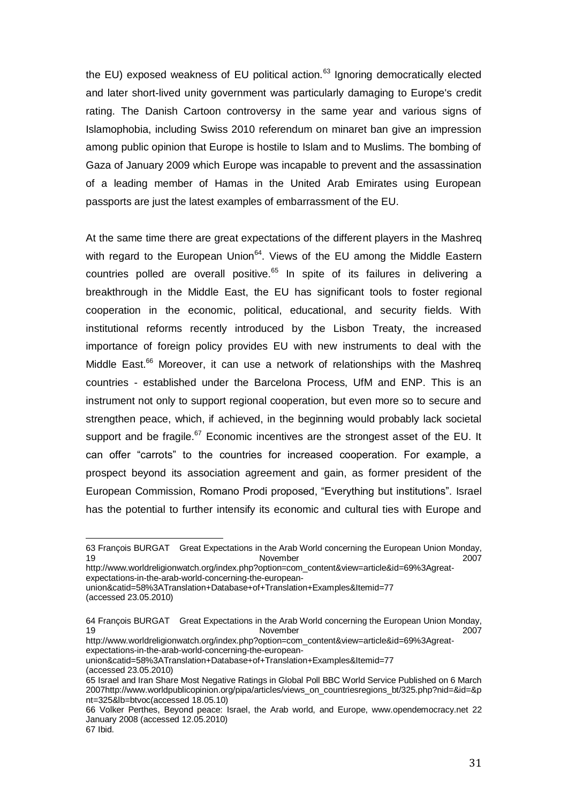the EU) exposed weakness of EU political action. $63$  Ignoring democratically elected and later short-lived unity government was particularly damaging to Europe's credit rating. The Danish Cartoon controversy in the same year and various signs of Islamophobia, including Swiss 2010 referendum on minaret ban give an impression among public opinion that Europe is hostile to Islam and to Muslims. The bombing of Gaza of January 2009 which Europe was incapable to prevent and the assassination of a leading member of Hamas in the United Arab Emirates using European passports are just the latest examples of embarrassment of the EU.

At the same time there are great expectations of the different players in the Mashreq with regard to the European Union<sup>64</sup>. Views of the EU among the Middle Eastern countries polled are overall positive. $65$  In spite of its failures in delivering a breakthrough in the Middle East, the EU has significant tools to foster regional cooperation in the economic, political, educational, and security fields. With institutional reforms recently introduced by the Lisbon Treaty, the increased importance of foreign policy provides EU with new instruments to deal with the Middle East.<sup>66</sup> Moreover, it can use a network of relationships with the Mashreq countries - established under the Barcelona Process, UfM and ENP. This is an instrument not only to support regional cooperation, but even more so to secure and strengthen peace, which, if achieved, in the beginning would probably lack societal support and be fragile.<sup>67</sup> Economic incentives are the strongest asset of the EU. It can offer "carrots" to the countries for increased cooperation. For example, a prospect beyond its association agreement and gain, as former president of the European Commission, Romano Prodi proposed, "Everything but institutions". Israel has the potential to further intensify its economic and cultural ties with Europe and

[http://www.worldreligionwatch.org/index.php?option=com\\_content&view=article&id=69%3Agreat](http://www.world-religionwatch.org/index.php?option=com_content&view=article&id=69%3Agreat-expectations-in-the-arab-world-concerning-the-european-union&catid=58%3ATranslation+Database+of+Translation+Examples&Itemid=77)[expectations-in-the-arab-world-concerning-the-european-](http://www.world-religionwatch.org/index.php?option=com_content&view=article&id=69%3Agreat-expectations-in-the-arab-world-concerning-the-european-union&catid=58%3ATranslation+Database+of+Translation+Examples&Itemid=77)

[http://www.worldreligionwatch.org/index.php?option=com\\_content&view=article&id=69%3Agreat](http://www.world-religionwatch.org/index.php?option=com_content&view=article&id=69%3Agreat-expectations-in-the-arab-world-concerning-the-european-union&catid=58%3ATranslation+Database+of+Translation+Examples&Itemid=77)[expectations-in-the-arab-world-concerning-the-european-](http://www.world-religionwatch.org/index.php?option=com_content&view=article&id=69%3Agreat-expectations-in-the-arab-world-concerning-the-european-union&catid=58%3ATranslation+Database+of+Translation+Examples&Itemid=77)

[union&catid=58%3ATranslation+Database+of+Translation+Examples&Itemid=77](http://www.world-religionwatch.org/index.php?option=com_content&view=article&id=69%3Agreat-expectations-in-the-arab-world-concerning-the-european-union&catid=58%3ATranslation+Database+of+Translation+Examples&Itemid=77) (accessed 23.05.2010)

<sup>63</sup> François BURGAT [Great Expectations in the Arab World concerning the European Union](http://www.world-religion-watch.org/index.php?option=com_content&view=article&id=69:great-expectations-in-the-arab-world-concerning-the-european-union&catid=58:Translation%20Database%20of%20Translation%20Examples&Itemid=77) Monday, 19 and 2007 November 2007 2007

[union&catid=58%3ATranslation+Database+of+Translation+Examples&Itemid=77](http://www.world-religionwatch.org/index.php?option=com_content&view=article&id=69%3Agreat-expectations-in-the-arab-world-concerning-the-european-union&catid=58%3ATranslation+Database+of+Translation+Examples&Itemid=77) (accessed 23.05.2010)

<sup>64</sup> François BURGAT Great Expectations in [the Arab World concerning the European Union](http://www.world-religion-watch.org/index.php?option=com_content&view=article&id=69:great-expectations-in-the-arab-world-concerning-the-european-union&catid=58:Translation%20Database%20of%20Translation%20Examples&Itemid=77) Monday, 19 November 2007

<sup>65</sup> Israel and Iran Share Most Negative Ratings in Global Poll BBC World Service Published on 6 March 200[7http://www.worldpublicopinion.org/pipa/articles/views\\_on\\_countriesregions\\_bt/325.php?nid=&id=&p](http://www.worldpublicopinion.org/pipa/articles/views_on_countriesregions_bt/325.php?nid=&id=&pnt=325&lb=btvoc) [nt=325&lb=btvoc\(](http://www.worldpublicopinion.org/pipa/articles/views_on_countriesregions_bt/325.php?nid=&id=&pnt=325&lb=btvoc)accessed 18.05.10)

<sup>66</sup> [Volker Perthes,](http://www.opendemocracy.net/authors/volker_perthes) Beyond peace: Israel, the Arab world, and Europe, [www.opendemocracy.net](http://www.opendemocracy.net/) 22 January 2008 (accessed 12.05.2010)

<sup>67</sup> Ibid.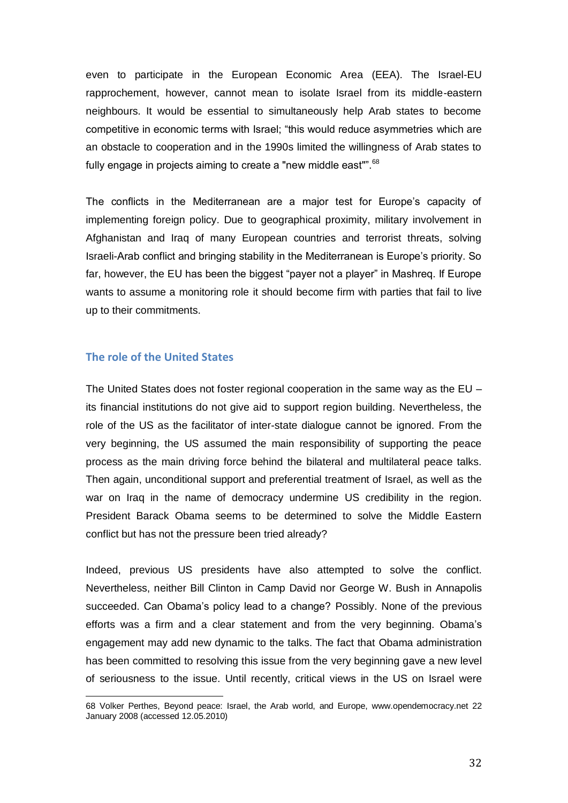even to participate in the European Economic Area (EEA). The Israel-EU rapprochement, however, cannot mean to isolate Israel from its middle-eastern neighbours. It would be essential to simultaneously help Arab states to become competitive in economic terms with Israel; "this would reduce asymmetries which are an obstacle to cooperation and in the 1990s limited the willingness of Arab states to fully engage in projects aiming to create a "new middle east"".  $68$ 

The conflicts in the Mediterranean are a major test for Europe's capacity of implementing foreign policy. Due to geographical proximity, military involvement in Afghanistan and Iraq of many European countries and terrorist threats, solving Israeli-Arab conflict and bringing stability in the Mediterranean is Europe's priority. So far, however, the EU has been the biggest "payer not a player" in Mashreq. If Europe wants to assume a monitoring role it should become firm with parties that fail to live up to their commitments.

#### **The role of the United States**

l

The United States does not foster regional cooperation in the same way as the EU – its financial institutions do not give aid to support region building. Nevertheless, the role of the US as the facilitator of inter-state dialogue cannot be ignored. From the very beginning, the US assumed the main responsibility of supporting the peace process as the main driving force behind the bilateral and multilateral peace talks. Then again, unconditional support and preferential treatment of Israel, as well as the war on Iraq in the name of democracy undermine US credibility in the region. President Barack Obama seems to be determined to solve the Middle Eastern conflict but has not the pressure been tried already?

Indeed, previous US presidents have also attempted to solve the conflict. Nevertheless, neither Bill Clinton in Camp David nor George W. Bush in Annapolis succeeded. Can Obama's policy lead to a change? Possibly. None of the previous efforts was a firm and a clear statement and from the very beginning. Obama's engagement may add new dynamic to the talks. The fact that Obama administration has been committed to resolving this issue from the very beginning gave a new level of seriousness to the issue. Until recently, critical views in the US on Israel were

<sup>68</sup> [Volker Perthes,](http://www.opendemocracy.net/authors/volker_perthes) Beyond peace: Israel, the Arab world, and Europe, [www.opendemocracy.net](http://www.opendemocracy.net/) 22 January 2008 (accessed 12.05.2010)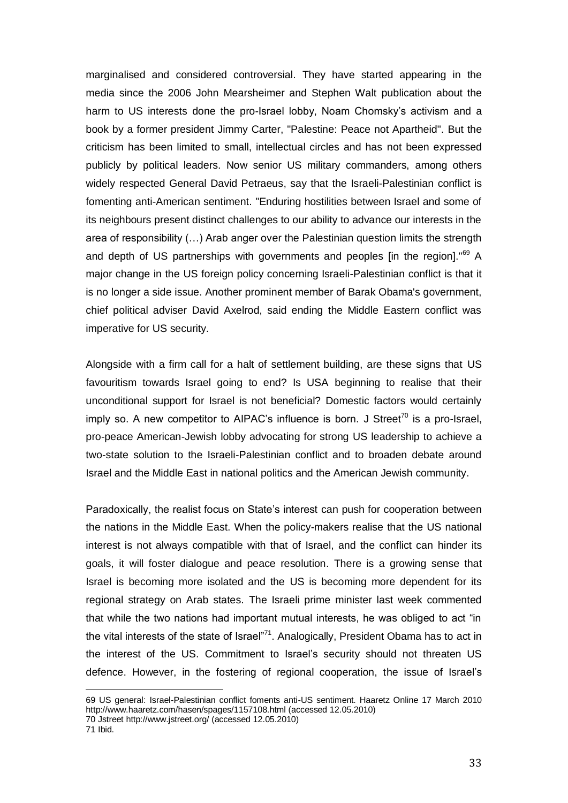marginalised and considered controversial. They have started appearing in the media since the 2006 John Mearsheimer and Stephen Walt publication about the harm to US interests done the pro-Israel lobby, Noam Chomsky's activism and a book by a former president Jimmy Carter, "Palestine: Peace not Apartheid". But the criticism has been limited to small, intellectual circles and has not been expressed publicly by political leaders. Now senior US military commanders, among others widely respected General David Petraeus, say that the Israeli-Palestinian conflict is fomenting anti-American sentiment. "Enduring hostilities between Israel and some of its neighbours present distinct challenges to our ability to advance our interests in the area of responsibility (…) Arab anger over the Palestinian question limits the strength and depth of US partnerships with governments and peoples [in the region]."<sup>69</sup> A major change in the US foreign policy concerning Israeli-Palestinian conflict is that it is no longer a side issue. Another prominent member of Barak Obama's government, chief political adviser David Axelrod, said ending the Middle Eastern conflict was imperative for US security.

Alongside with a firm call for a halt of settlement building, are these signs that US favouritism towards Israel going to end? Is USA beginning to realise that their unconditional support for Israel is not beneficial? Domestic factors would certainly imply so. A new competitor to AIPAC's influence is born. J Street<sup>70</sup> is a pro-Israel, pro-peace American-Jewish lobby advocating for strong US leadership to achieve a two-state solution to the Israeli-Palestinian conflict and to broaden debate around Israel and the Middle East in national politics and the American Jewish community.

Paradoxically, the realist focus on State's interest can push for cooperation between the nations in the Middle East. When the policy-makers realise that the US national interest is not always compatible with that of Israel, and the conflict can hinder its goals, it will foster dialogue and peace resolution. There is a growing sense that Israel is becoming more isolated and the US is becoming more dependent for its regional strategy on Arab states. The Israeli prime minister last week commented that while the two nations had important mutual interests, he was obliged to act "in the vital interests of the state of Israel"<sup>71</sup>. Analogically, President Obama has to act in the interest of the US. Commitment to Israel's security should not threaten US defence. However, in the fostering of regional cooperation, the issue of Israel's

<sup>69</sup> US general: Israel-Palestinian conflict foments anti-US sentiment. Haaretz Online 17 March 2010 <http://www.haaretz.com/hasen/spages/1157108.html> (accessed 12.05.2010)

<sup>70</sup> Jstreet<http://www.jstreet.org/> (accessed 12.05.2010)

<sup>71</sup> Ibid.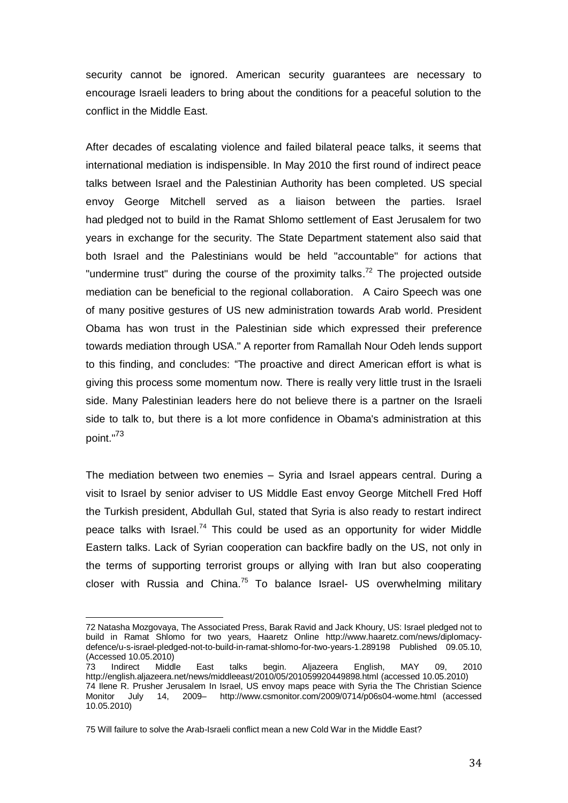security cannot be ignored. American security guarantees are necessary to encourage Israeli leaders to bring about the conditions for a peaceful solution to the conflict in the Middle East.

After decades of escalating violence and failed bilateral peace talks, it seems that international mediation is indispensible. In May 2010 the first round of indirect peace talks between Israel and the Palestinian Authority has been completed. US special envoy George Mitchell served as a liaison between the parties. Israel had pledged not to build in the Ramat Shlomo settlement of East Jerusalem for two years in exchange for the security. The State Department statement also said that both Israel and the Palestinians would be held "accountable" for actions that "undermine trust" during the course of the proximity talks.<sup>72</sup> The projected outside mediation can be beneficial to the regional collaboration. A Cairo Speech was one of many positive gestures of US new administration towards Arab world. President Obama has won trust in the Palestinian side which expressed their preference towards mediation through USA." A reporter from Ramallah Nour Odeh lends support to this finding, and concludes: "The proactive and direct American effort is what is giving this process some momentum now. There is really very little trust in the Israeli side. Many Palestinian leaders here do not believe there is a partner on the Israeli side to talk to, but there is a lot more confidence in Obama's administration at this point."<sup>73</sup>

The mediation between two enemies – Syria and Israel appears central. During a visit to Israel by senior adviser to US Middle East envoy George Mitchell Fred Hoff the Turkish president, Abdullah Gul, stated that Syria is also ready to restart indirect peace talks with Israel.<sup>74</sup> This could be used as an opportunity for wider Middle Eastern talks. Lack of Syrian cooperation can backfire badly on the US, not only in the terms of supporting terrorist groups or allying with Iran but also cooperating closer with Russia and China.<sup>75</sup> To balance Israel- US overwhelming military

<sup>72</sup> [Natasha Mozgovaya,](http://www.haaretz.com/misc/writers/natasha-mozgovaya-1.493) [The Associated Press,](http://www.haaretz.com/misc/writers/the-associated-press-1.237) [Barak Ravid](http://www.haaretz.com/misc/writers/barak-ravid-1.325) an[d Jack Khoury,](http://www.haaretz.com/misc/writers/jack-khoury-1.440) US: Israel pledged not to build in Ramat Shlomo for two years, Haaretz Online [http://www.haaretz.com/news/diplomacy](http://www.haaretz.com/news/diplomacy-defense/u-s-israel-pledged-not-to-build-in-ramat-shlomo-for-two-years-1.289198)[defence/u-s-israel-pledged-not-to-build-in-ramat-shlomo-for-two-years-1.289198](http://www.haaretz.com/news/diplomacy-defense/u-s-israel-pledged-not-to-build-in-ramat-shlomo-for-two-years-1.289198) Published 09.05.10, (Accessed 10.05.2010)<br>73 Indirect Middle

<sup>73</sup> Indirect Middle East talks begin. Aljazeera English, MAY 09, 2010 <http://english.aljazeera.net/news/middleeast/2010/05/201059920449898.html> (accessed 10.05.2010) 74 Ilene R. Prusher Jerusalem In Israel, US envoy maps peace with Syria the The Christian Science<br>Monitor July 14. 2009 http://www.csmonitor.com/2009/0714/p06s04-wome.html (accessed Monitor July 14, 2009– <http://www.csmonitor.com/2009/0714/p06s04-wome.html> (accessed 10.05.2010)

<sup>75</sup> Will failure to solve the Arab-Israeli conflict mean a new Cold War in the Middle East?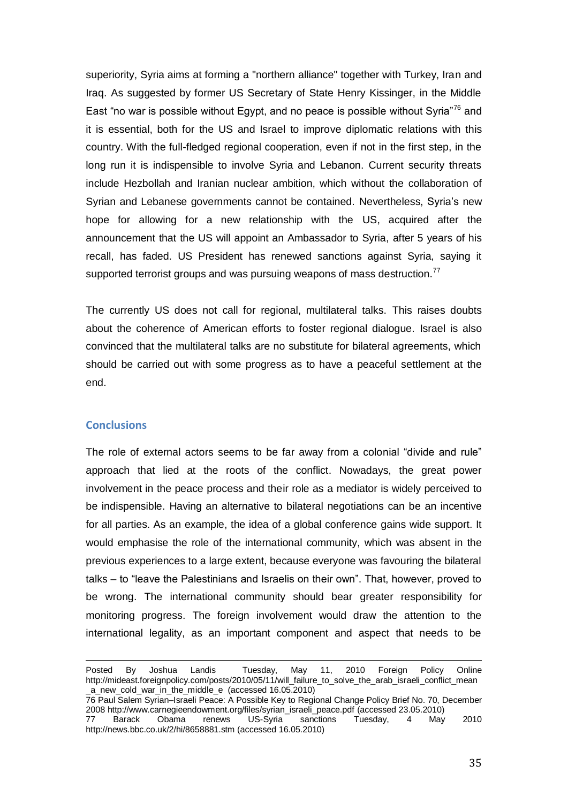superiority, Syria aims at forming a "northern alliance" together with Turkey, Iran and Iraq. As suggested by former US Secretary of State Henry Kissinger, in the Middle East "no war is possible without Egypt, and no peace is possible without Syria<sup> $76$ </sup> and it is essential, both for the US and Israel to improve diplomatic relations with this country. With the full-fledged regional cooperation, even if not in the first step, in the long run it is indispensible to involve Syria and Lebanon. Current security threats include Hezbollah and Iranian nuclear ambition, which without the collaboration of Syrian and Lebanese governments cannot be contained. Nevertheless, Syria's new hope for allowing for a new relationship with the US, acquired after the announcement that the US will appoint an Ambassador to Syria, after 5 years of his recall, has faded. US President has renewed sanctions against Syria, saying it supported terrorist groups and was pursuing weapons of mass destruction.<sup>77</sup>

The currently US does not call for regional, multilateral talks. This raises doubts about the coherence of American efforts to foster regional dialogue. Israel is also convinced that the multilateral talks are no substitute for bilateral agreements, which should be carried out with some progress as to have a peaceful settlement at the end.

#### **Conclusions**

 $\overline{a}$ 

The role of external actors seems to be far away from a colonial "divide and rule" approach that lied at the roots of the conflict. Nowadays, the great power involvement in the peace process and their role as a mediator is widely perceived to be indispensible. Having an alternative to bilateral negotiations can be an incentive for all parties. As an example, the idea of a global conference gains wide support. It would emphasise the role of the international community, which was absent in the previous experiences to a large extent, because everyone was favouring the bilateral talks – to "leave the Palestinians and Israelis on their own". That, however, proved to be wrong. The international community should bear greater responsibility for monitoring progress. The foreign involvement would draw the attention to the international legality, as an important component and aspect that needs to be

Posted By Joshua Landis Tuesday, May 11, 2010 Foreign Policy Online [http://mideast.foreignpolicy.com/posts/2010/05/11/will\\_failure\\_to\\_solve\\_the\\_arab\\_israeli\\_conflict\\_mean](http://mideast.foreignpolicy.com/posts/2010/05/11/will_failure_to_solve_the_arab_israeli_conflict_mean_a_new_cold_war_in_the_middle_e) [\\_a\\_new\\_cold\\_war\\_in\\_the\\_middle\\_e](http://mideast.foreignpolicy.com/posts/2010/05/11/will_failure_to_solve_the_arab_israeli_conflict_mean_a_new_cold_war_in_the_middle_e) (accessed 16.05.2010)

<sup>76</sup> Paul Salem Syrian–Israeli Peace: A Possible Key to Regional Change Policy Brief No. 70, December 200[8 http://www.carnegieendowment.org/files/syrian\\_israeli\\_peace.pdf](http://www.carnegieendowment.org/files/syrian_israeli_peace.pdf) (accessed 23.05.2010)

<sup>77</sup> Barack Obama renews US-Syria sanctions Tuesday, 4 May 2010 <http://news.bbc.co.uk/2/hi/8658881.stm> (accessed 16.05.2010)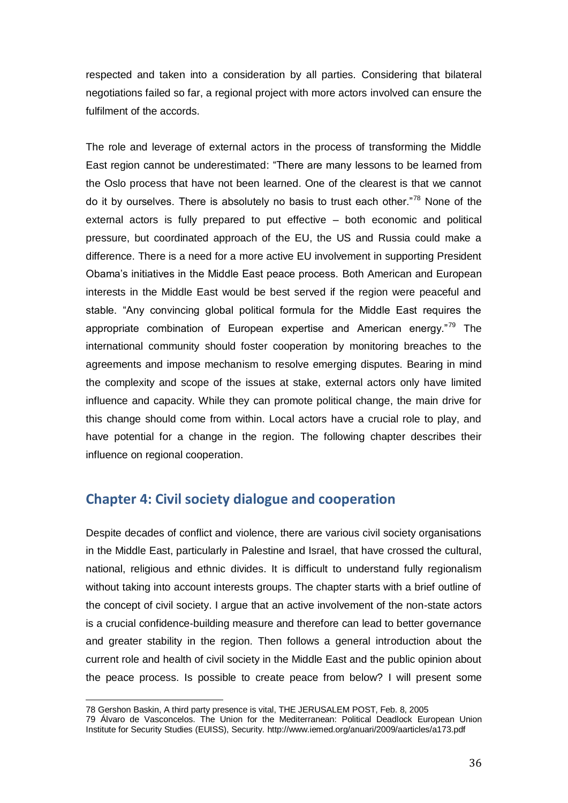respected and taken into a consideration by all parties. Considering that bilateral negotiations failed so far, a regional project with more actors involved can ensure the fulfilment of the accords.

The role and leverage of external actors in the process of transforming the Middle East region cannot be underestimated: "There are many lessons to be learned from the Oslo process that have not been learned. One of the clearest is that we cannot do it by ourselves. There is absolutely no basis to trust each other.<sup> $78$ </sup> None of the external actors is fully prepared to put effective – both economic and political pressure, but coordinated approach of the EU, the US and Russia could make a difference. There is a need for a more active EU involvement in supporting President Obama's initiatives in the Middle East peace process. Both American and European interests in the Middle East would be best served if the region were peaceful and stable. "Any convincing global political formula for the Middle East requires the appropriate combination of European expertise and American energy. $179$  The international community should foster cooperation by monitoring breaches to the agreements and impose mechanism to resolve emerging disputes. Bearing in mind the complexity and scope of the issues at stake, external actors only have limited influence and capacity. While they can promote political change, the main drive for this change should come from within. Local actors have a crucial role to play, and have potential for a change in the region. The following chapter describes their influence on regional cooperation.

## **Chapter 4: Civil society dialogue and cooperation**

Despite decades of conflict and violence, there are various civil society organisations in the Middle East, particularly in Palestine and Israel, that have crossed the cultural, national, religious and ethnic divides. It is difficult to understand fully regionalism without taking into account interests groups. The chapter starts with a brief outline of the concept of civil society. I argue that an active involvement of the non-state actors is a crucial confidence-building measure and therefore can lead to better governance and greater stability in the region. Then follows a general introduction about the current role and health of civil society in the Middle East and the public opinion about the peace process. Is possible to create peace from below? I will present some

 $\overline{a}$ 

<sup>78</sup> Gershon Baskin, A third party presence is vital, THE JERUSALEM POST, Feb. 8, 2005

<sup>79</sup> Álvaro de Vasconcelos. The Union for the Mediterranean: Political Deadlock European Union Institute for Security Studies (EUISS), Security.<http://www.iemed.org/anuari/2009/aarticles/a173.pdf>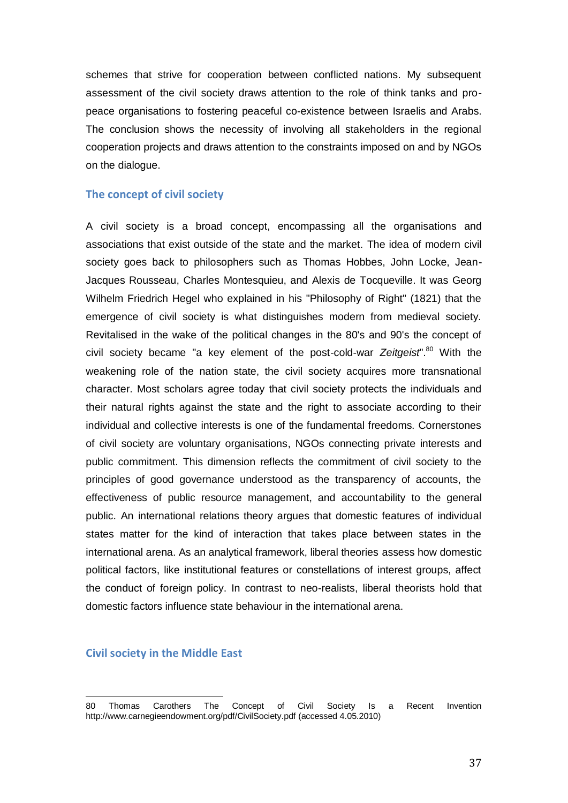schemes that strive for cooperation between conflicted nations. My subsequent assessment of the civil society draws attention to the role of think tanks and propeace organisations to fostering peaceful co-existence between Israelis and Arabs. The conclusion shows the necessity of involving all stakeholders in the regional cooperation projects and draws attention to the constraints imposed on and by NGOs on the dialogue.

## **The concept of civil society**

A civil society is a broad concept, encompassing all the organisations and associations that exist outside of the state and the market. The idea of modern civil society goes back to philosophers such as Thomas Hobbes, John Locke, Jean-Jacques Rousseau, Charles Montesquieu, and Alexis de Tocqueville. It was Georg Wilhelm Friedrich Hegel who explained in his "Philosophy of Right" (1821) that the emergence of civil society is what distinguishes modern from medieval society. Revitalised in the wake of the political changes in the 80's and 90's the concept of civil society became "a key element of the post-cold-war *Zeitgeist*".<sup>80</sup> With the weakening role of the nation state, the civil society acquires more transnational character. Most scholars agree today that civil society protects the individuals and their natural rights against the state and the right to associate according to their individual and collective interests is one of the fundamental freedoms. Cornerstones of civil society are voluntary organisations, NGOs connecting private interests and public commitment. This dimension reflects the commitment of civil society to the principles of good governance understood as the transparency of accounts, the effectiveness of public resource management, and accountability to the general public. An international relations theory argues that domestic features of individual states matter for the kind of interaction that takes place between states in the international arena. As an analytical framework, liberal theories assess how domestic political factors, like institutional features or constellations of interest groups, affect the conduct of foreign policy. In contrast to neo-realists, liberal theorists hold that domestic factors influence state behaviour in the international arena.

## **Civil society in the Middle East**

<sup>80</sup> Thomas Carothers The Concept of Civil Society Is a Recent Invention <http://www.carnegieendowment.org/pdf/CivilSociety.pdf> (accessed 4.05.2010)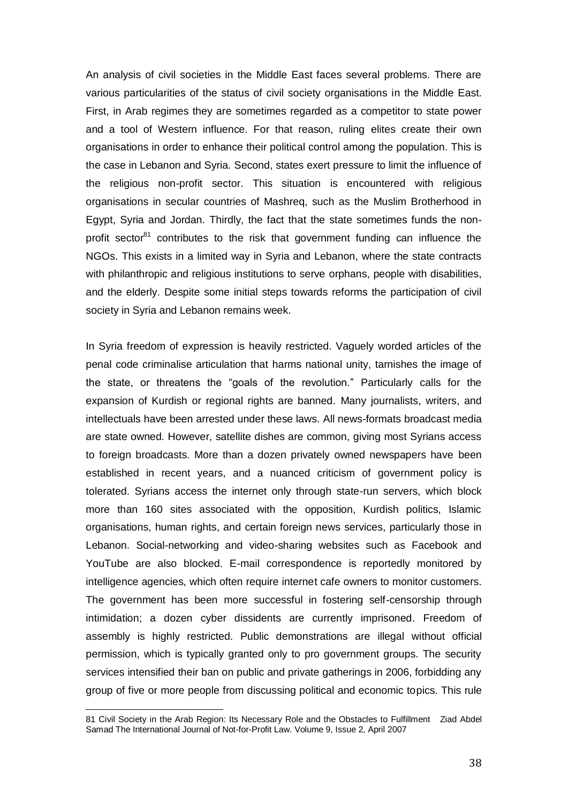An analysis of civil societies in the Middle East faces several problems. There are various particularities of the status of civil society organisations in the Middle East. First, in Arab regimes they are sometimes regarded as a competitor to state power and a tool of Western influence. For that reason, ruling elites create their own organisations in order to enhance their political control among the population. This is the case in Lebanon and Syria. Second, states exert pressure to limit the influence of the religious non-profit sector. This situation is encountered with religious organisations in secular countries of Mashreq, such as the Muslim Brotherhood in Egypt, Syria and Jordan. Thirdly, the fact that the state sometimes funds the nonprofit sector<sup>81</sup> contributes to the risk that government funding can influence the NGOs. This exists in a limited way in Syria and Lebanon, where the state contracts with philanthropic and religious institutions to serve orphans, people with disabilities, and the elderly. Despite some initial steps towards reforms the participation of civil society in Syria and Lebanon remains week.

In Syria freedom of expression is heavily restricted. Vaguely worded articles of the penal code criminalise articulation that harms national unity, tarnishes the image of the state, or threatens the "goals of the revolution." Particularly calls for the expansion of Kurdish or regional rights are banned. Many journalists, writers, and intellectuals have been arrested under these laws. All news-formats broadcast media are state owned. However, satellite dishes are common, giving most Syrians access to foreign broadcasts. More than a dozen privately owned newspapers have been established in recent years, and a nuanced criticism of government policy is tolerated. Syrians access the internet only through state-run servers, which block more than 160 sites associated with the opposition, Kurdish politics, Islamic organisations, human rights, and certain foreign news services, particularly those in Lebanon. Social-networking and video-sharing websites such as Facebook and YouTube are also blocked. E-mail correspondence is reportedly monitored by intelligence agencies, which often require internet cafe owners to monitor customers. The government has been more successful in fostering self-censorship through intimidation; a dozen cyber dissidents are currently imprisoned. Freedom of assembly is highly restricted. Public demonstrations are illegal without official permission, which is typically granted only to pro government groups. The security services intensified their ban on public and private gatherings in 2006, forbidding any group of five or more people from discussing political and economic topics. This rule

<sup>81</sup> [Civil Society in the Arab Region: Its Necessary Role and the Obstacles to Fulfillment](http://www.icnl.org/knowledge/ijnl/vol9iss2/special_1.htm) Ziad Abdel Samad The International Journal of Not-for-Profit Law. Volume 9, Issue 2, April 2007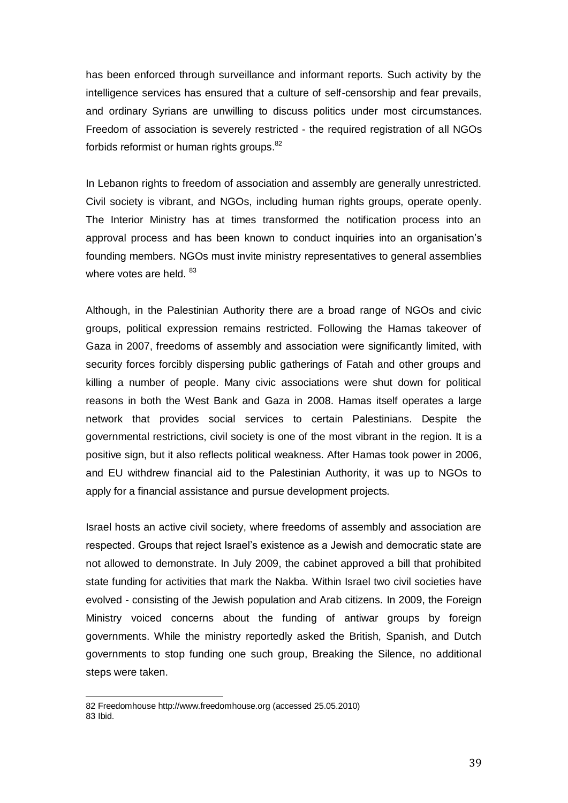has been enforced through surveillance and informant reports. Such activity by the intelligence services has ensured that a culture of self-censorship and fear prevails, and ordinary Syrians are unwilling to discuss politics under most circumstances. Freedom of association is severely restricted - the required registration of all NGOs forbids reformist or human rights groups.<sup>82</sup>

In Lebanon rights to freedom of association and assembly are generally unrestricted. Civil society is vibrant, and NGOs, including human rights groups, operate openly. The Interior Ministry has at times transformed the notification process into an approval process and has been known to conduct inquiries into an organisation's founding members. NGOs must invite ministry representatives to general assemblies where votes are held. 83

Although, in the Palestinian Authority there are a broad range of NGOs and civic groups, political expression remains restricted. Following the Hamas takeover of Gaza in 2007, freedoms of assembly and association were significantly limited, with security forces forcibly dispersing public gatherings of Fatah and other groups and killing a number of people. Many civic associations were shut down for political reasons in both the West Bank and Gaza in 2008. Hamas itself operates a large network that provides social services to certain Palestinians. Despite the governmental restrictions, civil society is one of the most vibrant in the region. It is a positive sign, but it also reflects political weakness. After Hamas took power in 2006, and EU withdrew financial aid to the Palestinian Authority, it was up to NGOs to apply for a financial assistance and pursue development projects.

Israel hosts an active civil society, where freedoms of assembly and association are respected. Groups that reject Israel's existence as a Jewish and democratic state are not allowed to demonstrate. In July 2009, the cabinet approved a bill that prohibited state funding for activities that mark the Nakba. Within Israel two civil societies have evolved - consisting of the Jewish population and Arab citizens. In 2009, the Foreign Ministry voiced concerns about the funding of antiwar groups by foreign governments. While the ministry reportedly asked the British, Spanish, and Dutch governments to stop funding one such group, Breaking the Silence, no additional steps were taken.

<sup>82</sup> Freedomhous[e http://www.freedomhouse.org](http://www.freedomhouse.org/) (accessed 25.05.2010) 83 Ibid.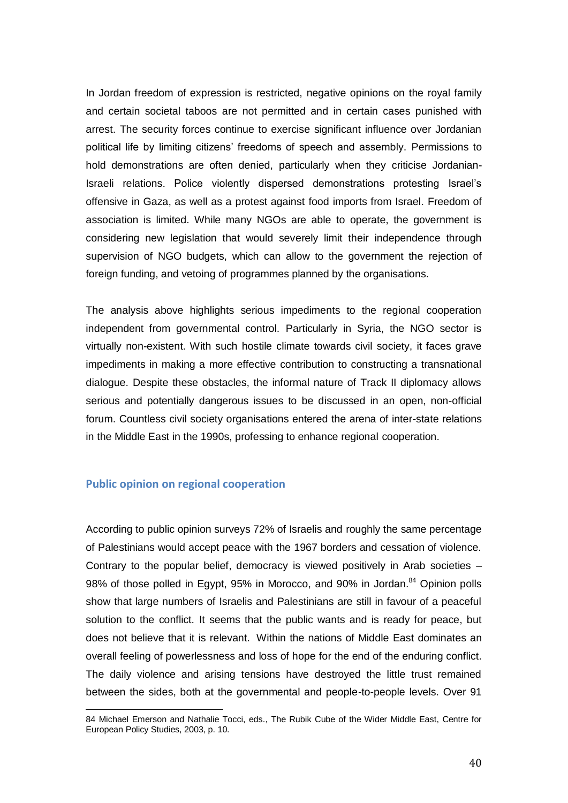In Jordan freedom of expression is restricted, negative opinions on the royal family and certain societal taboos are not permitted and in certain cases punished with arrest. The security forces continue to exercise significant influence over Jordanian political life by limiting citizens' freedoms of speech and assembly. Permissions to hold demonstrations are often denied, particularly when they criticise Jordanian-Israeli relations. Police violently dispersed demonstrations protesting Israel's offensive in Gaza, as well as a protest against food imports from Israel. Freedom of association is limited. While many NGOs are able to operate, the government is considering new legislation that would severely limit their independence through supervision of NGO budgets, which can allow to the government the rejection of foreign funding, and vetoing of programmes planned by the organisations.

The analysis above highlights serious impediments to the regional cooperation independent from governmental control. Particularly in Syria, the NGO sector is virtually non-existent. With such hostile climate towards civil society, it faces grave impediments in making a more effective contribution to constructing a transnational dialogue. Despite these obstacles, the informal nature of Track II diplomacy allows serious and potentially dangerous issues to be discussed in an open, non-official forum. Countless civil society organisations entered the arena of inter-state relations in the Middle East in the 1990s, professing to enhance regional cooperation.

## **Public opinion on regional cooperation**

l

According to public opinion surveys 72% of Israelis and roughly the same percentage of Palestinians would accept peace with the 1967 borders and cessation of violence. Contrary to the popular belief, democracy is viewed positively in Arab societies – 98% of those polled in Egypt, 95% in Morocco, and 90% in Jordan.<sup>84</sup> Opinion polls show that large numbers of Israelis and Palestinians are still in favour of a peaceful solution to the conflict. It seems that the public wants and is ready for peace, but does not believe that it is relevant. Within the nations of Middle East dominates an overall feeling of powerlessness and loss of hope for the end of the enduring conflict. The daily violence and arising tensions have destroyed the little trust remained between the sides, both at the governmental and people-to-people levels. Over 91

<sup>84</sup> Michael Emerson and Nathalie Tocci, eds., The Rubik Cube of the Wider Middle East, Centre for European Policy Studies, 2003, p. 10.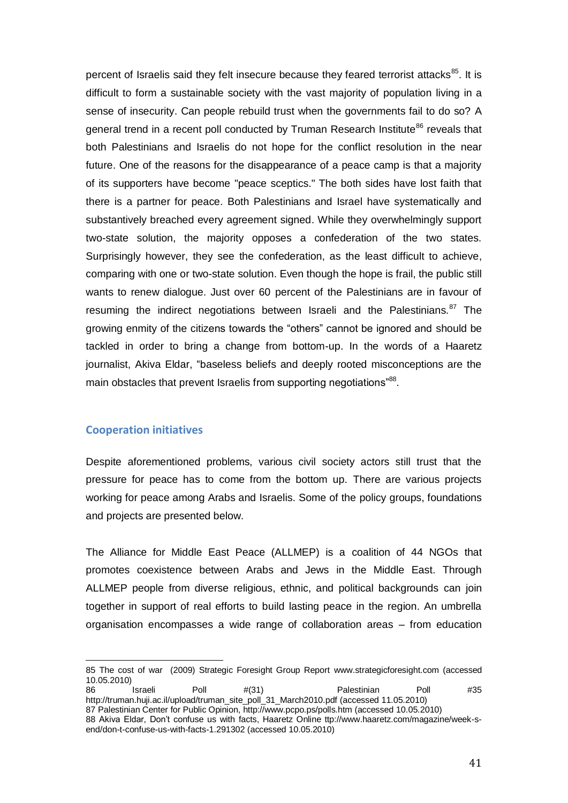percent of Israelis said they felt insecure because they feared terrorist attacks<sup>85</sup>. It is difficult to form a sustainable society with the vast majority of population living in a sense of insecurity. Can people rebuild trust when the governments fail to do so? A general trend in a recent poll conducted by Truman Research Institute<sup>86</sup> reveals that both Palestinians and Israelis do not hope for the conflict resolution in the near future. One of the reasons for the disappearance of a peace camp is that a majority of its supporters have become "peace sceptics." The both sides have lost faith that there is a partner for peace. Both Palestinians and Israel have systematically and substantively breached every agreement signed. While they overwhelmingly support two-state solution, the majority opposes a confederation of the two states. Surprisingly however, they see the confederation, as the least difficult to achieve, comparing with one or two-state solution. Even though the hope is frail, the public still wants to renew dialogue. Just over 60 percent of the Palestinians are in favour of resuming the indirect negotiations between Israeli and the Palestinians.<sup>87</sup> The growing enmity of the citizens towards the "others" cannot be ignored and should be tackled in order to bring a change from bottom-up. In the words of a Haaretz journalist, Akiva Eldar, "baseless beliefs and deeply rooted misconceptions are the main obstacles that prevent Israelis from supporting negotiations"<sup>88</sup>.

### **Cooperation initiatives**

 $\overline{a}$ 

Despite aforementioned problems, various civil society actors still trust that the pressure for peace has to come from the bottom up. There are various projects working for peace among Arabs and Israelis. Some of the policy groups, foundations and projects are presented below.

The Alliance for Middle East Peace (ALLMEP) is a coalition of 44 NGOs that promotes coexistence between Arabs and Jews in the Middle East. Through ALLMEP people from diverse religious, ethnic, and political backgrounds can join together in support of real efforts to build lasting peace in the region. An umbrella organisation encompasses a wide range of collaboration areas – from education

<sup>85</sup> The cost of war (2009) Strategic Foresight Group Report [www.strategicforesight.com](http://www.strategicforesight.com/) (accessed 10.05.2010)

<sup>86</sup> Israeli Poll #(31) Palestinian Poll #35 [http://truman.huji.ac.il/upload/truman\\_site\\_poll\\_31\\_March2010.pdf](http://truman.huji.ac.il/upload/truman_site_poll_31_March2010.pdf) (accessed 11.05.2010) 87 Palestinian Center for Public Opinion[, http://www.pcpo.ps/polls.htm](http://www.pcpo.ps/polls.htm) (accessed 10.05.2010) 88 [Akiva Eldar, Don't confuse us with facts, Haaretz Online ttp://www.haaretz.com/magazine/week-s](http://www.haaretz.com/magazine/week-s-end/don-t-confuse-us-with-facts-1.291302)[end/don-t-confuse-us-with-facts-1.291302](http://www.haaretz.com/magazine/week-s-end/don-t-confuse-us-with-facts-1.291302) (accessed 10.05.2010)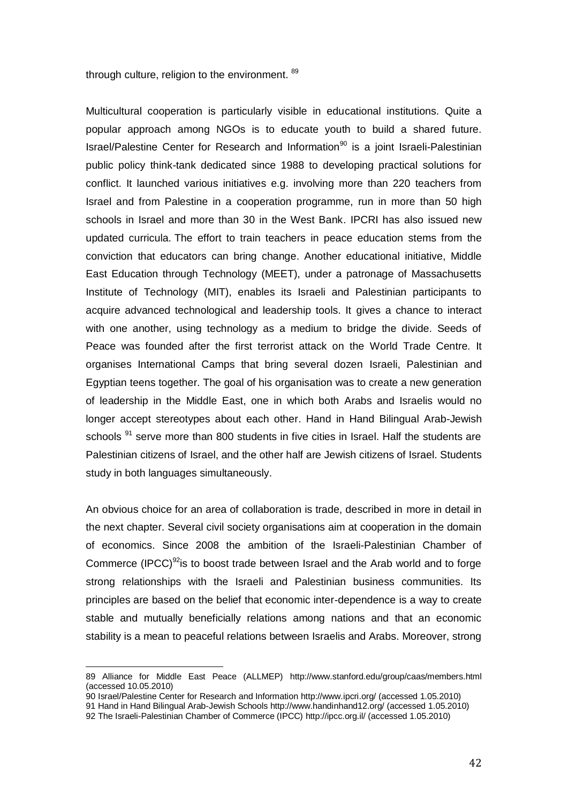through culture, religion to the environment. <sup>89</sup>

Multicultural cooperation is particularly visible in educational institutions. Quite a popular approach among NGOs is to educate youth to build a shared future. Israel/Palestine Center for Research and Information<sup>90</sup> is a joint Israeli-Palestinian public policy think-tank dedicated since 1988 to developing practical solutions for conflict. It launched various initiatives e.g. involving more than 220 teachers from Israel and from Palestine in a cooperation programme, run in more than 50 high schools in Israel and more than 30 in the West Bank. IPCRI has also issued new updated curricula. The effort to train teachers in peace education stems from the conviction that educators can bring change. Another educational initiative, Middle East Education through Technology (MEET), under a patronage of Massachusetts Institute of Technology (MIT), enables its Israeli and Palestinian participants to acquire advanced technological and leadership tools. It gives a chance to interact with one another, using technology as a medium to bridge the divide. Seeds of Peace was founded after the first terrorist attack on the World Trade Centre. It organises International Camps that bring several dozen [Israeli,](http://en.wikipedia.org/wiki/Israel) [Palestinian](http://en.wikipedia.org/wiki/Palestinian_people) and [Egyptian](http://en.wikipedia.org/wiki/Egypt) teens together. The goal of his organisation was to create a new generation of leadership in the [Middle East,](http://en.wikipedia.org/wiki/Middle-East) one in which both [Arabs](http://en.wikipedia.org/wiki/Arab) and Israelis would no longer accept stereotypes about each other. Hand in Hand Bilingual Arab-Jewish schools<sup>91</sup> serve more than 800 students in five cities in Israel. Half the students are Palestinian citizens of [Israel,](http://en.wikipedia.org/wiki/Israel) and the other half are Jewish citizens of Israel. Students study in both languages simultaneously.

An obvious choice for an area of collaboration is trade, described in more in detail in the next chapter. Several civil society organisations aim at cooperation in the domain of economics. Since 2008 the ambition of the Israeli-Palestinian Chamber of Commerce (IPCC) $92$  is to boost trade between Israel and the Arab world and to forge strong relationships with the Israeli and Palestinian business communities. Its principles are based on the belief that economic inter-dependence is a way to create stable and mutually beneficially relations among nations and that an economic stability is a mean to peaceful relations between Israelis and Arabs. Moreover, strong

 $\overline{a}$ 

<sup>89</sup> Alliance for Middle East Peace (ALLMEP) <http://www.stanford.edu/group/caas/members.html> (accessed 10.05.2010)

<sup>90</sup> Israel/Palestine Center for Research and Information<http://www.ipcri.org/> (accessed 1.05.2010)

<sup>91</sup> [Hand in Hand Bilingual Arab-Jewish Schools](http://en.wikipedia.org/wiki/Hand_in_Hand:_Center_for_Jewish_Arab_Education_in_Israel) <http://www.handinhand12.org/> (accessed 1.05.2010)

<sup>92</sup> The Israeli-Palestinian Chamber of Commerce (IPCC)<http://ipcc.org.il/> (accessed 1.05.2010)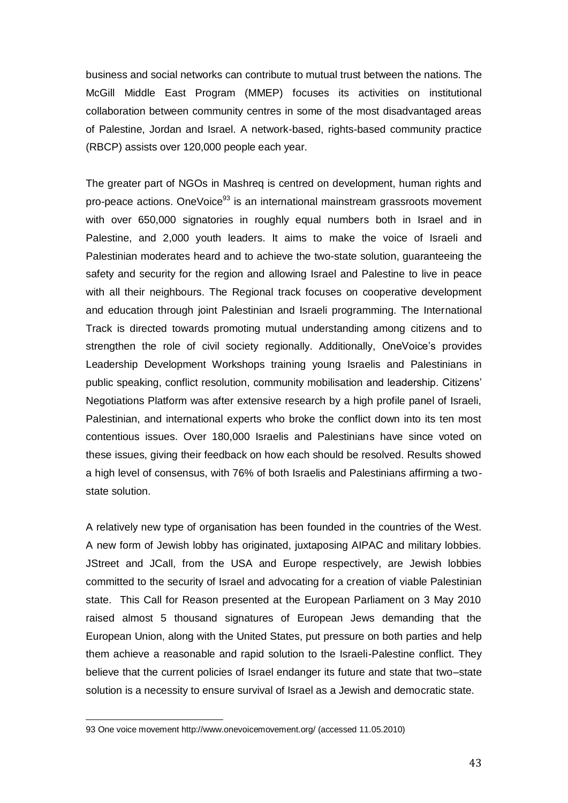business and social networks can contribute to mutual trust between the nations. The McGill Middle East Program (MMEP) focuses its activities on institutional collaboration between community centres in some of the most disadvantaged areas of Palestine, Jordan and Israel. A network-based, rights-based community practice (RBCP) assists over 120,000 people each year.

The greater part of NGOs in Mashreq is centred on development, human rights and pro-peace actions. OneVoice<sup>93</sup> is an international mainstream grassroots movement with over 650,000 signatories in roughly equal numbers both in Israel and in Palestine, and 2,000 youth leaders. It aims to make the voice of Israeli and Palestinian moderates heard and to achieve the two-state solution, guaranteeing the safety and security for the region and allowing Israel and Palestine to live in peace with all their neighbours. The Regional track focuses on cooperative development and education through joint Palestinian and Israeli programming. The International Track is directed towards promoting mutual understanding among citizens and to strengthen the role of civil society regionally. Additionally, OneVoice's provides Leadership Development Workshops training young Israelis and Palestinians in public speaking, conflict resolution, community mobilisation and leadership. Citizens' Negotiations Platform was after extensive research by a high profile panel of Israeli, Palestinian, and international experts who broke the conflict down into its ten most contentious issues. Over 180,000 Israelis and Palestinians have since voted on these issues, giving their feedback on how each should be resolved. Results showed a high level of consensus, with 76% of both Israelis and Palestinians affirming a twostate solution.

A relatively new type of organisation has been founded in the countries of the West. A new form of Jewish lobby has originated, juxtaposing AIPAC and military lobbies. JStreet and JCall, from the USA and Europe respectively, are Jewish lobbies committed to the security of Israel and advocating for a creation of viable Palestinian state. This Call for Reason presented at the European Parliament on 3 May 2010 raised almost 5 thousand signatures of European Jews demanding that the European Union, along with the United States, put pressure on both parties and help them achieve a reasonable and rapid solution to the Israeli-Palestine conflict. They believe that the current policies of Israel endanger its future and state that two–state solution is a necessity to ensure survival of Israel as a Jewish and democratic state.

<sup>93</sup> One voice movement<http://www.onevoicemovement.org/> (accessed 11.05.2010)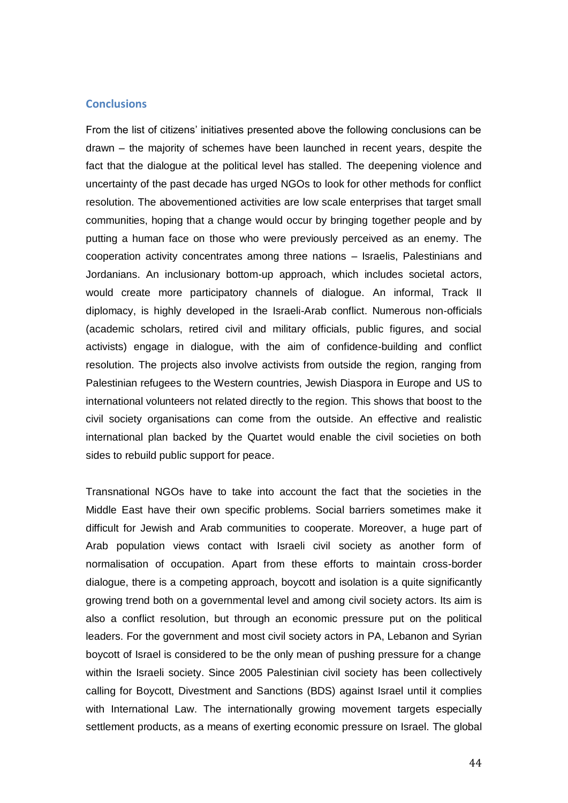#### **Conclusions**

From the list of citizens' initiatives presented above the following conclusions can be drawn – the majority of schemes have been launched in recent years, despite the fact that the dialogue at the political level has stalled. The deepening violence and uncertainty of the past decade has urged NGOs to look for other methods for conflict resolution. The abovementioned activities are low scale enterprises that target small communities, hoping that a change would occur by bringing together people and by putting a human face on those who were previously perceived as an enemy. The cooperation activity concentrates among three nations – Israelis, Palestinians and Jordanians. An inclusionary bottom-up approach, which includes societal actors, would create more participatory channels of dialogue. An informal, Track II diplomacy, is highly developed in the Israeli-Arab conflict. Numerous non-officials (academic scholars, retired civil and military officials, public figures, and social activists) engage in dialogue, with the aim of confidence-building and conflict resolution. The projects also involve activists from outside the region, ranging from Palestinian refugees to the Western countries, Jewish Diaspora in Europe and US to international volunteers not related directly to the region. This shows that boost to the civil society organisations can come from the outside. An effective and realistic international plan backed by the Quartet would enable the civil societies on both sides to rebuild public support for peace.

Transnational NGOs have to take into account the fact that the societies in the Middle East have their own specific problems. Social barriers sometimes make it difficult for Jewish and Arab communities to cooperate. Moreover, a huge part of Arab population views contact with Israeli civil society as another form of normalisation of occupation. Apart from these efforts to maintain cross-border dialogue, there is a competing approach, boycott and isolation is a quite significantly growing trend both on a governmental level and among civil society actors. Its aim is also a conflict resolution, but through an economic pressure put on the political leaders. For the government and most civil society actors in PA, Lebanon and Syrian boycott of Israel is considered to be the only mean of pushing pressure for a change within the Israeli society. Since 2005 Palestinian civil society has been collectively calling for Boycott, Divestment and Sanctions (BDS) against Israel until it complies with International Law. The internationally growing movement targets especially settlement products, as a means of exerting economic pressure on Israel. The global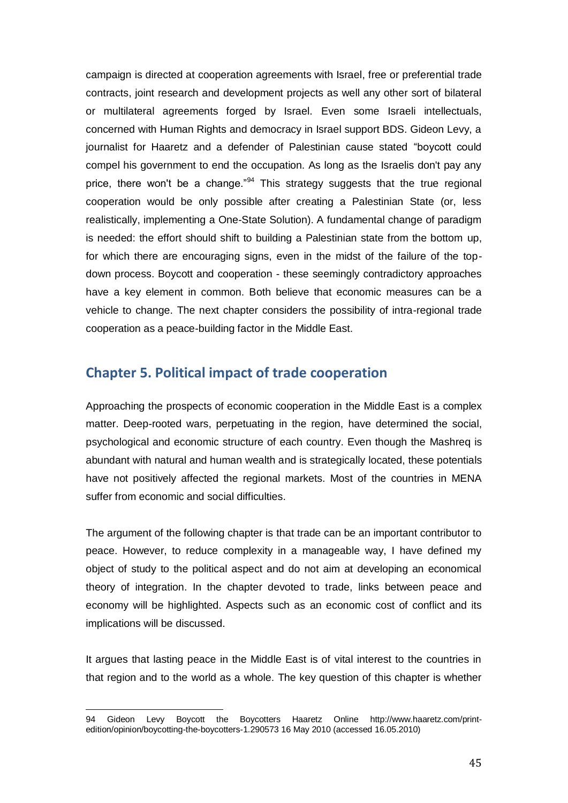campaign is directed at cooperation agreements with Israel, free or preferential trade contracts, joint research and development projects as well any other sort of bilateral or multilateral agreements forged by Israel. Even some Israeli intellectuals, concerned with Human Rights and democracy in Israel support BDS. Gideon Levy, a journalist for Haaretz and a defender of Palestinian cause stated "boycott could compel his government to end the occupation. As long as the Israelis don't pay any price, there won't be a change." $94$  This strategy suggests that the true regional cooperation would be only possible after creating a Palestinian State (or, less realistically, implementing a One-State Solution). A fundamental change of paradigm is needed: the effort should shift to building a Palestinian state from the bottom up, for which there are encouraging signs, even in the midst of the failure of the topdown process. Boycott and cooperation - these seemingly contradictory approaches have a key element in common. Both believe that economic measures can be a vehicle to change. The next chapter considers the possibility of intra-regional trade cooperation as a peace-building factor in the Middle East.

# **Chapter 5. Political impact of trade cooperation**

Approaching the prospects of economic cooperation in the Middle East is a complex matter. Deep-rooted wars, perpetuating in the region, have determined the social, psychological and economic structure of each country. Even though the Mashreq is abundant with natural and human wealth and is strategically located, these potentials have not positively affected the regional markets. Most of the countries in MENA suffer from economic and social difficulties.

The argument of the following chapter is that trade can be an important contributor to peace. However, to reduce complexity in a manageable way, I have defined my object of study to the political aspect and do not aim at developing an economical theory of integration. In the chapter devoted to trade, links between peace and economy will be highlighted. Aspects such as an economic cost of conflict and its implications will be discussed.

It argues that lasting peace in the Middle East is of vital interest to the countries in that region and to the world as a whole. The key question of this chapter is whether

l 94 Gideon Levy Boycott the Boycotters Haaretz Online [http://www.haaretz.com/print](http://www.haaretz.com/print-edition/opinion/boycotting-the-boycotters-1.290573)[edition/opinion/boycotting-the-boycotters-1.290573](http://www.haaretz.com/print-edition/opinion/boycotting-the-boycotters-1.290573) 16 May 2010 (accessed 16.05.2010)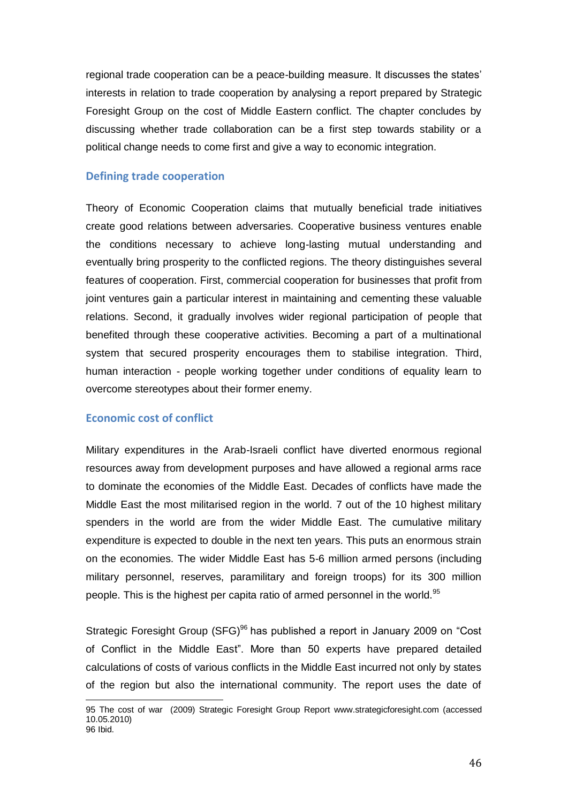regional trade cooperation can be a peace-building measure. It discusses the states' interests in relation to trade cooperation by analysing a report prepared by Strategic Foresight Group on the cost of Middle Eastern conflict. The chapter concludes by discussing whether trade collaboration can be a first step towards stability or a political change needs to come first and give a way to economic integration.

## **Defining trade cooperation**

Theory of Economic Cooperation claims that mutually beneficial trade initiatives create good relations between adversaries. Cooperative business ventures enable the conditions necessary to achieve long-lasting mutual understanding and eventually bring prosperity to the conflicted regions. The theory distinguishes several features of cooperation. First, commercial cooperation for businesses that profit from joint ventures gain a particular interest in maintaining and cementing these valuable relations. Second, it gradually involves wider regional participation of people that benefited through these cooperative activities. Becoming a part of a multinational system that secured prosperity encourages them to stabilise integration. Third, human interaction - people working together under conditions of equality learn to overcome stereotypes about their former enemy.

## **Economic cost of conflict**

 $\overline{a}$ 

Military expenditures in the Arab-Israeli conflict have diverted enormous regional resources away from development purposes and have allowed a regional arms race to dominate the economies of the Middle East. Decades of conflicts have made the Middle East the most militarised region in the world. 7 out of the 10 highest military spenders in the world are from the wider Middle East. The cumulative military expenditure is expected to double in the next ten years. This puts an enormous strain on the economies. The wider Middle East has 5-6 million armed persons (including military personnel, reserves, paramilitary and foreign troops) for its 300 million people. This is the highest per capita ratio of armed personnel in the world.<sup>95</sup>

Strategic Foresight Group (SFG)<sup>96</sup> has published a report in January 2009 on "Cost of Conflict in the Middle East". More than 50 experts have prepared detailed calculations of costs of various conflicts in the Middle East incurred not only by states of the region but also the international community. The report uses the date of

<sup>95</sup> The cost of war (2009) Strategic Foresight Group Report [www.strategicforesight.com](http://www.strategicforesight.com/) (accessed 10.05.2010) 96 Ibid.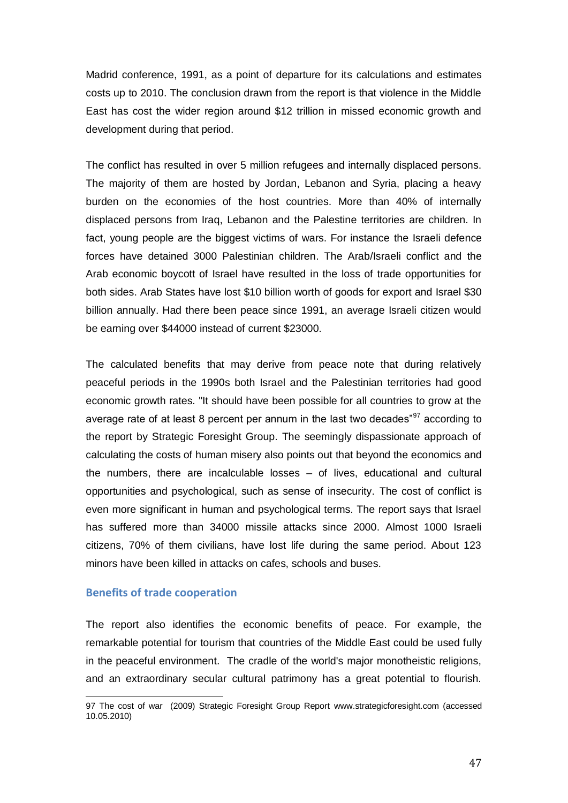Madrid conference, 1991, as a point of departure for its calculations and estimates costs up to 2010. The conclusion drawn from the report is that violence in the Middle East has cost the wider region around \$12 trillion in missed economic growth and development during that period.

The conflict has resulted in over 5 million refugees and internally displaced persons. The majority of them are hosted by Jordan, Lebanon and Syria, placing a heavy burden on the economies of the host countries. More than 40% of internally displaced persons from Iraq, Lebanon and the Palestine territories are children. In fact, young people are the biggest victims of wars. For instance the Israeli defence forces have detained 3000 Palestinian children. The Arab/Israeli conflict and the Arab economic boycott of Israel have resulted in the loss of trade opportunities for both sides. Arab States have lost \$10 billion worth of goods for export and Israel \$30 billion annually. Had there been peace since 1991, an average Israeli citizen would be earning over \$44000 instead of current \$23000.

The calculated benefits that may derive from peace note that during relatively peaceful periods in the 1990s both Israel and the Palestinian territories had good economic growth rates. "It should have been possible for all countries to grow at the average rate of at least 8 percent per annum in the last two decades"<sup>97</sup> according to the report by Strategic Foresight Group. The seemingly dispassionate approach of calculating the costs of human misery also points out that beyond the economics and the numbers, there are incalculable losses – of lives, educational and cultural opportunities and psychological, such as sense of insecurity. The cost of conflict is even more significant in human and psychological terms. The report says that Israel has suffered more than 34000 missile attacks since 2000. Almost 1000 Israeli citizens, 70% of them civilians, have lost life during the same period. About 123 minors have been killed in attacks on cafes, schools and buses.

## **Benefits of trade cooperation**

l

The report also identifies the economic benefits of peace. For example, the remarkable potential for tourism that countries of the Middle East could be used fully in the peaceful environment. The cradle of the world's major monotheistic religions, and an extraordinary secular cultural patrimony has a great potential to flourish.

<sup>97</sup> The cost of war (2009) Strategic Foresight Group Report [www.strategicforesight.com](http://www.strategicforesight.com/) (accessed 10.05.2010)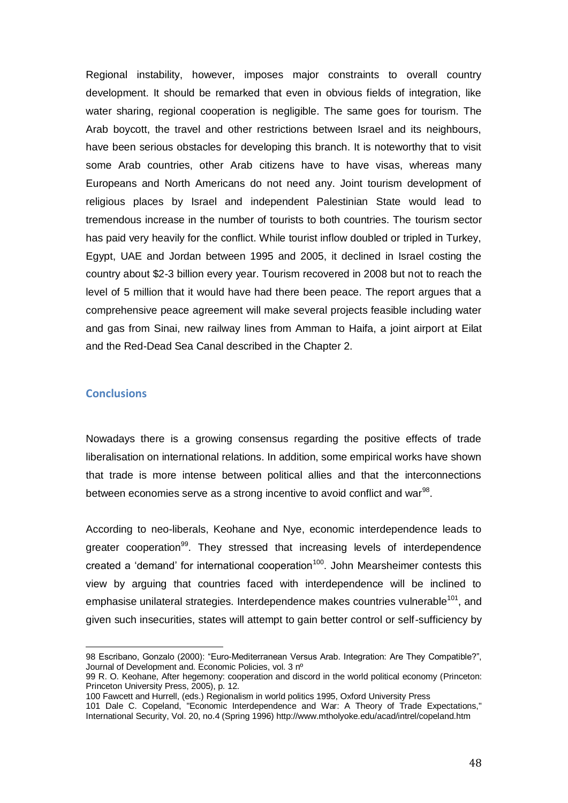Regional instability, however, imposes major constraints to overall country development. It should be remarked that even in obvious fields of integration, like water sharing, regional cooperation is negligible. The same goes for tourism. The Arab boycott, the travel and other restrictions between Israel and its neighbours, have been serious obstacles for developing this branch. It is noteworthy that to visit some Arab countries, other Arab citizens have to have visas, whereas many Europeans and North Americans do not need any. Joint tourism development of religious places by Israel and independent Palestinian State would lead to tremendous increase in the number of tourists to both countries. The tourism sector has paid very heavily for the conflict. While tourist inflow doubled or tripled in Turkey, Egypt, UAE and Jordan between 1995 and 2005, it declined in Israel costing the country about \$2-3 billion every year. Tourism recovered in 2008 but not to reach the level of 5 million that it would have had there been peace. The report argues that a comprehensive peace agreement will make several projects feasible including water and gas from Sinai, new railway lines from Amman to Haifa, a joint airport at Eilat and the Red-Dead Sea Canal described in the Chapter 2.

## **Conclusions**

 $\overline{a}$ 

Nowadays there is a growing consensus regarding the positive effects of trade liberalisation on international relations. In addition, some empirical works have shown that trade is more intense between political allies and that the interconnections between economies serve as a strong incentive to avoid conflict and war<sup>98</sup>.

According to neo-liberals, Keohane and Nye, economic interdependence leads to greater cooperation<sup>99</sup>. They stressed that increasing levels of interdependence created a 'demand' for international cooperation<sup>100</sup>. John Mearsheimer contests this view by arguing that countries faced with interdependence will be inclined to emphasise unilateral strategies. Interdependence makes countries vulnerable<sup>101</sup>, and given such insecurities, states will attempt to gain better control or self-sufficiency by

<sup>98</sup> Escribano, Gonzalo (2000): "Euro-Mediterranean Versus Arab. Integration: Are They Compatible?", Journal of Development and. Economic Policies, vol. 3 nº

<sup>99</sup> R. O. Keohane, After hegemony: cooperation and discord in the world political economy (Princeton: Princeton University Press, 2005), p. 12.

<sup>100</sup> Fawcett and Hurrell, (eds.) Regionalism in world politics 1995, Oxford University Press

<sup>101</sup> Dale C. Copeland, "Economic Interdependence and War: A Theory of Trade Expectations," International Security, Vol. 20, no.4 (Spring 1996[\) http://www.mtholyoke.edu/acad/intrel/copeland.htm](http://www.mtholyoke.edu/acad/intrel/copeland.htm)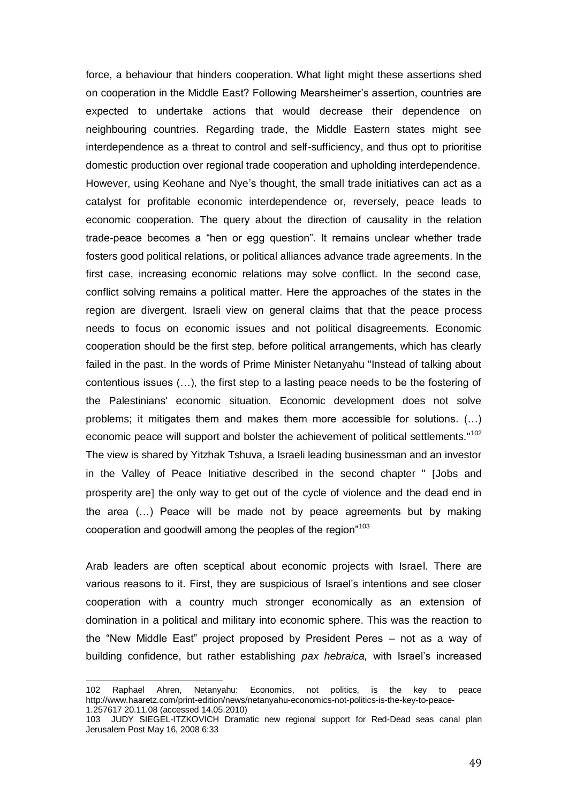force, a behaviour that hinders cooperation. What light might these assertions shed on cooperation in the Middle East? Following Mearsheimer's assertion, countries are expected to undertake actions that would decrease their dependence on neighbouring countries. Regarding trade, the Middle Eastern states might see interdependence as a threat to control and self-sufficiency, and thus opt to prioritise domestic production over regional trade cooperation and upholding interdependence. However, using Keohane and Nye's thought, the small trade initiatives can act as a catalyst for profitable economic interdependence or, reversely, peace leads to economic cooperation. The query about the direction of causality in the relation trade-peace becomes a "hen or egg question". It remains unclear whether trade fosters good political relations, or political alliances advance trade agreements. In the first case, increasing economic relations may solve conflict. In the second case, conflict solving remains a political matter. Here the approaches of the states in the region are divergent. Israeli view on general claims that that the peace process needs to focus on economic issues and not political disagreements. Economic cooperation should be the first step, before political arrangements, which has clearly failed in the past. In the words of Prime Minister Netanyahu "Instead of talking about contentious issues (…), the first step to a lasting peace needs to be the fostering of the Palestinians' economic situation. Economic development does not solve problems; it mitigates them and makes them more accessible for solutions. (…) economic peace will support and bolster the achievement of political settlements."<sup>102</sup> The view is shared by Yitzhak Tshuva, a Israeli leading businessman and an investor in the Valley of Peace Initiative described in the second chapter " Jobs and prosperity are] the only way to get out of the cycle of violence and the dead end in the area (…) Peace will be made not by peace agreements but by making cooperation and goodwill among the peoples of the region"<sup>103</sup>

Arab leaders are often sceptical about economic projects with Israel. There are various reasons to it. First, they are suspicious of Israel's intentions and see closer cooperation with a country much stronger economically as an extension of domination in a political and military into economic sphere. This was the reaction to the "New Middle East" project proposed by President Peres – not as a way of building confidence, but rather establishing *pax hebraica,* with Israel's increased

 $\overline{a}$ 

<sup>102</sup> Raphael Ahren, Netanyahu: Economics, not politics, is the key to peace [http://www.haaretz.com/print-edition/news/netanyahu-economics-not-politics-is-the-key-to-peace-](http://www.haaretz.com/print-edition/news/netanyahu-economics-not-politics-is-the-key-to-peace-1.257617)[1.257617](http://www.haaretz.com/print-edition/news/netanyahu-economics-not-politics-is-the-key-to-peace-1.257617) 20.11.08 (accessed 14.05.2010)

<sup>103</sup> [JUDY SIEGEL-ITZKOVICH D](mailto:jsiegel@jpost.com)ramatic new regional support for Red-Dead seas canal plan Jerusalem Post May 16, 2008 6:33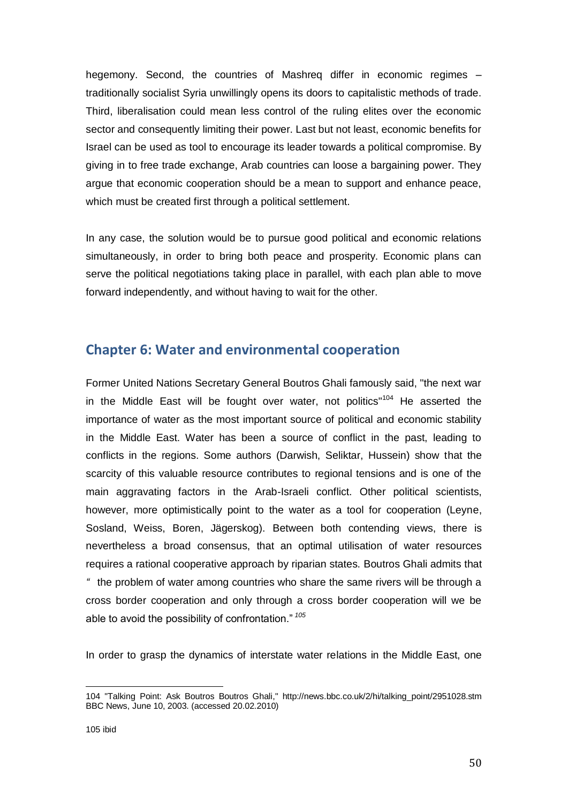hegemony. Second, the countries of Mashreq differ in economic regimes – traditionally socialist Syria unwillingly opens its doors to capitalistic methods of trade. Third, liberalisation could mean less control of the ruling elites over the economic sector and consequently limiting their power. Last but not least, economic benefits for Israel can be used as tool to encourage its leader towards a political compromise. By giving in to free trade exchange, Arab countries can loose a bargaining power. They argue that economic cooperation should be a mean to support and enhance peace, which must be created first through a political settlement.

In any case, the solution would be to pursue good political and economic relations simultaneously, in order to bring both peace and prosperity. Economic plans can serve the political negotiations taking place in parallel, with each plan able to move forward independently, and without having to wait for the other.

# **Chapter 6: Water and environmental cooperation**

Former United Nations Secretary General Boutros Ghali famously said, "the next war in the Middle East will be fought over water, not politics" $104$  He asserted the importance of water as the most important source of political and economic stability in the Middle East. Water has been a source of conflict in the past, leading to conflicts in the regions. Some authors (Darwish, Seliktar, Hussein) show that the scarcity of this valuable resource contributes to regional tensions and is one of the main aggravating factors in the Arab-Israeli conflict. Other political scientists, however, more optimistically point to the water as a tool for cooperation (Leyne, Sosland, Weiss, Boren, Jägerskog). Between both contending views, there is nevertheless a broad consensus, that an optimal utilisation of water resources requires a rational cooperative approach by riparian states. Boutros Ghali admits that *"* the problem of water among countries who share the same rivers will be through a cross border cooperation and only through a cross border cooperation will we be able to avoid the possibility of confrontation."<sup>105</sup>

In order to grasp the dynamics of interstate water relations in the Middle East, one

 $\overline{a}$ 104 ["Talking Point: Ask Boutros Boutros Ghali,](http://news.bbc.co.uk/2/hi/talking_point/2951028.stm)" http://news.bbc.co.uk/2/hi/talking\_point/2951028.stm BBC News, June 10, 2003. (accessed 20.02.2010)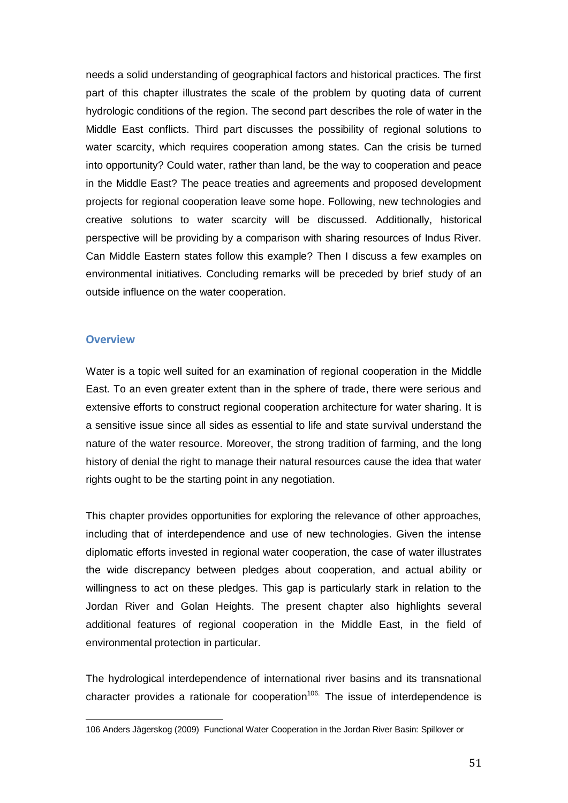needs a solid understanding of geographical factors and historical practices. The first part of this chapter illustrates the scale of the problem by quoting data of current hydrologic conditions of the region. The second part describes the role of water in the Middle East conflicts. Third part discusses the possibility of regional solutions to water scarcity, which requires cooperation among states. Can the crisis be turned into opportunity? Could water, rather than land, be the way to cooperation and peace in the Middle East? The peace treaties and agreements and proposed development projects for regional cooperation leave some hope. Following, new technologies and creative solutions to water scarcity will be discussed. Additionally, historical perspective will be providing by a comparison with sharing resources of Indus River. Can Middle Eastern states follow this example? Then I discuss a few examples on environmental initiatives. Concluding remarks will be preceded by brief study of an outside influence on the water cooperation.

### **Overview**

l

Water is a topic well suited for an examination of regional cooperation in the Middle East. To an even greater extent than in the sphere of trade, there were serious and extensive efforts to construct regional cooperation architecture for water sharing. It is a sensitive issue since all sides as essential to life and state survival understand the nature of the water resource. Moreover, the strong tradition of farming, and the long history of denial the right to manage their natural resources cause the idea that water rights ought to be the starting point in any negotiation.

This chapter provides opportunities for exploring the relevance of other approaches, including that of interdependence and use of new technologies. Given the intense diplomatic efforts invested in regional water cooperation, the case of water illustrates the wide discrepancy between pledges about cooperation, and actual ability or willingness to act on these pledges. This gap is particularly stark in relation to the Jordan River and Golan Heights. The present chapter also highlights several additional features of regional cooperation in the Middle East, in the field of environmental protection in particular.

The hydrological interdependence of international river basins and its transnational character provides a rationale for cooperation<sup>106.</sup> The issue of interdependence is

<sup>106</sup> Anders Jägerskog (2009) Functional Water Cooperation in the Jordan River Basin: Spillover or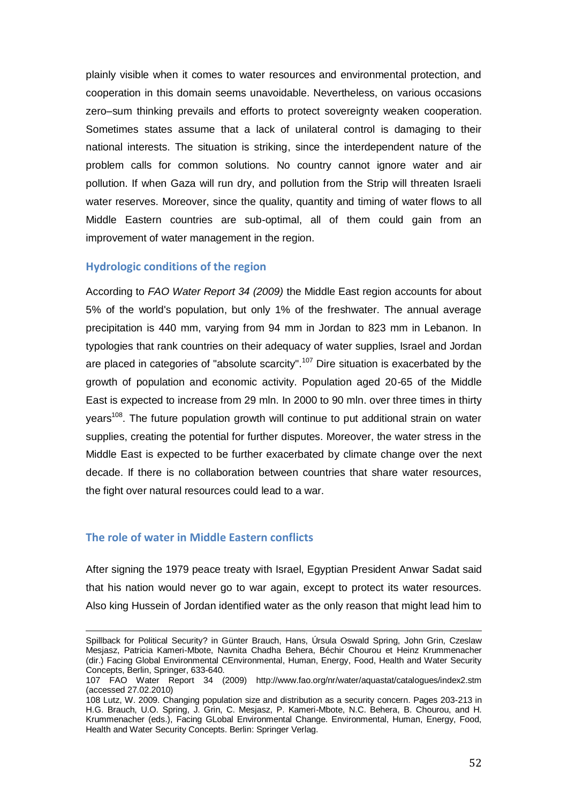plainly visible when it comes to water resources and environmental protection, and cooperation in this domain seems unavoidable. Nevertheless, on various occasions zero–sum thinking prevails and efforts to protect sovereignty weaken cooperation. Sometimes states assume that a lack of unilateral control is damaging to their national interests. The situation is striking, since the interdependent nature of the problem calls for common solutions. No country cannot ignore water and air pollution. If when Gaza will run dry, and pollution from the Strip will threaten Israeli water reserves. Moreover, since the quality, quantity and timing of water flows to all Middle Eastern countries are sub-optimal, all of them could gain from an improvement of water management in the region.

## **Hydrologic conditions of the region**

According to *FAO Water Report 34 (2009)* the Middle East region accounts for about 5% of the world's population, but only 1% of the freshwater. The annual average precipitation is 440 mm, varying from 94 mm in Jordan to 823 mm in Lebanon. In typologies that rank countries on their adequacy of water supplies, Israel and Jordan are placed in categories of "absolute scarcity".<sup>107</sup> Dire situation is exacerbated by the growth of population and economic activity. Population aged 20-65 of the Middle East is expected to increase from 29 mln. In 2000 to 90 mln. over three times in thirty years<sup>108</sup>. The future population growth will continue to put additional strain on water supplies, creating the potential for further disputes. Moreover, the water stress in the Middle East is expected to be further exacerbated by climate change over the next decade. If there is no collaboration between countries that share water resources, the fight over natural resources could lead to a war.

#### **The role of water in Middle Eastern conflicts**

 $\overline{a}$ 

After signing the 1979 peace treaty with Israel, Egyptian President Anwar Sadat said that his nation would never go to war again, except to protect its water resources. Also king Hussein of Jordan identified water as the only reason that might lead him to

Spillback for Political Security? in Günter Brauch, Hans, Úrsula Oswald Spring, John Grin, Czeslaw Mesjasz, Patricia Kameri-Mbote, Navnita Chadha Behera, Béchir Chourou et Heinz Krummenacher (dir.) Facing Global Environmental CEnvironmental, Human, Energy, Food, Health and Water Security Concepts, Berlin, Springer, 633-640.

<sup>107</sup> FAO Water Report 34 (2009) <http://www.fao.org/nr/water/aquastat/catalogues/index2.stm> (accessed 27.02.2010)

<sup>108</sup> Lutz, W. 2009. Changing population size and distribution as a security concern. Pages 203-213 in H.G. Brauch, U.O. Spring, J. Grin, C. Mesjasz, P. Kameri-Mbote, N.C. Behera, B. Chourou, and H. Krummenacher (eds.), Facing GLobal Environmental Change. Environmental, Human, Energy, Food, Health and Water Security Concepts. Berlin: Springer Verlag.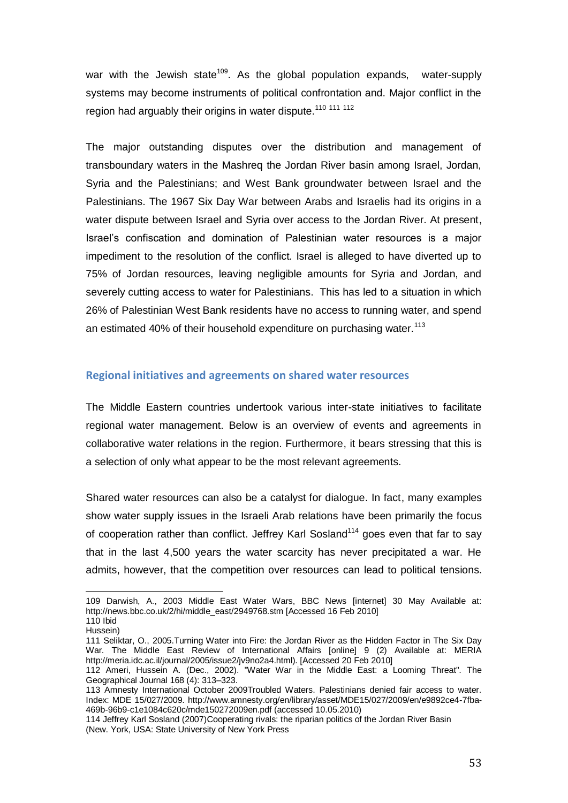war with the Jewish state<sup>109</sup>. As the global population expands, water-supply systems may become instruments of political confrontation and. Major conflict in the region had arguably their origins in water dispute.<sup>110 111 112</sup>

The major outstanding disputes over the distribution and management of transboundary waters in the Mashreq the Jordan River basin among Israel, Jordan, Syria and the Palestinians; and West Bank groundwater between Israel and the Palestinians. The 1967 Six Day War between Arabs and Israelis had its origins in a water dispute between Israel and Syria over access to the Jordan River. At present, Israel's confiscation and domination of Palestinian water resources is a major impediment to the resolution of the conflict. Israel is alleged to have diverted up to 75% of Jordan resources, leaving negligible amounts for Syria and Jordan, and severely cutting access to water for Palestinians. This has led to a situation in which 26% of Palestinian West Bank residents have no access to running water, and spend an estimated 40% of their household expenditure on purchasing water.<sup>113</sup>

#### **Regional initiatives and agreements on shared water resources**

The Middle Eastern countries undertook various inter-state initiatives to facilitate regional water management. Below is an overview of events and agreements in collaborative water relations in the region. Furthermore, it bears stressing that this is a selection of only what appear to be the most relevant agreements.

Shared water resources can also be a catalyst for dialogue. In fact, many examples show water supply issues in the Israeli Arab relations have been primarily the focus of cooperation rather than conflict. Jeffrey Karl Sosland<sup>114</sup> goes even that far to say that in the last 4,500 years the water scarcity has never precipitated a war. He admits, however, that the competition over resources can lead to political tensions.

<sup>109</sup> Darwish, A., 2003 Middle East Water Wars, BBC News [internet] 30 May Available at: http://news.bbc.co.uk/2/hi/middle\_east/2949768.stm [Accessed 16 Feb 2010] 110 Ibid

Hussein)

<sup>111</sup> Seliktar, O., 2005.Turning Water into Fire: the Jordan River as the Hidden Factor in The Six Day War. The Middle East Review of International Affairs [online] 9 (2) Available at: MERIA http://meria.idc.ac.il/journal/2005/issue2/jv9no2a4.html). [Accessed 20 Feb 2010]

<sup>112</sup> Ameri, Hussein A. (Dec., 2002). "Water War in the Middle East: a Looming Threat". The Geographical Journal 168 (4): 313–323.

<sup>113</sup> Amnesty International October 2009Troubled Waters. Palestinians denied fair access to water. Index: MDE 15/027/2009. [http://www.amnesty.org/en/library/asset/MDE15/027/2009/en/e9892ce4-7fba-](http://www.amnesty.org/en/library/asset/MDE15/027/2009/en/e9892ce4-7fba-469b-96b9-c1e1084c620c/mde150272009en.pdf)[469b-96b9-c1e1084c620c/mde150272009en.pdf](http://www.amnesty.org/en/library/asset/MDE15/027/2009/en/e9892ce4-7fba-469b-96b9-c1e1084c620c/mde150272009en.pdf) (accessed 10.05.2010)

<sup>114</sup> Jeffrey Karl Sosland (2007)Cooperating rivals: the riparian politics of the Jordan River Basin (New. York, USA: State University of New York Press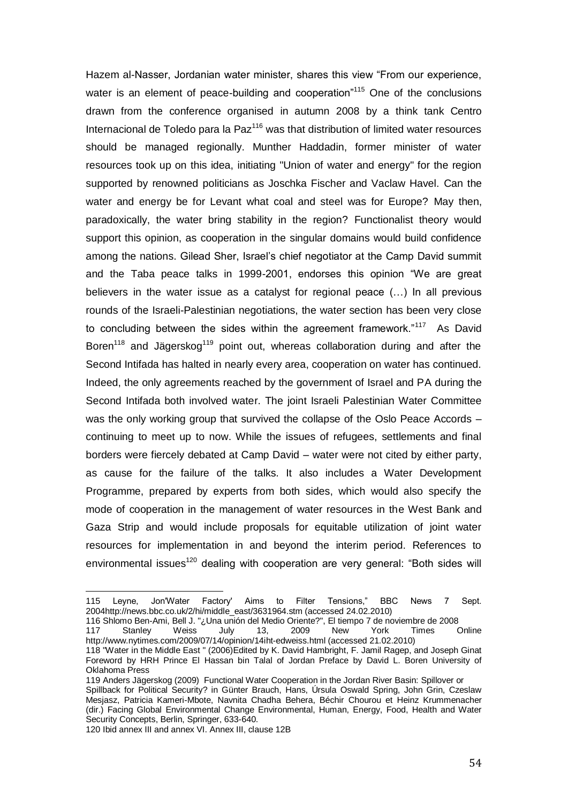Hazem al-Nasser, Jordanian water minister, shares this view "From our experience, water is an element of peace-building and cooperation $n_{115}$  One of the conclusions drawn from the conference organised in autumn 2008 by a think tank Centro Internacional de Toledo para la Paz $116$  was that distribution of limited water resources should be managed regionally. Munther Haddadin, former minister of water resources took up on this idea, initiating "Union of water and energy" for the region supported by renowned politicians as Joschka Fischer and Vaclaw Havel. Can the water and energy be for Levant what coal and steel was for Europe? May then, paradoxically, the water bring stability in the region? Functionalist theory would support this opinion, as cooperation in the singular domains would build confidence among the nations. Gilead Sher, Israel's chief negotiator at the Camp David summit and the Taba peace talks in 1999-2001, endorses this opinion "We are great believers in the water issue as a catalyst for regional peace (…) In all previous rounds of the Israeli-Palestinian negotiations, the water section has been very close to concluding between the sides within the agreement framework." $117$  As David Boren<sup>118</sup> and Jägerskog<sup>119</sup> point out, whereas collaboration during and after the Second Intifada has halted in nearly every area, cooperation on water has continued. Indeed, the only agreements reached by the government of Israel and PA during the Second Intifada both involved water. The joint Israeli Palestinian Water Committee was the only working group that survived the collapse of the Oslo Peace Accords – continuing to meet up to now. While the issues of refugees, settlements and final borders were fiercely debated at Camp David – water were not cited by either party, as cause for the failure of the talks. It also includes a Water Development Programme, prepared by experts from both sides, which would also specify the mode of cooperation in the management of water resources in the West Bank and Gaza Strip and would include proposals for equitable utilization of joint water resources for implementation in and beyond the interim period. References to environmental issues<sup>120</sup> dealing with cooperation are very general: "Both sides will

<sup>115</sup> Leyne, Jon'Water Factory' Aims to Filter Tensions," BBC News 7 Sept. 2004http://news.bbc.co.uk/2/hi/middle\_east/3631964.stm (accessed 24.02.2010)

<sup>116</sup> Shlomo Ben-Ami, Bell J. "¿Una unión del Medio Oriente?", El tiempo 7 de noviembre de 2008

<sup>117</sup> Stanley Weiss July 13, 2009 New York Times Online <http://www.nytimes.com/2009/07/14/opinion/14iht-edweiss.html> (accessed 21.02.2010)

<sup>118</sup> "Water in the Middle East " (2006)Edited by K. David Hambright, F. Jamil Ragep, and Joseph Ginat Foreword by HRH Prince El Hassan bin Talal of Jordan Preface by David L. Boren University of Oklahoma Press

<sup>119</sup> Anders Jägerskog (2009) Functional Water Cooperation in the Jordan River Basin: Spillover or Spillback for Political Security? in Günter Brauch, Hans, Úrsula Oswald Spring, John Grin, Czeslaw Mesjasz, Patricia Kameri-Mbote, Navnita Chadha Behera, Béchir Chourou et Heinz Krummenacher (dir.) Facing Global Environmental Change Environmental, Human, Energy, Food, Health and Water Security Concepts, Berlin, Springer, 633-640.

<sup>120</sup> Ibid annex III and annex VI. Annex III, clause 12B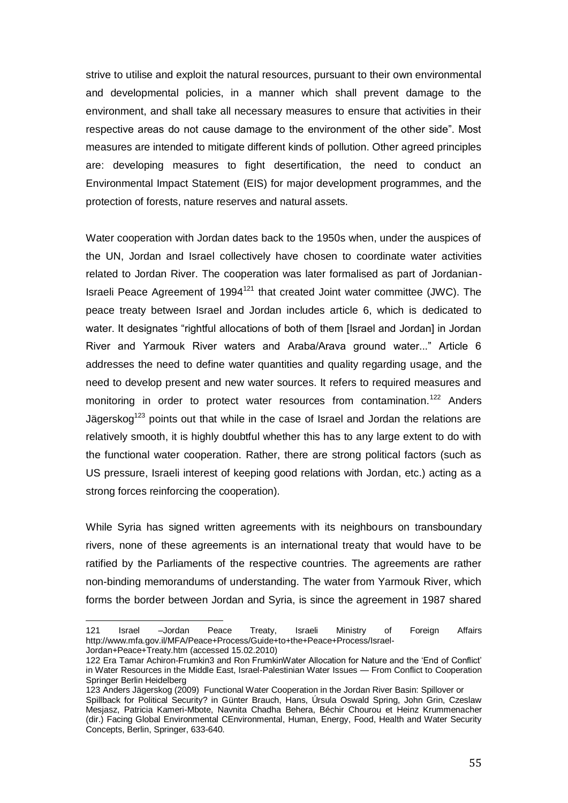strive to utilise and exploit the natural resources, pursuant to their own environmental and developmental policies, in a manner which shall prevent damage to the environment, and shall take all necessary measures to ensure that activities in their respective areas do not cause damage to the environment of the other side". Most measures are intended to mitigate different kinds of pollution. Other agreed principles are: developing measures to fight desertification, the need to conduct an Environmental Impact Statement (EIS) for major development programmes, and the protection of forests, nature reserves and natural assets.

Water cooperation with Jordan dates back to the 1950s when, under the auspices of the UN, Jordan and Israel collectively have chosen to coordinate water activities related to Jordan River. The cooperation was later formalised as part of Jordanian-Israeli Peace Agreement of 1994<sup>121</sup> that created Joint water committee (JWC). The peace treaty between Israel and Jordan includes article 6, which is dedicated to water. It designates "rightful allocations of both of them [Israel and Jordan] in Jordan River and Yarmouk River waters and Araba/Arava ground water..." Article 6 addresses the need to define water quantities and quality regarding usage, and the need to develop present and new water sources. It refers to required measures and monitoring in order to protect water resources from contamination.<sup>122</sup> Anders Jägerskog<sup>123</sup> points out that while in the case of Israel and Jordan the relations are relatively smooth, it is highly doubtful whether this has to any large extent to do with the functional water cooperation. Rather, there are strong political factors (such as US pressure, Israeli interest of keeping good relations with Jordan, etc.) acting as a strong forces reinforcing the cooperation).

While Syria has signed written agreements with its neighbours on transboundary rivers, none of these agreements is an international treaty that would have to be ratified by the Parliaments of the respective countries. The agreements are rather non-binding memorandums of understanding. The water from Yarmouk River, which forms the border between Jordan and Syria, is since the agreement in 1987 shared

 $\overline{a}$ 

<sup>121</sup> Israel –Jordan Peace Treaty, Israeli Ministry of Foreign Affairs [http://www.mfa.gov.il/MFA/Peace+Process/Guide+to+the+Peace+Process/Israel-](http://www.mfa.gov.il/MFA/Peace+Process/Guide+to+the+Peace+Process/Israel-Jordan+Peace+Treaty.htm)[Jordan+Peace+Treaty.htm](http://www.mfa.gov.il/MFA/Peace+Process/Guide+to+the+Peace+Process/Israel-Jordan+Peace+Treaty.htm) (accessed 15.02.2010)

<sup>122</sup> Era Tamar Achiron-Frumkin3 and Ron FrumkinWater Allocation for Nature and the 'End of Conflict' in Water Resources in the Middle East, Israel-Palestinian Water Issues — From Conflict to Cooperation Springer Berlin Heidelberg

<sup>123</sup> Anders Jägerskog (2009) Functional Water Cooperation in the Jordan River Basin: Spillover or Spillback for Political Security? in Günter Brauch, Hans, Úrsula Oswald Spring, John Grin, Czeslaw Mesjasz, Patricia Kameri-Mbote, Navnita Chadha Behera, Béchir Chourou et Heinz Krummenacher (dir.) Facing Global Environmental CEnvironmental, Human, Energy, Food, Health and Water Security Concepts, Berlin, Springer, 633-640.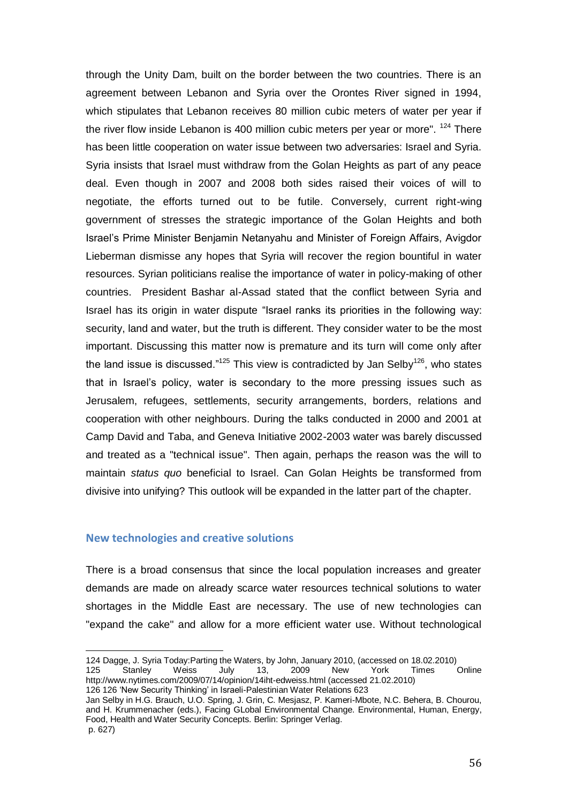through the Unity Dam, built on the border between the two countries. There is an agreement between Lebanon and Syria over the Orontes River signed in 1994, which stipulates that Lebanon receives 80 million cubic meters of water per year if the river flow inside Lebanon is 400 million cubic meters per year or more".  $124$  There has been little cooperation on water issue between two adversaries: Israel and Syria. Syria insists that Israel must withdraw from the Golan Heights as part of any peace deal. Even though in 2007 and 2008 both sides raised their voices of will to negotiate, the efforts turned out to be futile. Conversely, current right-wing government of stresses the strategic importance of the Golan Heights and both Israel's Prime Minister Benjamin Netanyahu and Minister of Foreign Affairs, Avigdor Lieberman dismisse any hopes that Syria will recover the region bountiful in water resources. Syrian politicians realise the importance of water in policy-making of other countries. President Bashar al-Assad stated that the conflict between Syria and Israel has its origin in water dispute "Israel ranks its priorities in the following way: security, land and water, but the truth is different. They consider water to be the most important. Discussing this matter now is premature and its turn will come only after the land issue is discussed."<sup>125</sup> This view is contradicted by Jan Selby<sup>126</sup>, who states that in Israel's policy, water is secondary to the more pressing issues such as Jerusalem, refugees, settlements, security arrangements, borders, relations and cooperation with other neighbours. During the talks conducted in 2000 and 2001 at Camp David and Taba, and Geneva Initiative 2002-2003 water was barely discussed and treated as a "technical issue". Then again, perhaps the reason was the will to maintain *status quo* beneficial to Israel. Can Golan Heights be transformed from divisive into unifying? This outlook will be expanded in the latter part of the chapter.

#### **New technologies and creative solutions**

 $\overline{a}$ 

There is a broad consensus that since the local population increases and greater demands are made on already scarce water resources technical solutions to water shortages in the Middle East are necessary. The use of new technologies can "expand the cake" and allow for a more efficient water use. Without technological

<sup>124</sup> Dagge, J. Syria Today[:Parting the](http://www.syria-today.com/index.php/focus/5259-parting-the-waters) Waters, by John, January 2010, (accessed on 18.02.2010) 125 Stanley Weiss July 13, 2009 New York Times Online <http://www.nytimes.com/2009/07/14/opinion/14iht-edweiss.html> (accessed 21.02.2010) 126 126 'New Security Thinking' in Israeli-Palestinian Water Relations 623

Jan Selby in H.G. Brauch, U.O. Spring, J. Grin, C. Mesjasz, P. Kameri-Mbote, N.C. Behera, B. Chourou, and H. Krummenacher (eds.), Facing GLobal Environmental Change. Environmental, Human, Energy, Food, Health and Water Security Concepts. Berlin: Springer Verlag. p. 627)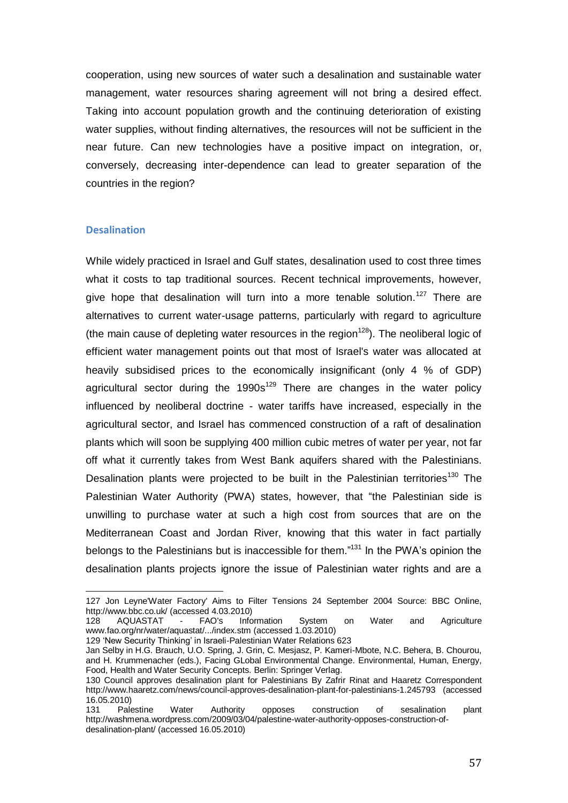cooperation, using new sources of water such a desalination and sustainable water management, water resources sharing agreement will not bring a desired effect. Taking into account population growth and the continuing deterioration of existing water supplies, without finding alternatives, the resources will not be sufficient in the near future. Can new technologies have a positive impact on integration, or, conversely, decreasing inter-dependence can lead to greater separation of the countries in the region?

## **Desalination**

l

While widely practiced in Israel and Gulf states, desalination used to cost three times what it costs to tap traditional sources. Recent technical improvements, however, give hope that desalination will turn into a more tenable solution.<sup>127</sup> There are alternatives to current water-usage patterns, particularly with regard to agriculture (the main cause of depleting water resources in the region<sup>128</sup>). The neoliberal logic of efficient water management points out that most of Israel's water was allocated at heavily subsidised prices to the economically insignificant (only 4 % of GDP) agricultural sector during the  $1990s^{129}$  There are changes in the water policy influenced by neoliberal doctrine - water tariffs have increased, especially in the agricultural sector, and Israel has commenced construction of a raft of desalination plants which will soon be supplying 400 million cubic metres of water per year, not far off what it currently takes from West Bank aquifers shared with the Palestinians. Desalination plants were projected to be built in the Palestinian territories<sup>130</sup> The [Palestinian Water Authority](http://www.pwa.ps/) (PWA) states, however, that "the Palestinian side is unwilling to purchase water at such a high cost from sources that are on the Mediterranean Coast and Jordan River, knowing that this water in fact partially belongs to the Palestinians but is inaccessible for them."<sup>131</sup> In the PWA's opinion the desalination plants projects ignore the issue of Palestinian water rights and are a

<sup>127</sup> Jon Leyne'Water Factory' Aims to Filter Tensions 24 September 2004 Source: BBC Online, <http://www.bbc.co.uk/> (accessed 4.03.2010)<br>128 AQUASTAT - FAO's Information

<sup>128</sup> AQUASTAT - [FAO's Information System on Water and Agriculture](http://www.fao.org/nr/water/aquastat/main/index.stm) [www.fao.org/nr/water/aquastat/.../index.stm](http://www.fao.org/nr/water/aquastat/.../index.stm) (accessed 1.03.2010)

<sup>129 &#</sup>x27;New Security Thinking' in Israeli-Palestinian Water Relations 623

Jan Selby in H.G. Brauch, U.O. Spring, J. Grin, C. Mesjasz, P. Kameri-Mbote, N.C. Behera, B. Chourou, and H. Krummenacher (eds.), Facing GLobal Environmental Change. Environmental, Human, Energy, Food, Health and Water Security Concepts. Berlin: Springer Verlag.

<sup>130</sup> Council approves desalination plant for Palestinians By [Zafrir Rinat](http://www.haaretz.com/misc/writers/zafrir-rinat-1.683) and Haaretz Correspondent <http://www.haaretz.com/news/council-approves-desalination-plant-for-palestinians-1.245793> (accessed 16.05.2010)

<sup>131</sup> Palestine Water Authority opposes construction of sesalination plant [http://washmena.wordpress.com/2009/03/04/palestine-water-authority-opposes-construction-of](http://washmena.wordpress.com/2009/03/04/palestine-water-authority-opposes-construction-of-desalination-plant/)[desalination-plant/](http://washmena.wordpress.com/2009/03/04/palestine-water-authority-opposes-construction-of-desalination-plant/) (accessed 16.05.2010)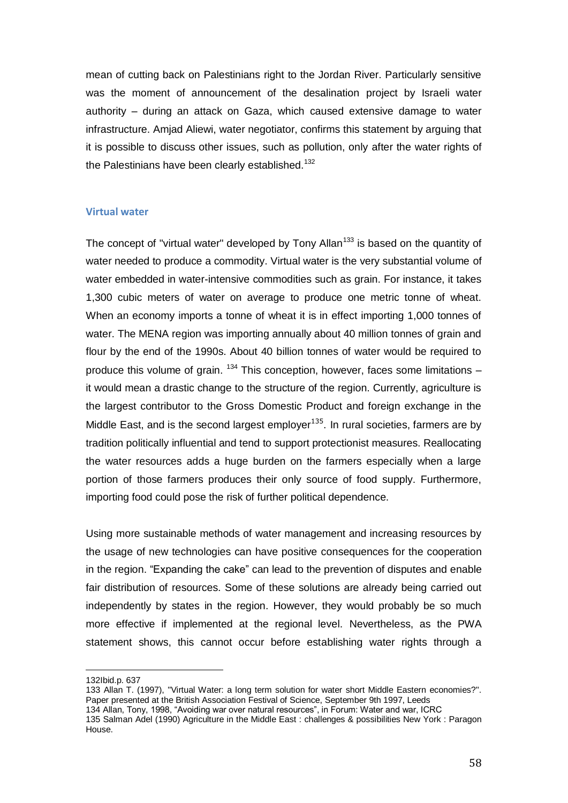mean of cutting back on Palestinians right to the Jordan River. Particularly sensitive was the moment of announcement of the desalination project by Israeli water authority – during an attack on Gaza, which caused extensive damage to water infrastructure. Amjad Aliewi, water negotiator, confirms this statement by arguing that it is possible to discuss other issues, such as pollution, only after the water rights of the Palestinians have been clearly established.<sup>132</sup>

#### **Virtual water**

The concept of "virtual water" developed by Tony Allan<sup>133</sup> is based on the quantity of water needed to produce a commodity. Virtual water is the very substantial volume of water embedded in water-intensive commodities such as grain. For instance, it takes 1,300 cubic meters of water on average to produce one metric tonne of wheat. When an economy imports a tonne of wheat it is in effect importing 1,000 tonnes of water. The MENA region was importing annually about 40 million tonnes of grain and flour by the end of the 1990s. About 40 billion tonnes of water would be required to produce this volume of grain.  $134$  This conception, however, faces some limitations  $$ it would mean a drastic change to the structure of the region. Currently, agriculture is the largest contributor to the Gross Domestic Product and foreign exchange in the Middle East, and is the second largest employer $^{135}$ . In rural societies, farmers are by tradition politically influential and tend to support protectionist measures. Reallocating the water resources adds a huge burden on the farmers especially when a large portion of those farmers produces their only source of food supply. Furthermore, importing food could pose the risk of further political dependence.

Using more sustainable methods of water management and increasing resources by the usage of new technologies can have positive consequences for the cooperation in the region. "Expanding the cake" can lead to the prevention of disputes and enable fair distribution of resources. Some of these solutions are already being carried out independently by states in the region. However, they would probably be so much more effective if implemented at the regional level. Nevertheless, as the PWA statement shows, this cannot occur before establishing water rights through a

<sup>132</sup>Ibid.p. 637

<sup>133</sup> Allan T. (1997), ''Virtual Water: a long term solution for water short Middle Eastern economies?''. Paper presented at the British Association Festival of Science, September 9th 1997, Leeds

<sup>134</sup> Allan, Tony, 1998, "Avoiding war over natural resources", in Forum: Water and war, ICRC

<sup>135</sup> Salman Adel (1990) Agriculture in the Middle East : challenges & possibilities New York : Paragon House.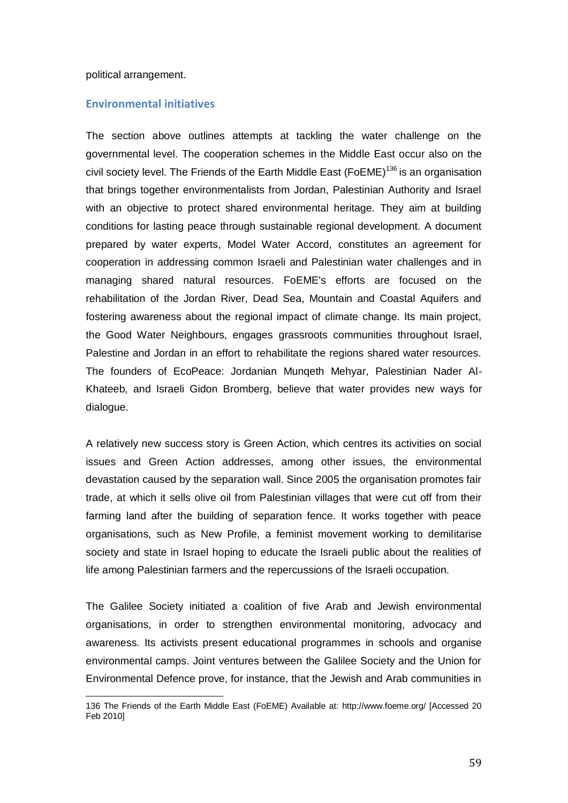#### political arrangement.

l

#### **Environmental initiatives**

The section above outlines attempts at tackling the water challenge on the governmental level. The cooperation schemes in the Middle East occur also on the civil society level. The Friends of the Earth Middle East (FoEME)<sup>136</sup> is an organisation that brings together environmentalists from Jordan, Palestinian Authority and Israel with an objective to protect shared environmental heritage. They aim at building conditions for lasting peace through sustainable regional development. A document prepared by water experts, Model Water Accord, constitutes an agreement for cooperation in addressing common Israeli and Palestinian water challenges and in managing shared natural resources. FoEME's efforts are focused on the rehabilitation of the Jordan River, Dead Sea, Mountain and Coastal Aquifers and fostering awareness about the regional impact of climate change. Its main project, the Good Water Neighbours, engages grassroots communities throughout Israel, Palestine and Jordan in an effort to rehabilitate the regions shared water resources. The founders of EcoPeace: Jordanian Munqeth Mehyar, Palestinian Nader Al-Khateeb, and Israeli Gidon Bromberg, believe that water provides new ways for dialogue.

A relatively new success story is Green Action, which centres its activities on social issues and Green Action addresses, among other issues, the environmental devastation caused by the separation wall. Since 2005 the organisation promotes fair trade, at which it sells olive oil from Palestinian villages that were cut off from their farming land after the building of separation fence. It works together with peace organisations, such as New Profile, a feminist movement working to demilitarise society and state in Israel hoping to educate the Israeli public about the realities of life among Palestinian farmers and the repercussions of the Israeli occupation.

The Galilee Society initiated a coalition of five Arab and Jewish environmental organisations, in order to strengthen environmental monitoring, advocacy and awareness. Its activists present educational programmes in schools and organise environmental camps. Joint ventures between the Galilee Society and the Union for Environmental Defence prove, for instance, that the Jewish and Arab communities in

<sup>136</sup> The Friends of the Earth Middle East (FoEME) Available at: http://www.foeme.org/ [Accessed 20 Feb 2010]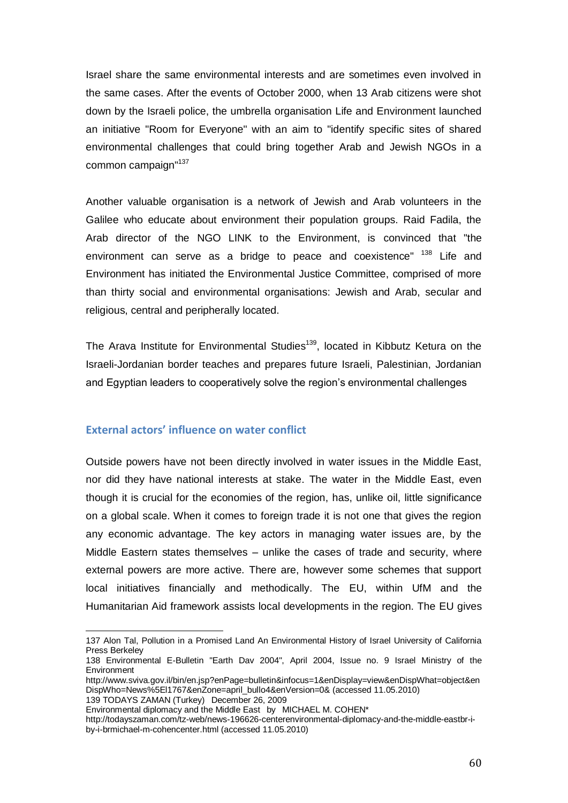Israel share the same environmental interests and are sometimes even involved in the same cases. After the events of October 2000, when 13 Arab citizens were shot down by the Israeli police, the umbrella organisation Life and Environment launched an initiative "Room for Everyone" with an aim to "identify specific sites of shared environmental challenges that could bring together Arab and Jewish NGOs in a common campaign"<sup>137</sup>

Another valuable organisation is a network of Jewish and Arab volunteers in the Galilee who educate about environment their population groups. Raid Fadila, the Arab director of the NGO LINK to the Environment, is convinced that "the environment can serve as a bridge to peace and coexistence" <sup>138</sup> Life and Environment has initiated the Environmental Justice Committee, comprised of more than thirty social and environmental organisations: Jewish and Arab, secular and religious, central and peripherally located.

The Arava Institute for Environmental Studies<sup>139</sup>, located in Kibbutz Ketura on the Israeli-Jordanian border teaches and prepares future Israeli, Palestinian, Jordanian and Egyptian leaders to cooperatively solve the region's environmental challenges

## **External actors' influence on water conflict**

Outside powers have not been directly involved in water issues in the Middle East, nor did they have national interests at stake. The water in the Middle East, even though it is crucial for the economies of the region, has, unlike oil, little significance on a global scale. When it comes to foreign trade it is not one that gives the region any economic advantage. The key actors in managing water issues are, by the Middle Eastern states themselves – unlike the cases of trade and security, where external powers are more active. There are, however some schemes that support local initiatives financially and methodically. The EU, within UfM and the Humanitarian Aid framework assists local developments in the region. The EU gives

Environmental diplomacy and the Middle East by MICHAEL M. COHEN\*

 $\overline{a}$ 137 Alon Tal, Pollution in a Promised Land An Environmental History of Israel University of California Press Berkeley

<sup>138</sup> Environmental E-Bulletin "Earth Dav 2004", April 2004, Issue no. 9 Israel Ministry of the Environment

[http://www.sviva.gov.il/bin/en.jsp?enPage=bulletin&infocus=1&enDisplay=view&enDispWhat=object&en](http://www.sviva.gov.il/bin/en.jsp?enPage=bulletin&infocus=1&enDisplay=view&enDispWhat=object&enDispWho=News%5El1767&enZone=april_bullo4&enVersion=0&) [DispWho=News%5El1767&enZone=april\\_bullo4&enVersion=0&](http://www.sviva.gov.il/bin/en.jsp?enPage=bulletin&infocus=1&enDisplay=view&enDispWhat=object&enDispWho=News%5El1767&enZone=april_bullo4&enVersion=0&) (accessed 11.05.2010) 139 TODAYS ZAMAN (Turkey) December 26, 2009

[http://todayszaman.com/tz-web/news-196626-centerenvironmental-diplomacy-and-the-middle-eastbr-i](http://todayszaman.com/tz-web/news-196626-centerenvironmental-diplomacy-and-the-middle-eastbr-i-by-i-brmichael-m-cohencenter.html)[by-i-brmichael-m-cohencenter.html](http://todayszaman.com/tz-web/news-196626-centerenvironmental-diplomacy-and-the-middle-eastbr-i-by-i-brmichael-m-cohencenter.html) (accessed 11.05.2010)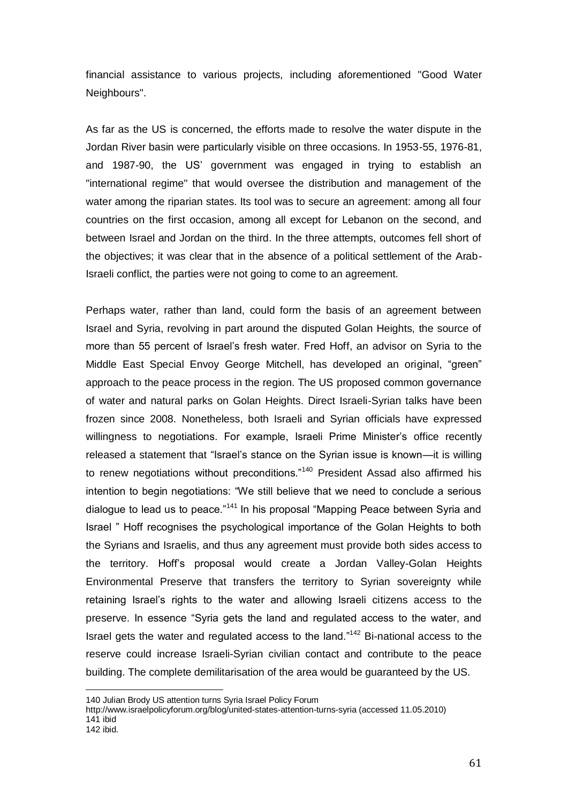financial assistance to various projects, including aforementioned "Good Water Neighbours".

As far as the US is concerned, the efforts made to resolve the water dispute in the Jordan River basin were particularly visible on three occasions. In 1953-55, 1976-81, and 1987-90, the US' government was engaged in trying to establish an "international regime" that would oversee the distribution and management of the water among the riparian states. Its tool was to secure an agreement: among all four countries on the first occasion, among all except for Lebanon on the second, and between Israel and Jordan on the third. In the three attempts, outcomes fell short of the objectives; it was clear that in the absence of a political settlement of the Arab-Israeli conflict, the parties were not going to come to an agreement.

Perhaps water, rather than land, could form the basis of an agreement between Israel and Syria, revolving in part around the disputed Golan Heights, the source of more than 55 percent of Israel's fresh water. Fred Hoff, an advisor on Syria to the Middle East Special Envoy George Mitchell, has developed an original, "green" approach to the peace process in the region. The US proposed common governance of water and natural parks on Golan Heights. Direct Israeli-Syrian talks have been frozen since 2008. Nonetheless, both Israeli and Syrian officials have expressed willingness to negotiations. For example, Israeli Prime Minister's office recently released a statement that "Israel's stance on the Syrian issue is known—it is willing to renew negotiations without preconditions."<sup>140</sup> President Assad also affirmed his intention to begin negotiations: "We still believe that we need to conclude a serious dialogue to lead us to peace."<sup>141</sup> In his proposal "Mapping Peace between Syria and Israel ‖ Hoff recognises the psychological importance of the Golan Heights to both the Syrians and Israelis, and thus any agreement must provide both sides access to the territory. Hoff's proposal would create a Jordan Valley-Golan Heights Environmental Preserve that transfers the territory to Syrian sovereignty while retaining Israel's rights to the water and allowing Israeli citizens access to the preserve. In essence "Syria gets the land and regulated access to the water, and Israel gets the water and regulated access to the land."<sup>142</sup> Bi-national access to the reserve could increase Israeli-Syrian civilian contact and contribute to the peace building. The complete demilitarisation of the area would be guaranteed by the US.

<sup>140</sup> Julian Brody US attention turns Syria Israel Policy Forum

<http://www.israelpolicyforum.org/blog/united-states-attention-turns-syria> (accessed 11.05.2010) 141 ibid

<sup>142</sup> ibid.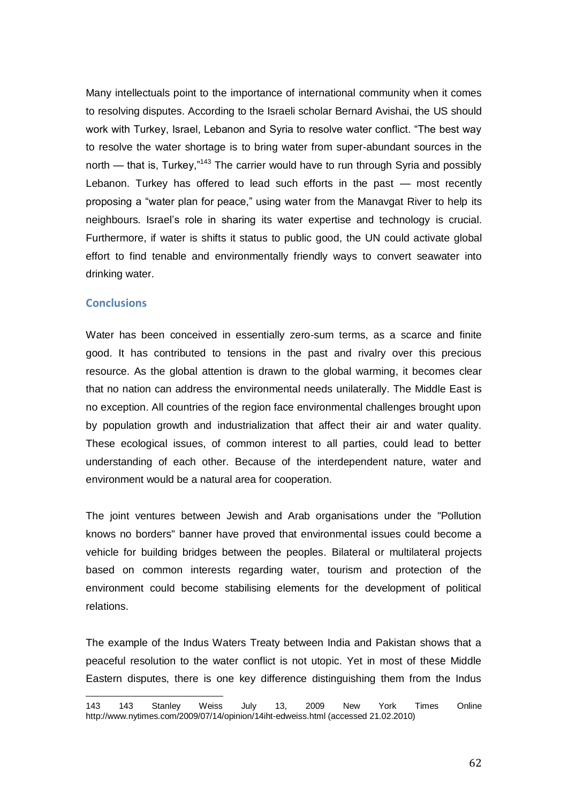Many intellectuals point to the importance of international community when it comes to resolving disputes. According to the Israeli scholar Bernard Avishai, the US should work with Turkey, Israel, Lebanon and Syria to resolve water conflict. "The best wav to resolve the water shortage is to bring water from super-abundant sources in the north — that is, Turkey, $n_{43}$  The carrier would have to run through Syria and possibly Lebanon. Turkey has offered to lead such efforts in the past — most recently proposing a "water plan for peace," using water from the Manavgat River to help its neighbours. Israel's role in sharing its water expertise and technology is crucial. Furthermore, if water is shifts it status to public good, the UN could activate global effort to find tenable and environmentally friendly ways to convert seawater into drinking water.

### **Conclusions**

l

Water has been conceived in essentially zero-sum terms, as a scarce and finite good. It has contributed to tensions in the past and rivalry over this precious resource. As the global attention is drawn to the global warming, it becomes clear that no nation can address the environmental needs unilaterally. The Middle East is no exception. All countries of the region face environmental challenges brought upon by population growth and industrialization that affect their air and water quality. These ecological issues, of common interest to all parties, could lead to better understanding of each other. Because of the interdependent nature, water and environment would be a natural area for cooperation.

The joint ventures between Jewish and Arab organisations under the "Pollution knows no borders" banner have proved that environmental issues could become a vehicle for building bridges between the peoples. Bilateral or multilateral projects based on common interests regarding water, tourism and protection of the environment could become stabilising elements for the development of political relations.

The example of the Indus Waters Treaty between India and Pakistan shows that a peaceful resolution to the water conflict is not utopic. Yet in most of these Middle Eastern disputes, there is one key difference distinguishing them from the Indus

<sup>143</sup> 143 Stanley Weiss July 13, 2009 New York Times Online <http://www.nytimes.com/2009/07/14/opinion/14iht-edweiss.html> (accessed 21.02.2010)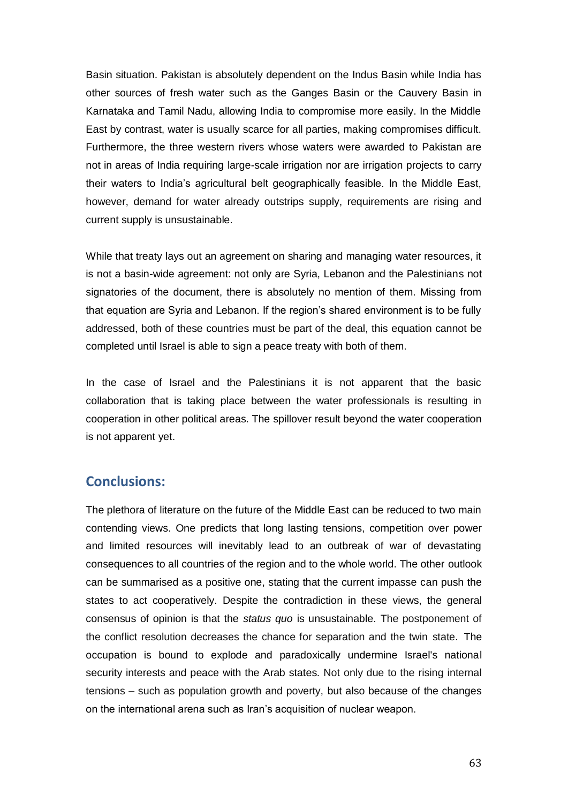Basin situation. Pakistan is absolutely dependent on the Indus Basin while India has other sources of fresh water such as the Ganges Basin or the Cauvery Basin in Karnataka and Tamil Nadu, allowing India to compromise more easily. In the Middle East by contrast, water is usually scarce for all parties, making compromises difficult. Furthermore, the three western rivers whose waters were awarded to Pakistan are not in areas of India requiring large-scale irrigation nor are irrigation projects to carry their waters to India's agricultural belt geographically feasible. In the Middle East, however, demand for water already outstrips supply, requirements are rising and current supply is unsustainable.

While that treaty lays out an agreement on sharing and managing water resources, it is not a basin-wide agreement: not only are Syria, Lebanon and the Palestinians not signatories of the document, there is absolutely no mention of them. Missing from that equation are Syria and Lebanon. If the region's shared environment is to be fully addressed, both of these countries must be part of the deal, this equation cannot be completed until Israel is able to sign a peace treaty with both of them.

In the case of Israel and the Palestinians it is not apparent that the basic collaboration that is taking place between the water professionals is resulting in cooperation in other political areas. The spillover result beyond the water cooperation is not apparent yet.

## **Conclusions:**

The plethora of literature on the future of the Middle East can be reduced to two main contending views. One predicts that long lasting tensions, competition over power and limited resources will inevitably lead to an outbreak of war of devastating consequences to all countries of the region and to the whole world. The other outlook can be summarised as a positive one, stating that the current impasse can push the states to act cooperatively. Despite the contradiction in these views, the general consensus of opinion is that the *status quo* is unsustainable. The postponement of the conflict resolution decreases the chance for separation and the twin state. The occupation is bound to explode and paradoxically undermine Israel's national security interests and peace with the Arab states. Not only due to the rising internal tensions – such as population growth and poverty, but also because of the changes on the international arena such as Iran's acquisition of nuclear weapon.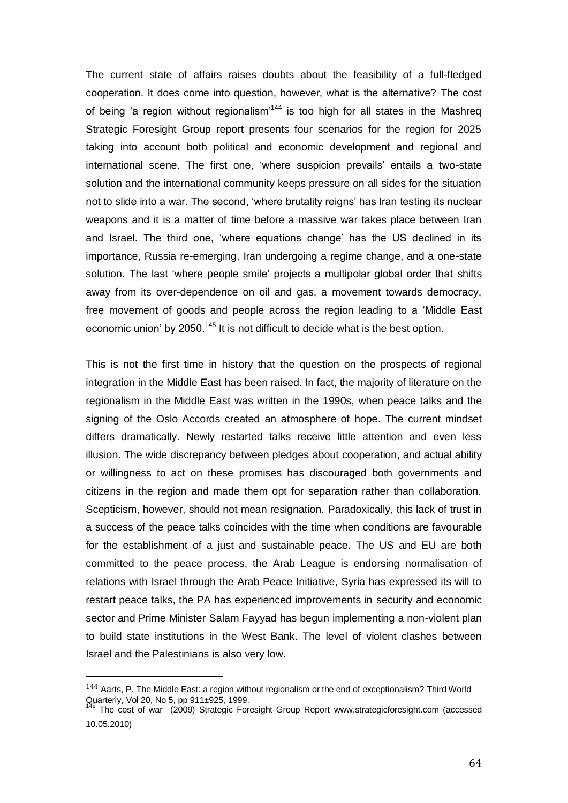The current state of affairs raises doubts about the feasibility of a full-fledged cooperation. It does come into question, however, what is the alternative? The cost of being 'a region without regionalism<sup> $144$ </sup> is too high for all states in the Mashreg Strategic Foresight Group report presents four scenarios for the region for 2025 taking into account both political and economic development and regional and international scene. The first one, 'where suspicion prevails' entails a two-state solution and the international community keeps pressure on all sides for the situation not to slide into a war. The second, 'where brutality reigns' has Iran testing its nuclear weapons and it is a matter of time before a massive war takes place between Iran and Israel. The third one, 'where equations change' has the US declined in its importance, Russia re-emerging, Iran undergoing a regime change, and a one-state solution. The last 'where people smile' projects a multipolar global order that shifts away from its over-dependence on oil and gas, a movement towards democracy, free movement of goods and people across the region leading to a 'Middle East economic union' by 2050.<sup>145</sup> It is not difficult to decide what is the best option.

This is not the first time in history that the question on the prospects of regional integration in the Middle East has been raised. In fact, the majority of literature on the regionalism in the Middle East was written in the 1990s, when peace talks and the signing of the Oslo Accords created an atmosphere of hope. The current mindset differs dramatically. Newly restarted talks receive little attention and even less illusion. The wide discrepancy between pledges about cooperation, and actual ability or willingness to act on these promises has discouraged both governments and citizens in the region and made them opt for separation rather than collaboration. Scepticism, however, should not mean resignation. Paradoxically, this lack of trust in a success of the peace talks coincides with the time when conditions are favourable for the establishment of a just and sustainable peace. The US and EU are both committed to the peace process, the Arab League is endorsing normalisation of relations with Israel through the Arab Peace Initiative, Syria has expressed its will to restart peace talks, the PA has experienced improvements in security and economic sector and Prime Minister Salam Fayyad has begun implementing a non-violent plan to build state institutions in the West Bank. The level of violent clashes between Israel and the Palestinians is also very low.

 $\overline{a}$ 

 $144$  Aarts, P. The Middle East: a region without regionalism or the end of exceptionalism? Third World Quarterly, Vol 20, No 5, pp 911±925, 1999.

<sup>&</sup>lt;sup>145</sup> The cost of war (2009) Strategic Foresight Group Report [www.strategicforesight.com](http://www.strategicforesight.com/) (accessed 10.05.2010)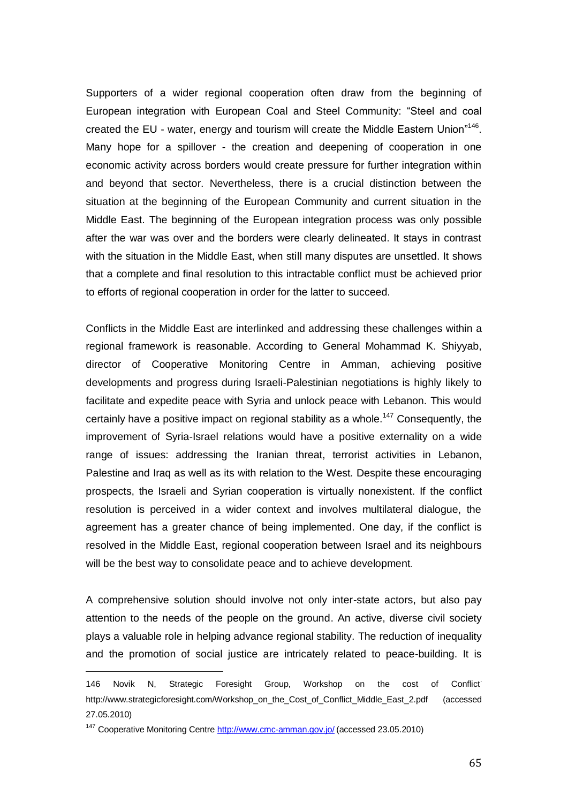Supporters of a wider regional cooperation often draw from the beginning of European integration with European Coal and Steel Community: "Steel and coal created the EU - water, energy and tourism will create the Middle Eastern Union"<sup>146</sup>. Many hope for a spillover - the creation and deepening of cooperation in one economic activity across borders would create pressure for further integration within and beyond that sector. Nevertheless, there is a crucial distinction between the situation at the beginning of the European Community and current situation in the Middle East. The beginning of the European integration process was only possible after the war was over and the borders were clearly delineated. It stays in contrast with the situation in the Middle East, when still many disputes are unsettled. It shows that a complete and final resolution to this intractable conflict must be achieved prior to efforts of regional cooperation in order for the latter to succeed.

Conflicts in the Middle East are interlinked and addressing these challenges within a regional framework is reasonable. According to General Mohammad K. Shiyyab, director of Cooperative Monitoring Centre in Amman, achieving positive developments and progress during Israeli-Palestinian negotiations is highly likely to facilitate and expedite peace with Syria and unlock peace with Lebanon. This would certainly have a positive impact on regional stability as a whole.<sup>147</sup> Consequently, the improvement of Syria-Israel relations would have a positive externality on a wide range of issues: addressing the Iranian threat, terrorist activities in Lebanon, Palestine and Iraq as well as its with relation to the West. Despite these encouraging prospects, the Israeli and Syrian cooperation is virtually nonexistent. If the conflict resolution is perceived in a wider context and involves multilateral dialogue, the agreement has a greater chance of being implemented. One day, if the conflict is resolved in the Middle East, regional cooperation between Israel and its neighbours will be the best way to consolidate peace and to achieve development.

A comprehensive solution should involve not only inter-state actors, but also pay attention to the needs of the people on the ground. An active, diverse civil society plays a valuable role in helping advance regional stability. The reduction of inequality and the promotion of social justice are intricately related to peace-building. It is

 $\overline{a}$ 

<sup>146</sup> Novik N, Strategic Foresight Group, Workshop on the cost of Conflict. [http://www.strategicforesight.com/Workshop\\_on\\_the\\_Cost\\_of\\_Conflict\\_Middle\\_East\\_2.pdf](http://www.strategicforesight.com/Workshop_on_the_Cost_of_Conflict_Middle_East_2.pdf) (accessed 27.05.2010)

<sup>&</sup>lt;sup>147</sup> Cooperative Monitoring Centre <http://www.cmc-amman.gov.jo/> (accessed 23.05.2010)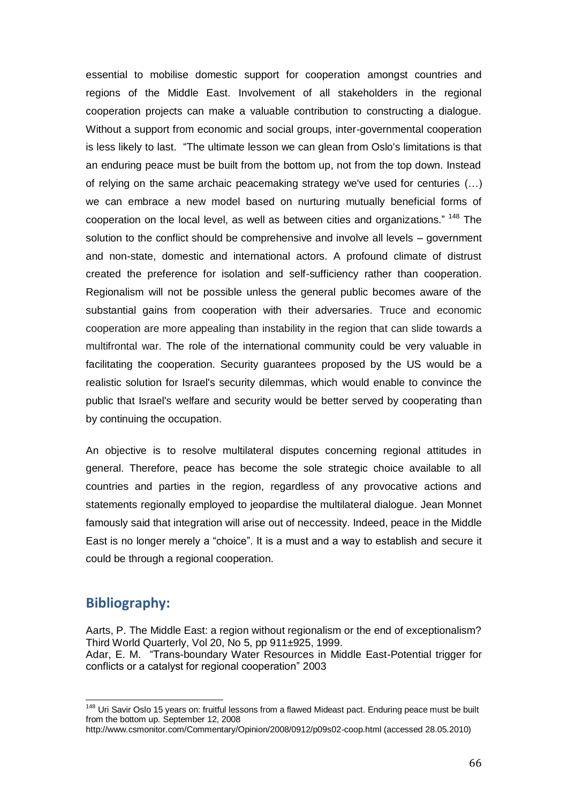essential to mobilise domestic support for cooperation amongst countries and regions of the Middle East. Involvement of all stakeholders in the regional cooperation projects can make a valuable contribution to constructing a dialogue. Without a support from economic and social groups, inter-governmental cooperation is less likely to last. "The ultimate lesson we can glean from Oslo's limitations is that an enduring peace must be built from the bottom up, not from the top down. Instead of relying on the same archaic peacemaking strategy we've used for centuries (…) we can embrace a new model based on nurturing mutually beneficial forms of cooperation on the local level, as well as between cities and organizations." <sup>148</sup> The solution to the conflict should be comprehensive and involve all levels – government and non-state, domestic and international actors. A profound climate of distrust created the preference for isolation and self-sufficiency rather than cooperation. Regionalism will not be possible unless the general public becomes aware of the substantial gains from cooperation with their adversaries. Truce and economic cooperation are more appealing than instability in the region that can slide towards a multifrontal war. The role of the international community could be very valuable in facilitating the cooperation. Security guarantees proposed by the US would be a realistic solution for Israel's security dilemmas, which would enable to convince the public that Israel's welfare and security would be better served by cooperating than by continuing the occupation.

An objective is to resolve multilateral disputes concerning regional attitudes in general. Therefore, peace has become the sole strategic choice available to all countries and parties in the region, regardless of any provocative actions and statements regionally employed to jeopardise the multilateral dialogue. Jean Monnet famously said that integration will arise out of neccessity. Indeed, peace in the Middle East is no longer merely a "choice". It is a must and a way to establish and secure it could be through a regional cooperation.

## **Bibliography:**

 $\overline{a}$ 

Aarts, P. The Middle East: a region without regionalism or the end of exceptionalism? Third World Quarterly, Vol 20, No 5, pp 911±925, 1999. Adar, E. M. "Trans-boundary Water Resources in Middle East-Potential trigger for conflicts or a catalyst for regional cooperation" 2003

<sup>&</sup>lt;sup>148</sup> [Uri Savir](http://www.csmonitor.com/About/Contact-Us-Feedback) Oslo 15 years on: fruitful lessons from a flawed Mideast pact. Enduring peace must be built from the bottom up. September 12, 2008

<http://www.csmonitor.com/Commentary/Opinion/2008/0912/p09s02-coop.html> (accessed 28.05.2010)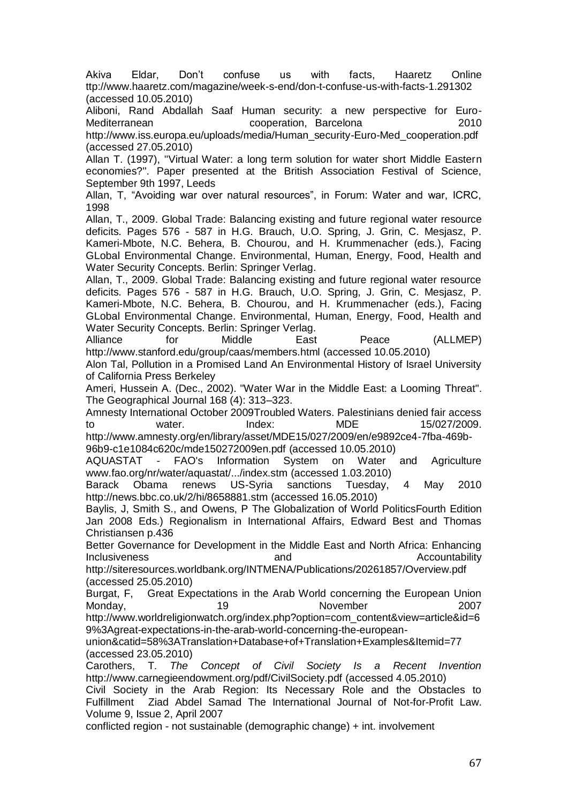[Akiva Eldar, Don't confuse us with facts, Haaretz Online](http://www.haaretz.com/magazine/week-s-end/don-t-confuse-us-with-facts-1.291302)  [ttp://www.haaretz.com/magazine/week-s-end/don-t-confuse-us-with-facts-1.291302](http://www.haaretz.com/magazine/week-s-end/don-t-confuse-us-with-facts-1.291302) (accessed 10.05.2010)

Aliboni, Rand Abdallah Saaf Human security: a new perspective for Euro-Mediterranean cooperation, Barcelona 2010 [http://www.iss.europa.eu/uploads/media/Human\\_security-Euro-Med\\_cooperation.pdf](http://www.iss.europa.eu/uploads/media/Human_security-Euro-Med_cooperation.pdf) (accessed 27.05.2010)

Allan T. (1997), ''Virtual Water: a long term solution for water short Middle Eastern economies?''. Paper presented at the British Association Festival of Science, September 9th 1997, Leeds

Allan, T. "Avoiding war over natural resources", in Forum: Water and war, ICRC, 1998

Allan, T., 2009. Global Trade: Balancing existing and future regional water resource deficits. Pages 576 - 587 in H.G. Brauch, U.O. Spring, J. Grin, C. Mesjasz, P. Kameri-Mbote, N.C. Behera, B. Chourou, and H. Krummenacher (eds.), Facing GLobal Environmental Change. Environmental, Human, Energy, Food, Health and Water Security Concepts. Berlin: Springer Verlag.

Allan, T., 2009. Global Trade: Balancing existing and future regional water resource deficits. Pages 576 - 587 in H.G. Brauch, U.O. Spring, J. Grin, C. Mesjasz, P. Kameri-Mbote, N.C. Behera, B. Chourou, and H. Krummenacher (eds.), Facing GLobal Environmental Change. Environmental, Human, Energy, Food, Health and Water Security Concepts. Berlin: Springer Verlag.

Alliance for Middle East Peace (ALLMEP) <http://www.stanford.edu/group/caas/members.html> (accessed 10.05.2010)

Alon Tal, Pollution in a Promised Land An Environmental History of Israel University of California Press Berkeley

Ameri, Hussein A. (Dec., 2002). "Water War in the Middle East: a Looming Threat". The Geographical Journal 168 (4): 313–323.

Amnesty International October 2009Troubled Waters. Palestinians denied fair access to water. Index: MDE 15/027/2009. [http://www.amnesty.org/en/library/asset/MDE15/027/2009/en/e9892ce4-7fba-469b-](http://www.amnesty.org/en/library/asset/MDE15/027/2009/en/e9892ce4-7fba-469b-96b9-c1e1084c620c/mde150272009en.pdf)

[96b9-c1e1084c620c/mde150272009en.pdf](http://www.amnesty.org/en/library/asset/MDE15/027/2009/en/e9892ce4-7fba-469b-96b9-c1e1084c620c/mde150272009en.pdf) (accessed 10.05.2010)

AQUASTAT - [FAO's Information System on Water and Agriculture](http://www.fao.org/nr/water/aquastat/main/index.stm) [www.fao.org/nr/water/aquastat/.../index.stm](http://www.fao.org/nr/water/aquastat/.../index.stm) (accessed 1.03.2010)

Barack Obama renews US-Syria sanctions Tuesday, 4 May 2010 <http://news.bbc.co.uk/2/hi/8658881.stm> (accessed 16.05.2010)

Baylis, J, Smith S., and Owens, P The Globalization of World PoliticsFourth Edition Jan 2008 Eds.) Regionalism in International Affairs, Edward Best and Thomas Christiansen p.436

Better Governance for Development in the Middle East and North Africa: Enhancing Inclusiveness and and Accountability

<http://siteresources.worldbank.org/INTMENA/Publications/20261857/Overview.pdf> (accessed 25.05.2010)

Burgat, F, [Great Expectations in the Arab World concerning the European Union](http://www.world-religion-watch.org/index.php?option=com_content&view=article&id=69:great-expectations-in-the-arab-world-concerning-the-european-union&catid=58:Translation%20Database%20of%20Translation%20Examples&Itemid=77) Monday, 19 November 2007

[http://www.worldreligionwatch.org/index.php?option=com\\_content&view=article&id=6](http://www.world-religionwatch.org/index.php?option=com_content&view=article&id=69%3Agreat-expectations-in-the-arab-world-concerning-the-european-union&catid=58%3ATranslation+Database+of+Translation+Examples&Itemid=77) [9%3Agreat-expectations-in-the-arab-world-concerning-the-european-](http://www.world-religionwatch.org/index.php?option=com_content&view=article&id=69%3Agreat-expectations-in-the-arab-world-concerning-the-european-union&catid=58%3ATranslation+Database+of+Translation+Examples&Itemid=77)

[union&catid=58%3ATranslation+Database+of+Translation+Examples&Itemid=77](http://www.world-religionwatch.org/index.php?option=com_content&view=article&id=69%3Agreat-expectations-in-the-arab-world-concerning-the-european-union&catid=58%3ATranslation+Database+of+Translation+Examples&Itemid=77) (accessed 23.05.2010)

Carothers, T. *The Concept of Civil Society Is a Recent Invention* <http://www.carnegieendowment.org/pdf/CivilSociety.pdf> (accessed 4.05.2010)

[Civil Society in the Arab Region: Its Necessary Role and the Obstacles to](http://www.icnl.org/knowledge/ijnl/vol9iss2/special_1.htm)  [Fulfillment](http://www.icnl.org/knowledge/ijnl/vol9iss2/special_1.htm) Ziad Abdel Samad The International Journal of Not-for-Profit Law. Volume 9, Issue 2, April 2007

conflicted region - not sustainable (demographic change) + int. involvement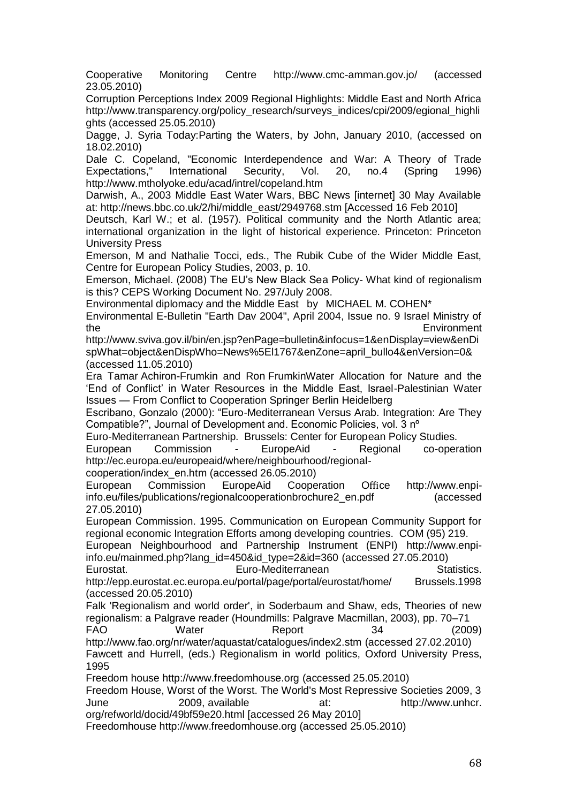Cooperative Monitoring Centre <http://www.cmc-amman.gov.jo/> (accessed 23.05.2010)

Corruption Perceptions Index 2009 Regional Highlights: Middle East and North Africa [http://www.transparency.org/policy\\_research/surveys\\_indices/cpi/2009/egional\\_highli](http://www.transparency.org/policy_research/surveys_indices/cpi/2009/egional_highlights) [ghts](http://www.transparency.org/policy_research/surveys_indices/cpi/2009/egional_highlights) (accessed 25.05.2010)

Dagge, J. Syria Today[:Parting the Waters,](http://www.syria-today.com/index.php/focus/5259-parting-the-waters) by John, January 2010, (accessed on 18.02.2010)

Dale C. Copeland, "Economic Interdependence and War: A Theory of Trade Expectations," International Security, Vol. 20, no.4 (Spring 1996) <http://www.mtholyoke.edu/acad/intrel/copeland.htm>

Darwish, A., 2003 Middle East Water Wars, BBC News [internet] 30 May Available at: http://news.bbc.co.uk/2/hi/middle\_east/2949768.stm [Accessed 16 Feb 2010]

Deutsch, Karl W.; et al. (1957). Political community and the North Atlantic area; international organization in the light of historical experience. Princeton: Princeton University Press

Emerson, M and Nathalie Tocci, eds., The Rubik Cube of the Wider Middle East, Centre for European Policy Studies, 2003, p. 10.

Emerson, Michael. (2008) The EU's New Black Sea Policy- What kind of regionalism is this? CEPS Working Document No. 297/July 2008.

Environmental diplomacy and the Middle East by MICHAEL M. COHEN\*

Environmental E-Bulletin "Earth Dav 2004", April 2004, Issue no. 9 Israel Ministry of the Environment

[http://www.sviva.gov.il/bin/en.jsp?enPage=bulletin&infocus=1&enDisplay=view&enDi](http://www.sviva.gov.il/bin/en.jsp?enPage=bulletin&infocus=1&enDisplay=view&enDispWhat=object&enDispWho=News%5El1767&enZone=april_bullo4&enVersion=0&) [spWhat=object&enDispWho=News%5El1767&enZone=april\\_bullo4&enVersion=0&](http://www.sviva.gov.il/bin/en.jsp?enPage=bulletin&infocus=1&enDisplay=view&enDispWhat=object&enDispWho=News%5El1767&enZone=april_bullo4&enVersion=0&) (accessed 11.05.2010)

Era Tamar Achiron-Frumkin and Ron FrumkinWater Allocation for Nature and the ‗End of Conflict' in Water Resources in the Middle East, Israel-Palestinian Water Issues — From Conflict to Cooperation Springer Berlin Heidelberg

Escribano, Gonzalo (2000): "Euro-Mediterranean Versus Arab. Integration: Are They Compatible?", Journal of Development and. Economic Policies, vol. 3 nº

Euro-Mediterranean Partnership. Brussels: Center for European Policy Studies.

European Commission - EuropeAid - Regional co-operation [http://ec.europa.eu/europeaid/where/neighbourhood/regional-](http://ec.europa.eu/europeaid/where/neighbourhood/regional-cooperation/index_en.htm)

[cooperation/index\\_en.htm](http://ec.europa.eu/europeaid/where/neighbourhood/regional-cooperation/index_en.htm) (accessed 26.05.2010)

European Commission EuropeAid Cooperation Office [http://www.enpi](http://www.enpi-info.eu/files/publications/regionalcooperationbrochure2_en.pdf)[info.eu/files/publications/regionalcooperationbrochure2\\_en.pdf](http://www.enpi-info.eu/files/publications/regionalcooperationbrochure2_en.pdf) (accessed 27.05.2010)

European Commission. 1995. Communication on European Community Support for regional economic Integration Efforts among developing countries. COM (95) 219.

[European Neighbourhood and Partnership Instrument \(ENPI\)](http://www.enpi-info.eu/%22/%22http:/ec.europa.eu/world/enp/pdf/oj_l310_en.pdf/%22/%22) [http://www.enpi](http://www.enpi-info.eu/mainmed.php?lang_id=450&id_type=2&id=360)[info.eu/mainmed.php?lang\\_id=450&id\\_type=2&id=360](http://www.enpi-info.eu/mainmed.php?lang_id=450&id_type=2&id=360) (accessed 27.05.2010)

Eurostat. Euro-Mediterranean Statistics. http://epp.eurostat.ec.europa.eu/portal/page/portal/eurostat/home/ Brussels.1998 (accessed 20.05.2010)

Falk 'Regionalism and world order', in Soderbaum and Shaw, eds, Theories of new regionalism: a Palgrave reader (Houndmills: Palgrave Macmillan, 2003), pp. 70–71

FAO Water Report 34 (2009) <http://www.fao.org/nr/water/aquastat/catalogues/index2.stm> (accessed 27.02.2010)

Fawcett and Hurrell, (eds.) Regionalism in world politics, Oxford University Press, 1995

Freedom house [http://www.freedomhouse.org](http://www.freedomhouse.org/) (accessed 25.05.2010)

Freedom House, Worst of the Worst. The World's Most Repressive Societies 2009, 3 June 2009, available at: http://www.unhcr. org/refworld/docid/49bf59e20.html [accessed 26 May 2010]

Freedomhouse [http://www.freedomhouse.org](http://www.freedomhouse.org/) (accessed 25.05.2010)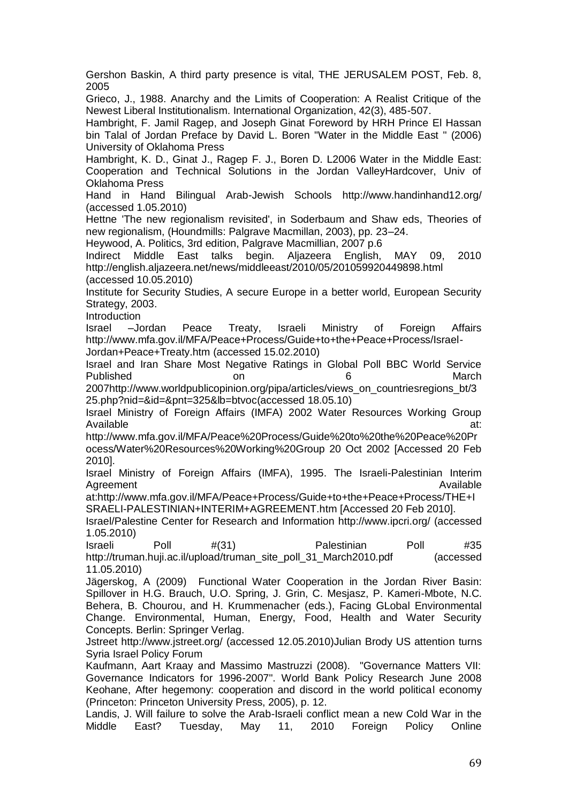Gershon Baskin, A third party presence is vital, THE JERUSALEM POST, Feb. 8, 2005 Grieco, J., 1988. Anarchy and the Limits of Cooperation: A Realist Critique of the Newest Liberal Institutionalism. International Organization, 42(3), 485-507. Hambright, F. Jamil Ragep, and Joseph Ginat Foreword by HRH Prince El Hassan bin Talal of Jordan Preface by David L. Boren "Water in the Middle East " (2006) University of Oklahoma Press Hambright, K. D., Ginat J., Ragep F. J., Boren D. L2006 Water in the Middle East: Cooperation and Technical Solutions in the Jordan ValleyHardcover, Univ of Oklahoma Press [Hand in Hand Bilingual Arab-Jewish Schools](http://en.wikipedia.org/wiki/Hand_in_Hand:_Center_for_Jewish_Arab_Education_in_Israel) <http://www.handinhand12.org/> (accessed 1.05.2010) Hettne 'The new regionalism revisited', in Soderbaum and Shaw eds, Theories of new regionalism, (Houndmills: Palgrave Macmillan, 2003), pp. 23–24. Heywood, A. Politics, 3rd edition, Palgrave Macmillian, 2007 p.6 Indirect Middle East talks begin. Aljazeera English, MAY 09, 2010 <http://english.aljazeera.net/news/middleeast/2010/05/201059920449898.html> (accessed 10.05.2010) Institute for Security Studies, A secure Europe in a better world, European Security Strategy, 2003. Introduction Israel –Jordan Peace Treaty, Israeli Ministry of Foreign Affairs [http://www.mfa.gov.il/MFA/Peace+Process/Guide+to+the+Peace+Process/Israel-](http://www.mfa.gov.il/MFA/Peace+Process/Guide+to+the+Peace+Process/Israel-Jordan+Peace+Treaty.htm)[Jordan+Peace+Treaty.htm](http://www.mfa.gov.il/MFA/Peace+Process/Guide+to+the+Peace+Process/Israel-Jordan+Peace+Treaty.htm) (accessed 15.02.2010) Israel and Iran Share Most Negative Ratings in Global Poll BBC World Service Published on on 6 March 200[7http://www.worldpublicopinion.org/pipa/articles/views\\_on\\_countriesregions\\_bt/3](http://www.worldpublicopinion.org/pipa/articles/views_on_countriesregions_bt/325.php?nid=&id=&pnt=325&lb=btvoc) [25.php?nid=&id=&pnt=325&lb=btvoc\(](http://www.worldpublicopinion.org/pipa/articles/views_on_countriesregions_bt/325.php?nid=&id=&pnt=325&lb=btvoc)accessed 18.05.10) Israel Ministry of Foreign Affairs (IMFA) 2002 Water Resources Working Group Available at: http://www.mfa.gov.il/MFA/Peace%20Process/Guide%20to%20the%20Peace%20Pr ocess/Water%20Resources%20Working%20Group 20 Oct 2002 [Accessed 20 Feb 2010]. Israel Ministry of Foreign Affairs (IMFA), 1995. The Israeli-Palestinian Interim Agreement **Available** at:http://www.mfa.gov.il/MFA/Peace+Process/Guide+to+the+Peace+Process/THE+I SRAELI-PALESTINIAN+INTERIM+AGREEMENT.htm [Accessed 20 Feb 2010]. Israel/Palestine Center for Research and Information<http://www.ipcri.org/> (accessed 1.05.2010) Israeli Poll #(31) Palestinian Poll #35 [http://truman.huji.ac.il/upload/truman\\_site\\_poll\\_31\\_March2010.pdf](http://truman.huji.ac.il/upload/truman_site_poll_31_March2010.pdf) (accessed 11.05.2010) Jägerskog, A (2009) Functional Water Cooperation in the Jordan River Basin: Spillover in H.G. Brauch, U.O. Spring, J. Grin, C. Mesjasz, P. Kameri-Mbote, N.C. Behera, B. Chourou, and H. Krummenacher (eds.), Facing GLobal Environmental Change. Environmental, Human, Energy, Food, Health and Water Security Concepts. Berlin: Springer Verlag. Jstreet<http://www.jstreet.org/> (accessed 12.05.2010)Julian Brody US attention turns Syria Israel Policy Forum Kaufmann, Aart Kraay and Massimo Mastruzzi (2008). "Governance Matters VII: Governance Indicators for 1996-2007". World Bank Policy Research June 2008 Keohane, After hegemony: cooperation and discord in the world political economy (Princeton: Princeton University Press, 2005), p. 12. Landis, J. Will failure to solve the Arab-Israeli conflict mean a new Cold War in the Middle East? Tuesday, May 11, 2010 Foreign Policy Online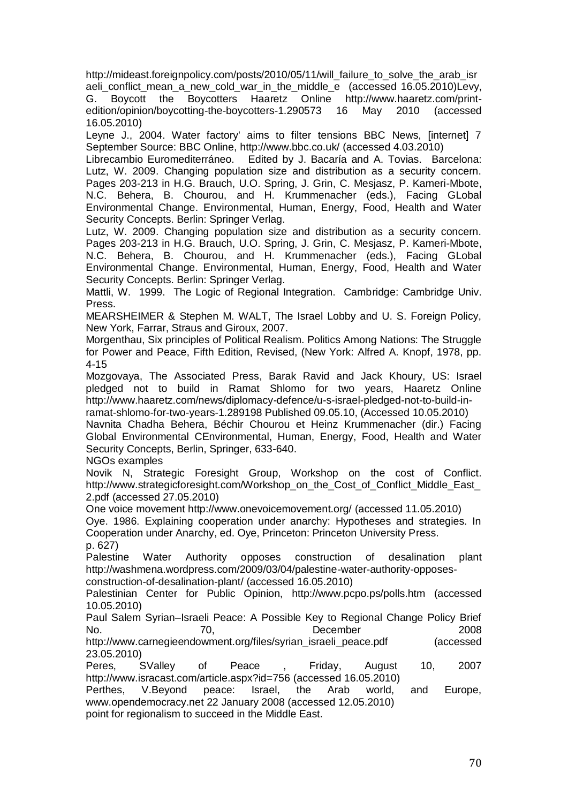[http://mideast.foreignpolicy.com/posts/2010/05/11/will\\_failure\\_to\\_solve\\_the\\_arab\\_isr](http://mideast.foreignpolicy.com/posts/2010/05/11/will_failure_to_solve_the_arab_israeli_conflict_mean_a_new_cold_war_in_the_middle_e) aeli conflict mean a new cold\_war\_in\_the\_middle\_e (accessed 16.05.2010)Levy, G. Boycott the Boycotters Haaretz Online [http://www.haaretz.com/print](http://www.haaretz.com/print-edition/opinion/boycotting-the-boycotters-1.290573)[edition/opinion/boycotting-the-boycotters-1.290573](http://www.haaretz.com/print-edition/opinion/boycotting-the-boycotters-1.290573) 16 May 2010 (accessed 16.05.2010)

Leyne J., 2004. Water factory' aims to filter tensions BBC News, [internet] 7 September Source: BBC Online,<http://www.bbc.co.uk/> (accessed 4.03.2010)

Librecambio Euromediterráneo. Edited by J. Bacaría and A. Tovias. Barcelona: Lutz, W. 2009. Changing population size and distribution as a security concern. Pages 203-213 in H.G. Brauch, U.O. Spring, J. Grin, C. Mesjasz, P. Kameri-Mbote, N.C. Behera, B. Chourou, and H. Krummenacher (eds.), Facing GLobal Environmental Change. Environmental, Human, Energy, Food, Health and Water Security Concepts. Berlin: Springer Verlag.

Lutz, W. 2009. Changing population size and distribution as a security concern. Pages 203-213 in H.G. Brauch, U.O. Spring, J. Grin, C. Mesjasz, P. Kameri-Mbote, N.C. Behera, B. Chourou, and H. Krummenacher (eds.), Facing GLobal Environmental Change. Environmental, Human, Energy, Food, Health and Water Security Concepts. Berlin: Springer Verlag.

Mattli, W. 1999. The Logic of Regional Integration. Cambridge: Cambridge Univ. Press.

MEARSHEIMER & Stephen M. WALT, The Israel Lobby and U. S. Foreign Policy, New York, Farrar, Straus and Giroux, 2007.

Morgenthau, Six principles of Political Realism. Politics Among Nations: The Struggle for Power and Peace, Fifth Edition, Revised, (New York: Alfred A. Knopf, 1978, pp. 4-15

[Mozgovaya,](http://www.haaretz.com/misc/writers/natasha-mozgovaya-1.493) [The Associated Press,](http://www.haaretz.com/misc/writers/the-associated-press-1.237) [Barak Ravid](http://www.haaretz.com/misc/writers/barak-ravid-1.325) and [Jack Khoury,](http://www.haaretz.com/misc/writers/jack-khoury-1.440) US: Israel pledged not to build in Ramat Shlomo for two years, Haaretz Online [http://www.haaretz.com/news/diplomacy-defence/u-s-israel-pledged-not-to-build-in](http://www.haaretz.com/news/diplomacy-defense/u-s-israel-pledged-not-to-build-in-ramat-shlomo-for-two-years-1.289198)[ramat-shlomo-for-two-years-1.289198](http://www.haaretz.com/news/diplomacy-defense/u-s-israel-pledged-not-to-build-in-ramat-shlomo-for-two-years-1.289198) Published 09.05.10, (Accessed 10.05.2010)

Navnita Chadha Behera, Béchir Chourou et Heinz Krummenacher (dir.) Facing Global Environmental CEnvironmental, Human, Energy, Food, Health and Water Security Concepts, Berlin, Springer, 633-640.

NGOs examples

Novik N, Strategic Foresight Group, Workshop on the cost of Conflict. [http://www.strategicforesight.com/Workshop\\_on\\_the\\_Cost\\_of\\_Conflict\\_Middle\\_East\\_](http://www.strategicforesight.com/Workshop_on_the_Cost_of_Conflict_Middle_East_2.pdf) [2.pdf](http://www.strategicforesight.com/Workshop_on_the_Cost_of_Conflict_Middle_East_2.pdf) (accessed 27.05.2010)

One voice movement<http://www.onevoicemovement.org/> (accessed 11.05.2010)

Oye. 1986. Explaining cooperation under anarchy: Hypotheses and strategies. In Cooperation under Anarchy, ed. Oye, Princeton: Princeton University Press.

p. 627)

Palestine Water Authority opposes construction of desalination plant [http://washmena.wordpress.com/2009/03/04/palestine-water-authority-opposes](http://washmena.wordpress.com/2009/03/04/palestine-water-authority-opposes-construction-of-desalination-plant/)[construction-of-desalination-plant/](http://washmena.wordpress.com/2009/03/04/palestine-water-authority-opposes-construction-of-desalination-plant/) (accessed 16.05.2010)

Palestinian Center for Public Opinion, <http://www.pcpo.ps/polls.htm> (accessed 10.05.2010)

Paul Salem Syrian–Israeli Peace: A Possible Key to Regional Change Policy Brief No. 2008 70, December 2008

[http://www.carnegieendowment.org/files/syrian\\_israeli\\_peace.pdf](http://www.carnegieendowment.org/files/syrian_israeli_peace.pdf) (accessed 23.05.2010)

Peres, SValley of Peace , Friday, August 10, 2007 <http://www.isracast.com/article.aspx?id=756> (accessed 16.05.2010)

[Perthes,](http://www.opendemocracy.net/authors/volker_perthes) V.Beyond peace: Israel, the Arab world, and Europe, [www.opendemocracy.net](http://www.opendemocracy.net/) 22 January 2008 (accessed 12.05.2010)

point for regionalism to succeed in the Middle East.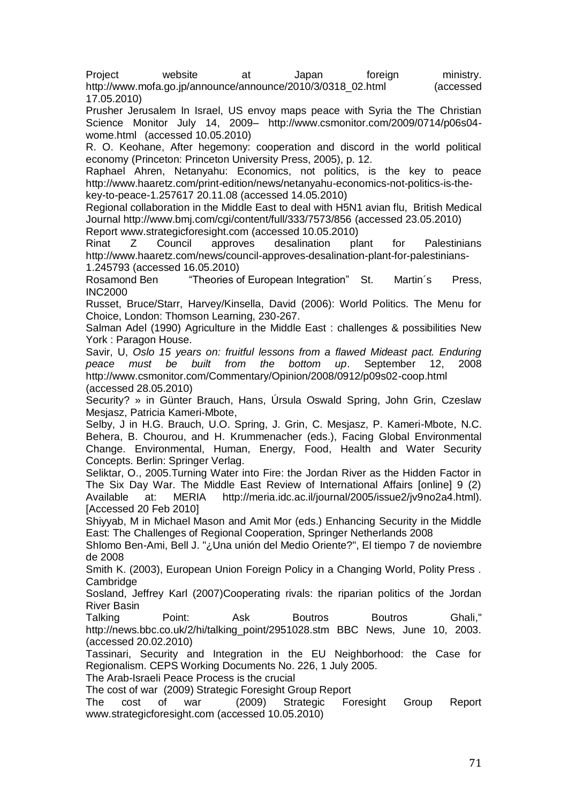[Project website](http://www.mofa.go.jp/region/middle_e/peaceprocess/corridor/index.html) at Japan foreign ministry. [http://www.mofa.go.jp/announce/announce/2010/3/0318\\_02.html](http://www.mofa.go.jp/announce/announce/2010/3/0318_02.html) (accessed 17.05.2010)

Prusher Jerusalem In Israel, US envoy maps peace with Syria the The Christian Science Monitor July 14, 2009– [http://www.csmonitor.com/2009/0714/p06s04](http://www.csmonitor.com/2009/0714/p06s04-wome.html) [wome.html](http://www.csmonitor.com/2009/0714/p06s04-wome.html) (accessed 10.05.2010)

R. O. Keohane, After hegemony: cooperation and discord in the world political economy (Princeton: Princeton University Press, 2005), p. 12.

Raphael Ahren, Netanyahu: Economics, not politics, is the key to peace [http://www.haaretz.com/print-edition/news/netanyahu-economics-not-politics-is-the](http://www.haaretz.com/print-edition/news/netanyahu-economics-not-politics-is-the-key-to-peace-1.257617)[key-to-peace-1.257617](http://www.haaretz.com/print-edition/news/netanyahu-economics-not-politics-is-the-key-to-peace-1.257617) 20.11.08 (accessed 14.05.2010)

Regional collaboration in the Middle East to deal with H5N1 avian flu, British Medical Journal<http://www.bmj.com/cgi/content/full/333/7573/856> (accessed 23.05.2010) Report [www.strategicforesight.com](http://www.strategicforesight.com/) (accessed 10.05.2010)

Rinat Z Council approves desalination plant for Palestinians [http://www.haaretz.com/news/council-approves-desalination-plant-for-palestinians-](http://www.haaretz.com/news/council-approves-desalination-plant-for-palestinians-1.245793)[1.245793](http://www.haaretz.com/news/council-approves-desalination-plant-for-palestinians-1.245793) (accessed 16.05.2010)

Rosamond Ben 
<sup>"</sup>Theories of European Integration" St. Martin's Press, INC2000

Russet, Bruce/Starr, Harvey/Kinsella, David (2006): World Politics. The Menu for Choice, London: Thomson Learning, 230-267.

Salman Adel (1990) Agriculture in the Middle East : challenges & possibilities New York : Paragon House.

Savir, U, *Oslo 15 years on: fruitful lessons from a flawed Mideast pact. Enduring peace must be built from the bottom up*. September 12, 2008 <http://www.csmonitor.com/Commentary/Opinion/2008/0912/p09s02-coop.html> (accessed 28.05.2010)

Security? » in Günter Brauch, Hans, Úrsula Oswald Spring, John Grin, Czeslaw Mesjasz, Patricia Kameri-Mbote,

Selby, J in H.G. Brauch, U.O. Spring, J. Grin, C. Mesjasz, P. Kameri-Mbote, N.C. Behera, B. Chourou, and H. Krummenacher (eds.), Facing Global Environmental Change. Environmental, Human, Energy, Food, Health and Water Security Concepts. Berlin: Springer Verlag.

Seliktar, O., 2005.Turning Water into Fire: the Jordan River as the Hidden Factor in The Six Day War. The Middle East Review of International Affairs [online] 9 (2) Available at: MERIA http://meria.idc.ac.il/journal/2005/issue2/jv9no2a4.html). [Accessed 20 Feb 2010]

Shiyyab, M in Michael Mason and Amit Mor (eds.) Enhancing Security in the Middle East: The Challenges of Regional Cooperation, Springer Netherlands 2008

Shlomo Ben-Ami, Bell J. "¿Una unión del Medio Oriente?", El tiempo 7 de noviembre de 2008

Smith K. (2003), European Union Foreign Policy in a Changing World, Polity Press . **Cambridge** 

Sosland, Jeffrey Karl (2007)Cooperating rivals: the riparian politics of the Jordan River Basin

[Talking Point: Ask Boutros Boutros Ghali,](http://news.bbc.co.uk/2/hi/talking_point/2951028.stm)" http://news.bbc.co.uk/2/hi/talking\_point/2951028.stm BBC News, June 10, 2003. (accessed 20.02.2010)

Tassinari, Security and Integration in the EU Neighborhood: the Case for Regionalism. CEPS Working Documents No. 226, 1 July 2005.

The Arab-Israeli Peace Process is the crucial

The cost of war (2009) Strategic Foresight Group Report

The cost of war (2009) Strategic Foresight Group Report [www.strategicforesight.com](http://www.strategicforesight.com/) (accessed 10.05.2010)